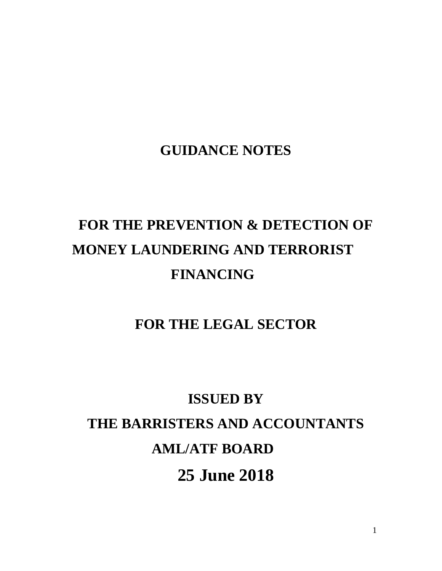## **GUIDANCE NOTES**

# **FOR THE PREVENTION & DETECTION OF MONEY LAUNDERING AND TERRORIST FINANCING**

## **FOR THE LEGAL SECTOR**

# **ISSUED BY THE BARRISTERS AND ACCOUNTANTS AML/ATF BOARD 25 June 2018**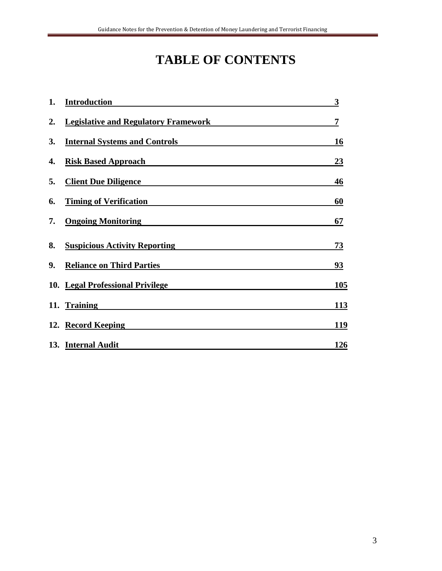# **TABLE OF CONTENTS**

| 1. | <b>Introduction</b>                         | 3         |
|----|---------------------------------------------|-----------|
| 2. | <b>Legislative and Regulatory Framework</b> | 7         |
| 3. | <b>Internal Systems and Controls</b>        | 16        |
| 4. | <b>Risk Based Approach</b>                  | 23        |
| 5. | <b>Client Due Diligence</b>                 | 46        |
| 6. | <b>Timing of Verification</b>               | 60        |
| 7. | <b>Ongoing Monitoring</b>                   | 67        |
| 8. | <b>Suspicious Activity Reporting</b>        | 73        |
| 9. | <b>Reliance on Third Parties</b>            | <u>93</u> |
|    | 10. Legal Professional Privilege            | 105       |
|    | 11. Training                                | 113       |
|    | 12. Record Keeping                          | 119       |
|    | 13. Internal Audit                          | 126       |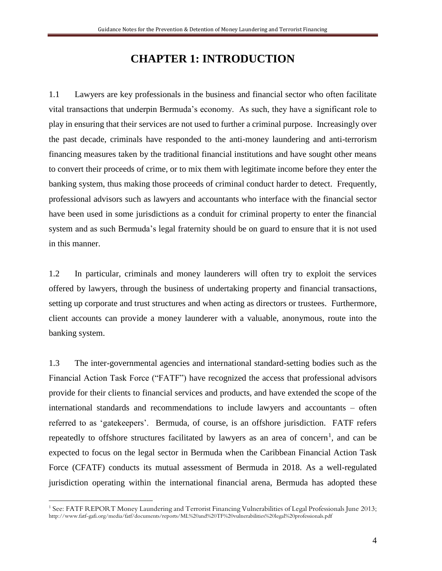### **CHAPTER 1: INTRODUCTION**

1.1 Lawyers are key professionals in the business and financial sector who often facilitate vital transactions that underpin Bermuda's economy. As such, they have a significant role to play in ensuring that their services are not used to further a criminal purpose. Increasingly over the past decade, criminals have responded to the anti-money laundering and anti-terrorism financing measures taken by the traditional financial institutions and have sought other means to convert their proceeds of crime, or to mix them with legitimate income before they enter the banking system, thus making those proceeds of criminal conduct harder to detect. Frequently, professional advisors such as lawyers and accountants who interface with the financial sector have been used in some jurisdictions as a conduit for criminal property to enter the financial system and as such Bermuda's legal fraternity should be on guard to ensure that it is not used in this manner.

1.2 In particular, criminals and money launderers will often try to exploit the services offered by lawyers, through the business of undertaking property and financial transactions, setting up corporate and trust structures and when acting as directors or trustees. Furthermore, client accounts can provide a money launderer with a valuable, anonymous, route into the banking system.

1.3 The inter-governmental agencies and international standard-setting bodies such as the Financial Action Task Force ("FATF") have recognized the access that professional advisors provide for their clients to financial services and products, and have extended the scope of the international standards and recommendations to include lawyers and accountants – often referred to as 'gatekeepers'. Bermuda, of course, is an offshore jurisdiction. FATF refers repeatedly to offshore structures facilitated by lawyers as an area of concern<sup>1</sup>, and can be expected to focus on the legal sector in Bermuda when the Caribbean Financial Action Task Force (CFATF) conducts its mutual assessment of Bermuda in 2018. As a well-regulated jurisdiction operating within the international financial arena, Bermuda has adopted these

 $\overline{a}$ 

<sup>1</sup> See: FATF REPORT Money Laundering and Terrorist Financing Vulnerabilities of Legal Professionals June 2013; http://www.fatf-gafi.org/media/fatf/documents/reports/ML%20and%20TF%20vulnerabilities%20legal%20professionals.pdf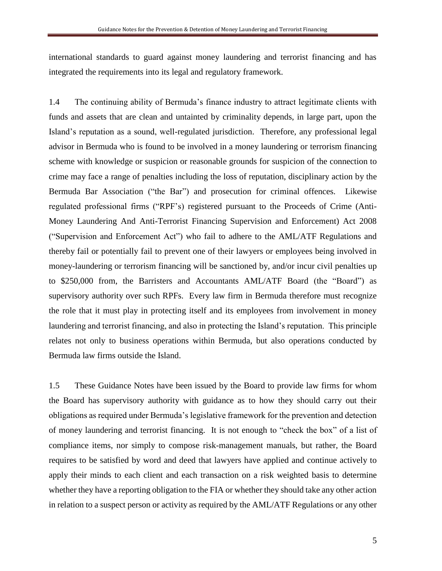international standards to guard against money laundering and terrorist financing and has integrated the requirements into its legal and regulatory framework.

1.4 The continuing ability of Bermuda's finance industry to attract legitimate clients with funds and assets that are clean and untainted by criminality depends, in large part, upon the Island's reputation as a sound, well-regulated jurisdiction. Therefore, any professional legal advisor in Bermuda who is found to be involved in a money laundering or terrorism financing scheme with knowledge or suspicion or reasonable grounds for suspicion of the connection to crime may face a range of penalties including the loss of reputation, disciplinary action by the Bermuda Bar Association ("the Bar") and prosecution for criminal offences. Likewise regulated professional firms ("RPF's) registered pursuant to the Proceeds of Crime (Anti-Money Laundering And Anti-Terrorist Financing Supervision and Enforcement) Act 2008 ("Supervision and Enforcement Act") who fail to adhere to the AML/ATF Regulations and thereby fail or potentially fail to prevent one of their lawyers or employees being involved in money-laundering or terrorism financing will be sanctioned by, and/or incur civil penalties up to \$250,000 from, the Barristers and Accountants AML/ATF Board (the "Board") as supervisory authority over such RPFs. Every law firm in Bermuda therefore must recognize the role that it must play in protecting itself and its employees from involvement in money laundering and terrorist financing, and also in protecting the Island's reputation. This principle relates not only to business operations within Bermuda, but also operations conducted by Bermuda law firms outside the Island.

1.5 These Guidance Notes have been issued by the Board to provide law firms for whom the Board has supervisory authority with guidance as to how they should carry out their obligations as required under Bermuda's legislative framework for the prevention and detection of money laundering and terrorist financing. It is not enough to "check the box" of a list of compliance items, nor simply to compose risk-management manuals, but rather, the Board requires to be satisfied by word and deed that lawyers have applied and continue actively to apply their minds to each client and each transaction on a risk weighted basis to determine whether they have a reporting obligation to the FIA or whether they should take any other action in relation to a suspect person or activity as required by the AML/ATF Regulations or any other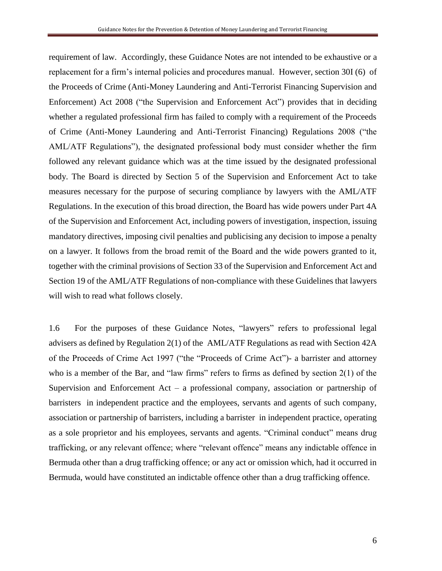requirement of law. Accordingly, these Guidance Notes are not intended to be exhaustive or a replacement for a firm's internal policies and procedures manual. However, section 30I (6) of the Proceeds of Crime (Anti-Money Laundering and Anti-Terrorist Financing Supervision and Enforcement) Act 2008 ("the Supervision and Enforcement Act") provides that in deciding whether a regulated professional firm has failed to comply with a requirement of the Proceeds of Crime (Anti-Money Laundering and Anti-Terrorist Financing) Regulations 2008 ("the AML/ATF Regulations"), the designated professional body must consider whether the firm followed any relevant guidance which was at the time issued by the designated professional body. The Board is directed by Section 5 of the Supervision and Enforcement Act to take measures necessary for the purpose of securing compliance by lawyers with the AML/ATF Regulations. In the execution of this broad direction, the Board has wide powers under Part 4A of the Supervision and Enforcement Act, including powers of investigation, inspection, issuing mandatory directives, imposing civil penalties and publicising any decision to impose a penalty on a lawyer. It follows from the broad remit of the Board and the wide powers granted to it, together with the criminal provisions of Section 33 of the Supervision and Enforcement Act and Section 19 of the AML/ATF Regulations of non-compliance with these Guidelines that lawyers will wish to read what follows closely.

1.6 For the purposes of these Guidance Notes, "lawyers" refers to professional legal advisers as defined by Regulation 2(1) of the AML/ATF Regulations as read with Section 42A of the Proceeds of Crime Act 1997 ("the "Proceeds of Crime Act")- a barrister and attorney who is a member of the Bar, and "law firms" refers to firms as defined by section 2(1) of the Supervision and Enforcement Act – a professional company, association or partnership of barristers in independent practice and the employees, servants and agents of such company, association or partnership of barristers, including a barrister in independent practice, operating as a sole proprietor and his employees, servants and agents. "Criminal conduct" means drug trafficking, or any relevant offence; where "relevant offence" means any indictable offence in Bermuda other than a drug trafficking offence; or any act or omission which, had it occurred in Bermuda, would have constituted an indictable offence other than a drug trafficking offence.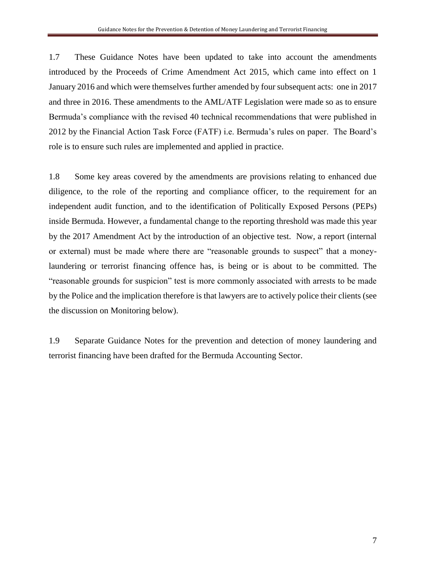1.7 These Guidance Notes have been updated to take into account the amendments introduced by the Proceeds of Crime Amendment Act 2015, which came into effect on 1 January 2016 and which were themselves further amended by four subsequent acts: one in 2017 and three in 2016. These amendments to the AML/ATF Legislation were made so as to ensure Bermuda's compliance with the revised 40 technical recommendations that were published in 2012 by the Financial Action Task Force (FATF) i.e. Bermuda's rules on paper. The Board's role is to ensure such rules are implemented and applied in practice.

1.8 Some key areas covered by the amendments are provisions relating to enhanced due diligence, to the role of the reporting and compliance officer, to the requirement for an independent audit function, and to the identification of Politically Exposed Persons (PEPs) inside Bermuda. However, a fundamental change to the reporting threshold was made this year by the 2017 Amendment Act by the introduction of an objective test. Now, a report (internal or external) must be made where there are "reasonable grounds to suspect" that a moneylaundering or terrorist financing offence has, is being or is about to be committed. The "reasonable grounds for suspicion" test is more commonly associated with arrests to be made by the Police and the implication therefore is that lawyers are to actively police their clients (see the discussion on Monitoring below).

1.9 Separate Guidance Notes for the prevention and detection of money laundering and terrorist financing have been drafted for the Bermuda Accounting Sector.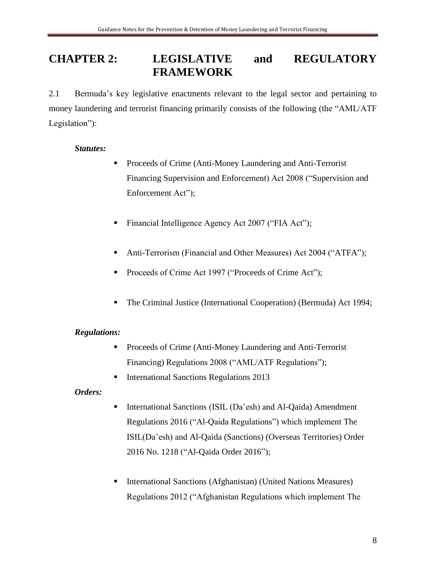### **CHAPTER 2: LEGISLATIVE and REGULATORY FRAMEWORK**

2.1 Bermuda's key legislative enactments relevant to the legal sector and pertaining to money laundering and terrorist financing primarily consists of the following (the "AML/ATF Legislation"):

### *Statutes:*

- Proceeds of Crime (Anti-Money Laundering and Anti-Terrorist Financing Supervision and Enforcement) Act 2008 ("Supervision and Enforcement Act");
- Financial Intelligence Agency Act 2007 ("FIA Act");
- Anti-Terrorism (Financial and Other Measures) Act 2004 ("ATFA");
- Proceeds of Crime Act 1997 ("Proceeds of Crime Act");
- The Criminal Justice (International Cooperation) (Bermuda) Act 1994;

### *Regulations:*

- Proceeds of Crime (Anti-Money Laundering and Anti-Terrorist Financing) Regulations 2008 ("AML/ATF Regulations");
- International Sanctions Regulations 2013

### *Orders:*

- International Sanctions (ISIL (Da'esh) and Al-Qaida) Amendment Regulations 2016 ("Al-Qaida Regulations") which implement The ISIL(Da'esh) and Al-Qaida (Sanctions) (Overseas Territories) Order 2016 No. 1218 ("Al-Qaida Order 2016");
- International Sanctions (Afghanistan) (United Nations Measures) Regulations 2012 ("Afghanistan Regulations which implement The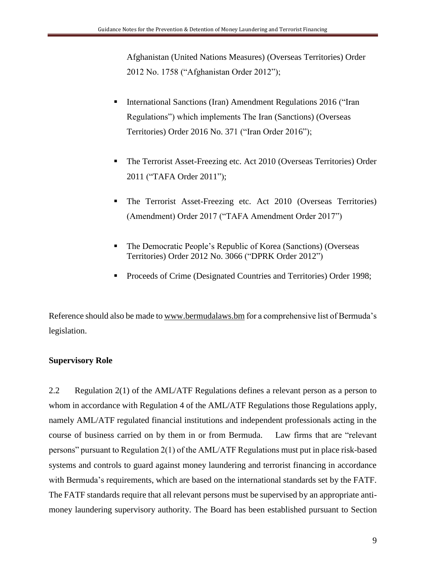Afghanistan (United Nations Measures) (Overseas Territories) Order 2012 No. 1758 ("Afghanistan Order 2012");

- International Sanctions (Iran) Amendment Regulations 2016 ("Iran Regulations") which implements The Iran (Sanctions) (Overseas Territories) Order 2016 No. 371 ("Iran Order 2016");
- The Terrorist Asset-Freezing etc. Act 2010 (Overseas Territories) Order 2011 ("TAFA Order 2011");
- **The Terrorist Asset-Freezing etc. Act 2010 (Overseas Territories)** (Amendment) Order 2017 ("TAFA Amendment Order 2017")
- The Democratic People's Republic of Korea (Sanctions) (Overseas Territories) Order 2012 No. 3066 ("DPRK Order 2012")
- Proceeds of Crime (Designated Countries and Territories) Order 1998;

Reference should also be made to [www.bermudalaws.bm](http://www.bermudalaws.bm/) for a comprehensive list of Bermuda's legislation.

### **Supervisory Role**

2.2 Regulation 2(1) of the AML/ATF Regulations defines a relevant person as a person to whom in accordance with Regulation 4 of the AML/ATF Regulations those Regulations apply, namely AML/ATF regulated financial institutions and independent professionals acting in the course of business carried on by them in or from Bermuda. Law firms that are "relevant persons" pursuant to Regulation 2(1) of the AML/ATF Regulations must put in place risk-based systems and controls to guard against money laundering and terrorist financing in accordance with Bermuda's requirements, which are based on the international standards set by the FATF. The FATF standards require that all relevant persons must be supervised by an appropriate antimoney laundering supervisory authority. The Board has been established pursuant to Section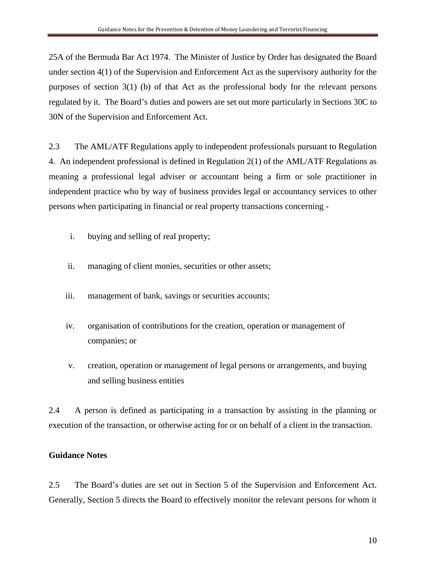25A of the Bermuda Bar Act 1974. The Minister of Justice by Order has designated the Board under section 4(1) of the Supervision and Enforcement Act as the supervisory authority for the purposes of section 3(1) (b) of that Act as the professional body for the relevant persons regulated by it. The Board's duties and powers are set out more particularly in Sections 30C to 30N of the Supervision and Enforcement Act.

2.3 The AML/ATF Regulations apply to independent professionals pursuant to Regulation 4. An independent professional is defined in Regulation 2(1) of the AML/ATF Regulations as meaning a professional legal adviser or accountant being a firm or sole practitioner in independent practice who by way of business provides legal or accountancy services to other persons when participating in financial or real property transactions concerning -

- i. buying and selling of real property;
- ii. managing of client monies, securities or other assets;
- iii. management of bank, savings or securities accounts;
- iv. organisation of contributions for the creation, operation or management of companies; or
- v. creation, operation or management of legal persons or arrangements, and buying and selling business entities

2.4 A person is defined as participating in a transaction by assisting in the planning or execution of the transaction, or otherwise acting for or on behalf of a client in the transaction.

#### **Guidance Notes**

2.5 The Board's duties are set out in Section 5 of the Supervision and Enforcement Act. Generally, Section 5 directs the Board to effectively monitor the relevant persons for whom it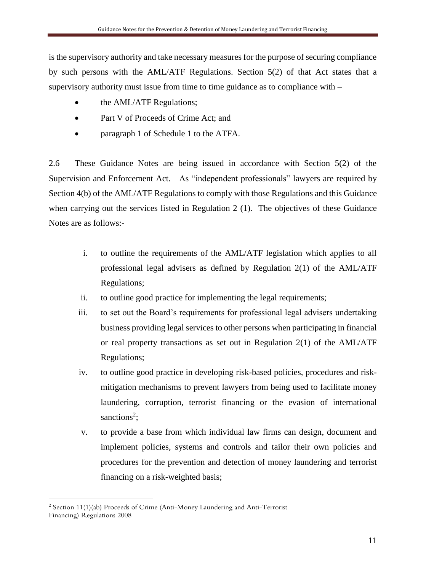is the supervisory authority and take necessary measures for the purpose of securing compliance by such persons with the AML/ATF Regulations. Section 5(2) of that Act states that a supervisory authority must issue from time to time guidance as to compliance with –

- the AML/ATF Regulations;
- Part V of Proceeds of Crime Act; and
- paragraph 1 of Schedule 1 to the ATFA.

2.6 These Guidance Notes are being issued in accordance with Section 5(2) of the Supervision and Enforcement Act. As "independent professionals" lawyers are required by Section 4(b) of the AML/ATF Regulations to comply with those Regulations and this Guidance when carrying out the services listed in Regulation 2 (1). The objectives of these Guidance Notes are as follows:-

- i. to outline the requirements of the AML/ATF legislation which applies to all professional legal advisers as defined by Regulation 2(1) of the AML/ATF Regulations;
- ii. to outline good practice for implementing the legal requirements;
- iii. to set out the Board's requirements for professional legal advisers undertaking business providing legal services to other persons when participating in financial or real property transactions as set out in Regulation  $2(1)$  of the AML/ATF Regulations;
- iv. to outline good practice in developing risk-based policies, procedures and riskmitigation mechanisms to prevent lawyers from being used to facilitate money laundering, corruption, terrorist financing or the evasion of international sanctions<sup>2</sup>;
- v. to provide a base from which individual law firms can design, document and implement policies, systems and controls and tailor their own policies and procedures for the prevention and detection of money laundering and terrorist financing on a risk-weighted basis;

 $\overline{a}$ <sup>2</sup> Section 11(1)(ab) Proceeds of Crime (Anti-Money Laundering and Anti-Terrorist Financing) Regulations 2008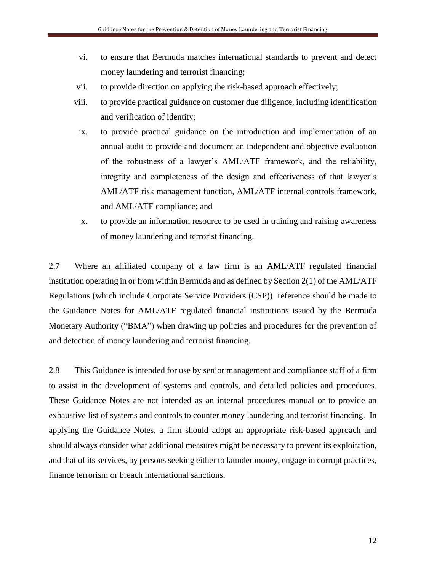- vi. to ensure that Bermuda matches international standards to prevent and detect money laundering and terrorist financing;
- vii. to provide direction on applying the risk-based approach effectively;
- viii. to provide practical guidance on customer due diligence, including identification and verification of identity;
- ix. to provide practical guidance on the introduction and implementation of an annual audit to provide and document an independent and objective evaluation of the robustness of a lawyer's AML/ATF framework, and the reliability, integrity and completeness of the design and effectiveness of that lawyer's AML/ATF risk management function, AML/ATF internal controls framework, and AML/ATF compliance; and
- x. to provide an information resource to be used in training and raising awareness of money laundering and terrorist financing.

2.7 Where an affiliated company of a law firm is an AML/ATF regulated financial institution operating in or from within Bermuda and as defined by Section 2(1) of the AML/ATF Regulations (which include Corporate Service Providers (CSP)) reference should be made to the Guidance Notes for AML/ATF regulated financial institutions issued by the Bermuda Monetary Authority ("BMA") when drawing up policies and procedures for the prevention of and detection of money laundering and terrorist financing.

2.8 This Guidance is intended for use by senior management and compliance staff of a firm to assist in the development of systems and controls, and detailed policies and procedures. These Guidance Notes are not intended as an internal procedures manual or to provide an exhaustive list of systems and controls to counter money laundering and terrorist financing. In applying the Guidance Notes, a firm should adopt an appropriate risk-based approach and should always consider what additional measures might be necessary to prevent its exploitation, and that of its services, by persons seeking either to launder money, engage in corrupt practices, finance terrorism or breach international sanctions.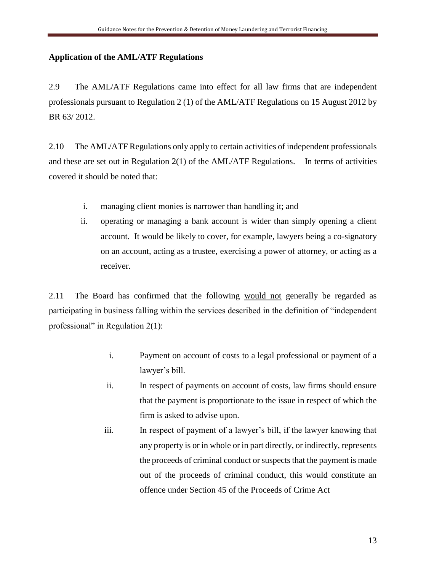### **Application of the AML/ATF Regulations**

2.9 The AML/ATF Regulations came into effect for all law firms that are independent professionals pursuant to Regulation 2 (1) of the AML/ATF Regulations on 15 August 2012 by BR 63/ 2012.

2.10 The AML/ATF Regulations only apply to certain activities of independent professionals and these are set out in Regulation  $2(1)$  of the AML/ATF Regulations. In terms of activities covered it should be noted that:

- i. managing client monies is narrower than handling it; and
- ii. operating or managing a bank account is wider than simply opening a client account. It would be likely to cover, for example, lawyers being a co-signatory on an account, acting as a trustee, exercising a power of attorney, or acting as a receiver.

2.11 The Board has confirmed that the following would not generally be regarded as participating in business falling within the services described in the definition of "independent professional" in Regulation 2(1):

- i. Payment on account of costs to a legal professional or payment of a lawyer's bill.
- ii. In respect of payments on account of costs, law firms should ensure that the payment is proportionate to the issue in respect of which the firm is asked to advise upon.
- iii. In respect of payment of a lawyer's bill, if the lawyer knowing that any property is or in whole or in part directly, or indirectly, represents the proceeds of criminal conduct or suspects that the payment is made out of the proceeds of criminal conduct, this would constitute an offence under Section 45 of the Proceeds of Crime Act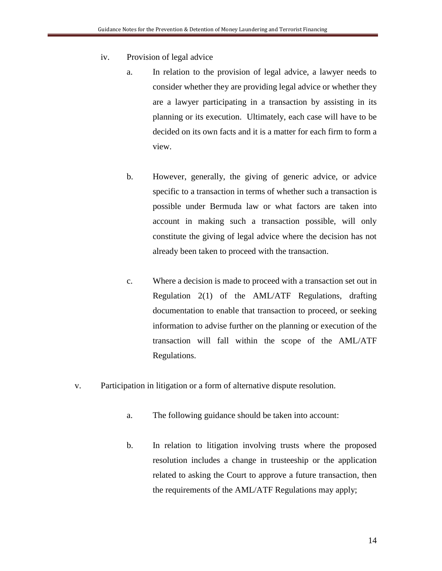- iv. Provision of legal advice
	- a. In relation to the provision of legal advice, a lawyer needs to consider whether they are providing legal advice or whether they are a lawyer participating in a transaction by assisting in its planning or its execution. Ultimately, each case will have to be decided on its own facts and it is a matter for each firm to form a view.
	- b. However, generally, the giving of generic advice, or advice specific to a transaction in terms of whether such a transaction is possible under Bermuda law or what factors are taken into account in making such a transaction possible, will only constitute the giving of legal advice where the decision has not already been taken to proceed with the transaction.
	- c. Where a decision is made to proceed with a transaction set out in Regulation 2(1) of the AML/ATF Regulations, drafting documentation to enable that transaction to proceed, or seeking information to advise further on the planning or execution of the transaction will fall within the scope of the AML/ATF Regulations.
- v. Participation in litigation or a form of alternative dispute resolution.
	- a. The following guidance should be taken into account:
	- b. In relation to litigation involving trusts where the proposed resolution includes a change in trusteeship or the application related to asking the Court to approve a future transaction, then the requirements of the AML/ATF Regulations may apply;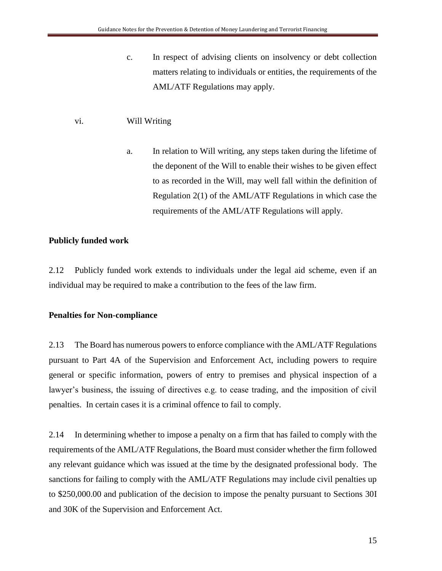c. In respect of advising clients on insolvency or debt collection matters relating to individuals or entities, the requirements of the AML/ATF Regulations may apply.

### vi. Will Writing

a. In relation to Will writing, any steps taken during the lifetime of the deponent of the Will to enable their wishes to be given effect to as recorded in the Will, may well fall within the definition of Regulation 2(1) of the AML/ATF Regulations in which case the requirements of the AML/ATF Regulations will apply.

### **Publicly funded work**

2.12 Publicly funded work extends to individuals under the legal aid scheme, even if an individual may be required to make a contribution to the fees of the law firm.

### **Penalties for Non-compliance**

2.13 The Board has numerous powers to enforce compliance with the AML/ATF Regulations pursuant to Part 4A of the Supervision and Enforcement Act, including powers to require general or specific information, powers of entry to premises and physical inspection of a lawyer's business, the issuing of directives e.g. to cease trading, and the imposition of civil penalties. In certain cases it is a criminal offence to fail to comply.

2.14 In determining whether to impose a penalty on a firm that has failed to comply with the requirements of the AML/ATF Regulations, the Board must consider whether the firm followed any relevant guidance which was issued at the time by the designated professional body. The sanctions for failing to comply with the AML/ATF Regulations may include civil penalties up to \$250,000.00 and publication of the decision to impose the penalty pursuant to Sections 30I and 30K of the Supervision and Enforcement Act.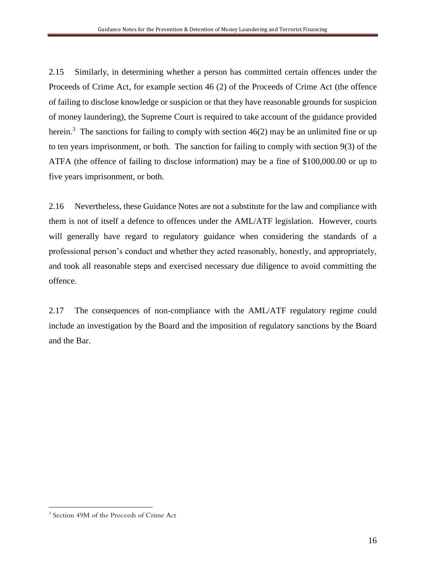2.15 Similarly, in determining whether a person has committed certain offences under the Proceeds of Crime Act, for example section 46 (2) of the Proceeds of Crime Act (the offence of failing to disclose knowledge or suspicion or that they have reasonable grounds for suspicion of money laundering), the Supreme Court is required to take account of the guidance provided herein.<sup>3</sup> The sanctions for failing to comply with section  $46(2)$  may be an unlimited fine or up to ten years imprisonment, or both. The sanction for failing to comply with section 9(3) of the ATFA (the offence of failing to disclose information) may be a fine of \$100,000.00 or up to five years imprisonment, or both.

2.16 Nevertheless, these Guidance Notes are not a substitute for the law and compliance with them is not of itself a defence to offences under the AML/ATF legislation. However, courts will generally have regard to regulatory guidance when considering the standards of a professional person's conduct and whether they acted reasonably, honestly, and appropriately, and took all reasonable steps and exercised necessary due diligence to avoid committing the offence.

2.17 The consequences of non-compliance with the AML/ATF regulatory regime could include an investigation by the Board and the imposition of regulatory sanctions by the Board and the Bar.

 $\overline{a}$ 

<sup>3</sup> Section 49M of the Proceeds of Crime Act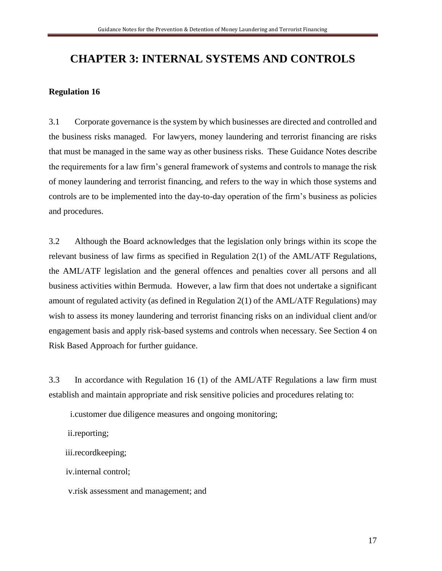### **CHAPTER 3: INTERNAL SYSTEMS AND CONTROLS**

### **Regulation 16**

3.1 Corporate governance is the system by which businesses are directed and controlled and the business risks managed. For lawyers, money laundering and terrorist financing are risks that must be managed in the same way as other business risks. These Guidance Notes describe the requirements for a law firm's general framework of systems and controls to manage the risk of money laundering and terrorist financing, and refers to the way in which those systems and controls are to be implemented into the day-to-day operation of the firm's business as policies and procedures.

3.2 Although the Board acknowledges that the legislation only brings within its scope the relevant business of law firms as specified in Regulation 2(1) of the AML/ATF Regulations, the AML/ATF legislation and the general offences and penalties cover all persons and all business activities within Bermuda. However, a law firm that does not undertake a significant amount of regulated activity (as defined in Regulation 2(1) of the AML/ATF Regulations) may wish to assess its money laundering and terrorist financing risks on an individual client and/or engagement basis and apply risk-based systems and controls when necessary. See Section 4 on Risk Based Approach for further guidance.

3.3 In accordance with Regulation 16 (1) of the AML/ATF Regulations a law firm must establish and maintain appropriate and risk sensitive policies and procedures relating to:

i.customer due diligence measures and ongoing monitoring;

ii.reporting;

iii.recordkeeping;

iv.internal control;

v.risk assessment and management; and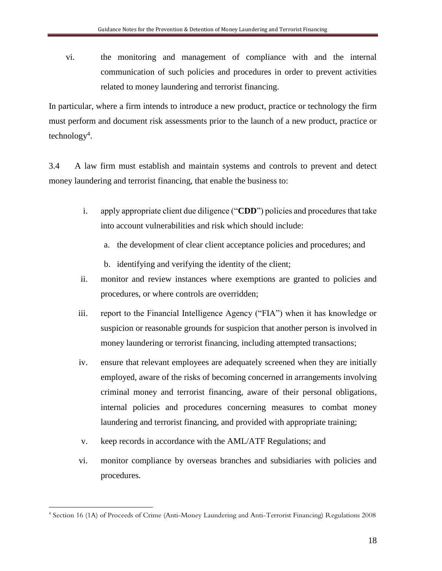vi. the monitoring and management of compliance with and the internal communication of such policies and procedures in order to prevent activities related to money laundering and terrorist financing.

In particular, where a firm intends to introduce a new product, practice or technology the firm must perform and document risk assessments prior to the launch of a new product, practice or technology<sup>4</sup>.

3.4 A law firm must establish and maintain systems and controls to prevent and detect money laundering and terrorist financing, that enable the business to:

- i. apply appropriate client due diligence ("**CDD**") policies and procedures that take into account vulnerabilities and risk which should include:
	- a. the development of clear client acceptance policies and procedures; and
	- b. identifying and verifying the identity of the client;
- ii. monitor and review instances where exemptions are granted to policies and procedures, or where controls are overridden;
- iii. report to the Financial Intelligence Agency ("FIA") when it has knowledge or suspicion or reasonable grounds for suspicion that another person is involved in money laundering or terrorist financing, including attempted transactions;
- iv. ensure that relevant employees are adequately screened when they are initially employed, aware of the risks of becoming concerned in arrangements involving criminal money and terrorist financing, aware of their personal obligations, internal policies and procedures concerning measures to combat money laundering and terrorist financing, and provided with appropriate training;
- v. keep records in accordance with the AML/ATF Regulations; and
- vi. monitor compliance by overseas branches and subsidiaries with policies and procedures.

 $\overline{a}$ 

<sup>4</sup> Section 16 (1A) of Proceeds of Crime (Anti-Money Laundering and Anti-Terrorist Financing) Regulations 2008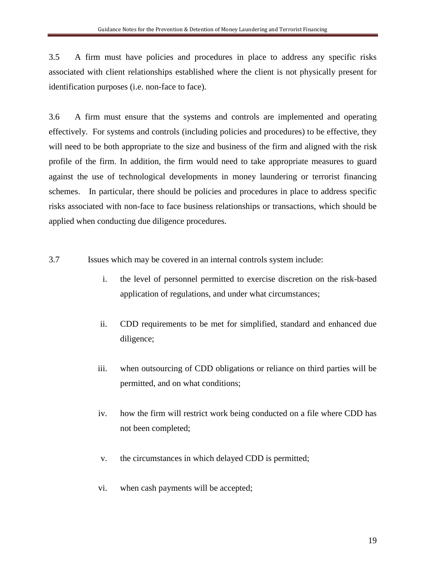3.5 A firm must have policies and procedures in place to address any specific risks associated with client relationships established where the client is not physically present for identification purposes (i.e. non-face to face).

3.6 A firm must ensure that the systems and controls are implemented and operating effectively. For systems and controls (including policies and procedures) to be effective, they will need to be both appropriate to the size and business of the firm and aligned with the risk profile of the firm. In addition, the firm would need to take appropriate measures to guard against the use of technological developments in money laundering or terrorist financing schemes. In particular, there should be policies and procedures in place to address specific risks associated with non-face to face business relationships or transactions, which should be applied when conducting due diligence procedures.

- 3.7 Issues which may be covered in an internal controls system include:
	- i. the level of personnel permitted to exercise discretion on the risk-based application of regulations, and under what circumstances;
	- ii. CDD requirements to be met for simplified, standard and enhanced due diligence;
	- iii. when outsourcing of CDD obligations or reliance on third parties will be permitted, and on what conditions;
	- iv. how the firm will restrict work being conducted on a file where CDD has not been completed;
	- v. the circumstances in which delayed CDD is permitted;
	- vi. when cash payments will be accepted;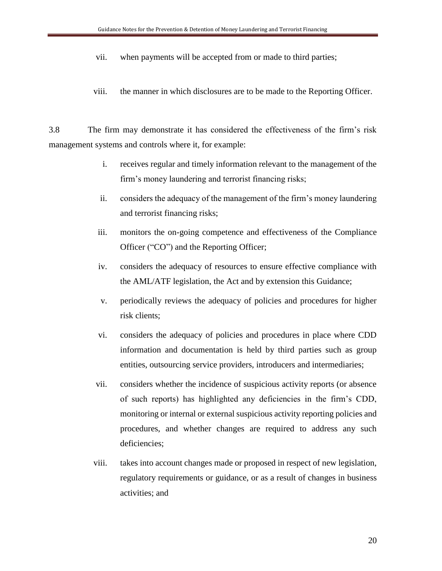- vii. when payments will be accepted from or made to third parties;
- viii. the manner in which disclosures are to be made to the Reporting Officer.

3.8 The firm may demonstrate it has considered the effectiveness of the firm's risk management systems and controls where it, for example:

- i. receives regular and timely information relevant to the management of the firm's money laundering and terrorist financing risks;
- ii. considers the adequacy of the management of the firm's money laundering and terrorist financing risks;
- iii. monitors the on-going competence and effectiveness of the Compliance Officer ("CO") and the Reporting Officer;
- iv. considers the adequacy of resources to ensure effective compliance with the AML/ATF legislation, the Act and by extension this Guidance;
- v. periodically reviews the adequacy of policies and procedures for higher risk clients;
- vi. considers the adequacy of policies and procedures in place where CDD information and documentation is held by third parties such as group entities, outsourcing service providers, introducers and intermediaries;
- vii. considers whether the incidence of suspicious activity reports (or absence of such reports) has highlighted any deficiencies in the firm's CDD, monitoring or internal or external suspicious activity reporting policies and procedures, and whether changes are required to address any such deficiencies;
- viii. takes into account changes made or proposed in respect of new legislation, regulatory requirements or guidance, or as a result of changes in business activities; and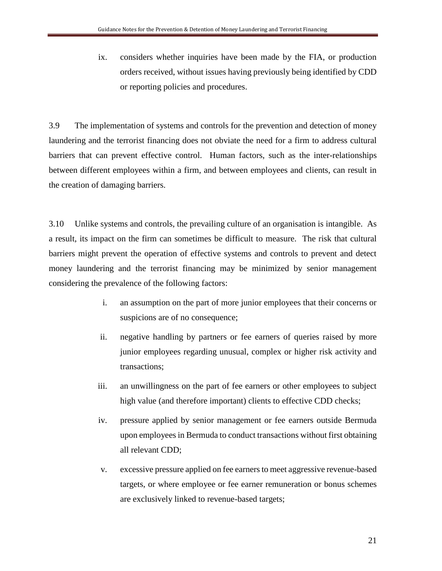ix. considers whether inquiries have been made by the FIA, or production orders received, without issues having previously being identified by CDD or reporting policies and procedures.

3.9 The implementation of systems and controls for the prevention and detection of money laundering and the terrorist financing does not obviate the need for a firm to address cultural barriers that can prevent effective control. Human factors, such as the inter-relationships between different employees within a firm, and between employees and clients, can result in the creation of damaging barriers.

3.10 Unlike systems and controls, the prevailing culture of an organisation is intangible. As a result, its impact on the firm can sometimes be difficult to measure. The risk that cultural barriers might prevent the operation of effective systems and controls to prevent and detect money laundering and the terrorist financing may be minimized by senior management considering the prevalence of the following factors:

- i. an assumption on the part of more junior employees that their concerns or suspicions are of no consequence;
- ii. negative handling by partners or fee earners of queries raised by more junior employees regarding unusual, complex or higher risk activity and transactions;
- iii. an unwillingness on the part of fee earners or other employees to subject high value (and therefore important) clients to effective CDD checks;
- iv. pressure applied by senior management or fee earners outside Bermuda upon employees in Bermuda to conduct transactions without first obtaining all relevant CDD;
- v. excessive pressure applied on fee earners to meet aggressive revenue-based targets, or where employee or fee earner remuneration or bonus schemes are exclusively linked to revenue-based targets;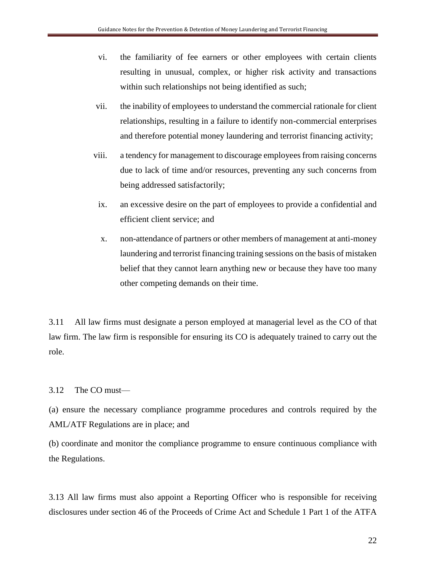- vi. the familiarity of fee earners or other employees with certain clients resulting in unusual, complex, or higher risk activity and transactions within such relationships not being identified as such;
- vii. the inability of employees to understand the commercial rationale for client relationships, resulting in a failure to identify non-commercial enterprises and therefore potential money laundering and terrorist financing activity;
- viii. a tendency for management to discourage employees from raising concerns due to lack of time and/or resources, preventing any such concerns from being addressed satisfactorily;
- ix. an excessive desire on the part of employees to provide a confidential and efficient client service; and
- x. non-attendance of partners or other members of management at anti-money laundering and terrorist financing training sessions on the basis of mistaken belief that they cannot learn anything new or because they have too many other competing demands on their time.

3.11 All law firms must designate a person employed at managerial level as the CO of that law firm. The law firm is responsible for ensuring its CO is adequately trained to carry out the role.

### 3.12 The CO must—

(a) ensure the necessary compliance programme procedures and controls required by the AML/ATF Regulations are in place; and

(b) coordinate and monitor the compliance programme to ensure continuous compliance with the Regulations.

3.13 All law firms must also appoint a Reporting Officer who is responsible for receiving disclosures under section 46 of the Proceeds of Crime Act and Schedule 1 Part 1 of the ATFA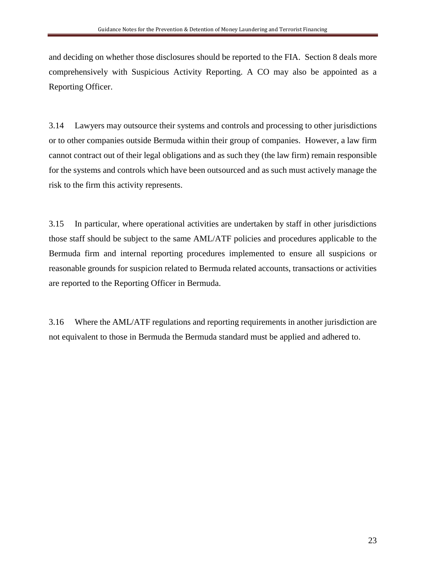and deciding on whether those disclosures should be reported to the FIA. Section 8 deals more comprehensively with Suspicious Activity Reporting. A CO may also be appointed as a Reporting Officer.

3.14 Lawyers may outsource their systems and controls and processing to other jurisdictions or to other companies outside Bermuda within their group of companies. However, a law firm cannot contract out of their legal obligations and as such they (the law firm) remain responsible for the systems and controls which have been outsourced and as such must actively manage the risk to the firm this activity represents.

3.15 In particular, where operational activities are undertaken by staff in other jurisdictions those staff should be subject to the same AML/ATF policies and procedures applicable to the Bermuda firm and internal reporting procedures implemented to ensure all suspicions or reasonable grounds for suspicion related to Bermuda related accounts, transactions or activities are reported to the Reporting Officer in Bermuda.

3.16 Where the AML/ATF regulations and reporting requirements in another jurisdiction are not equivalent to those in Bermuda the Bermuda standard must be applied and adhered to.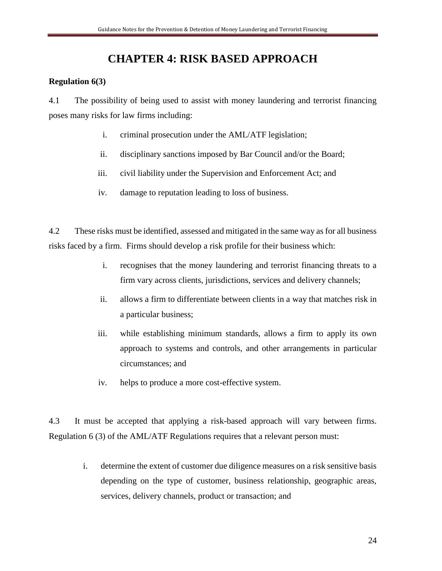### **CHAPTER 4: RISK BASED APPROACH**

### **Regulation 6(3)**

4.1 The possibility of being used to assist with money laundering and terrorist financing poses many risks for law firms including:

- i. criminal prosecution under the AML/ATF legislation;
- ii. disciplinary sanctions imposed by Bar Council and/or the Board;
- iii. civil liability under the Supervision and Enforcement Act; and
- iv. damage to reputation leading to loss of business.

4.2 These risks must be identified, assessed and mitigated in the same way as for all business risks faced by a firm. Firms should develop a risk profile for their business which:

- i. recognises that the money laundering and terrorist financing threats to a firm vary across clients, jurisdictions, services and delivery channels;
- ii. allows a firm to differentiate between clients in a way that matches risk in a particular business;
- iii. while establishing minimum standards, allows a firm to apply its own approach to systems and controls, and other arrangements in particular circumstances; and
- iv. helps to produce a more cost-effective system.

4.3 It must be accepted that applying a risk-based approach will vary between firms. Regulation 6 (3) of the AML/ATF Regulations requires that a relevant person must:

> i. determine the extent of customer due diligence measures on a risk sensitive basis depending on the type of customer, business relationship, geographic areas, services, delivery channels, product or transaction; and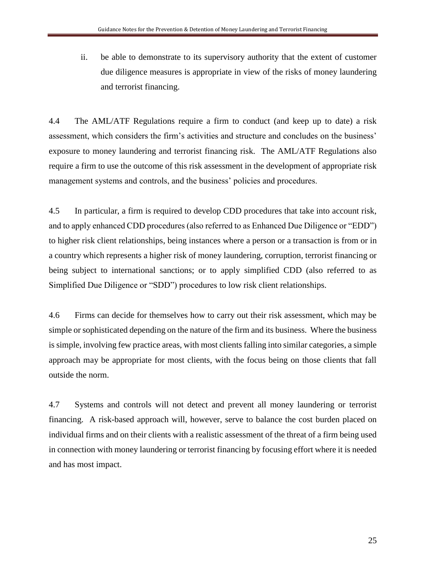ii. be able to demonstrate to its supervisory authority that the extent of customer due diligence measures is appropriate in view of the risks of money laundering and terrorist financing.

4.4 The AML/ATF Regulations require a firm to conduct (and keep up to date) a risk assessment, which considers the firm's activities and structure and concludes on the business' exposure to money laundering and terrorist financing risk. The AML/ATF Regulations also require a firm to use the outcome of this risk assessment in the development of appropriate risk management systems and controls, and the business' policies and procedures.

4.5 In particular, a firm is required to develop CDD procedures that take into account risk, and to apply enhanced CDD procedures (also referred to as Enhanced Due Diligence or "EDD") to higher risk client relationships, being instances where a person or a transaction is from or in a country which represents a higher risk of money laundering, corruption, terrorist financing or being subject to international sanctions; or to apply simplified CDD (also referred to as Simplified Due Diligence or "SDD") procedures to low risk client relationships.

4.6 Firms can decide for themselves how to carry out their risk assessment, which may be simple or sophisticated depending on the nature of the firm and its business. Where the business is simple, involving few practice areas, with most clients falling into similar categories, a simple approach may be appropriate for most clients, with the focus being on those clients that fall outside the norm.

4.7 Systems and controls will not detect and prevent all money laundering or terrorist financing. A risk-based approach will, however, serve to balance the cost burden placed on individual firms and on their clients with a realistic assessment of the threat of a firm being used in connection with money laundering or terrorist financing by focusing effort where it is needed and has most impact.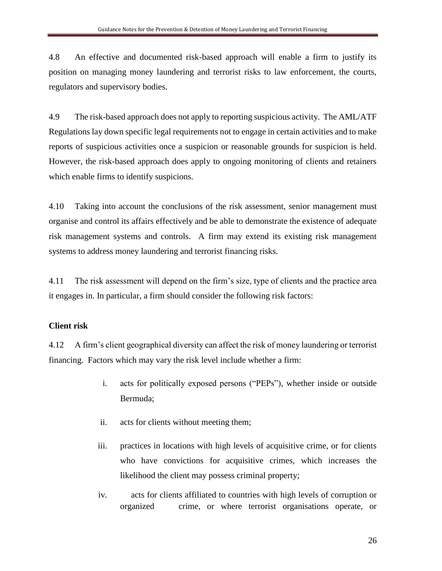4.8 An effective and documented risk-based approach will enable a firm to justify its position on managing money laundering and terrorist risks to law enforcement, the courts, regulators and supervisory bodies.

4.9 The risk-based approach does not apply to reporting suspicious activity. The AML/ATF Regulations lay down specific legal requirements not to engage in certain activities and to make reports of suspicious activities once a suspicion or reasonable grounds for suspicion is held. However, the risk-based approach does apply to ongoing monitoring of clients and retainers which enable firms to identify suspicions.

4.10 Taking into account the conclusions of the risk assessment, senior management must organise and control its affairs effectively and be able to demonstrate the existence of adequate risk management systems and controls. A firm may extend its existing risk management systems to address money laundering and terrorist financing risks.

4.11 The risk assessment will depend on the firm's size, type of clients and the practice area it engages in. In particular, a firm should consider the following risk factors:

### **Client risk**

4.12 A firm's client geographical diversity can affect the risk of money laundering or terrorist financing. Factors which may vary the risk level include whether a firm:

- i. acts for politically exposed persons ("PEPs"), whether inside or outside Bermuda;
- ii. acts for clients without meeting them;
- iii. practices in locations with high levels of acquisitive crime, or for clients who have convictions for acquisitive crimes, which increases the likelihood the client may possess criminal property;
- iv. acts for clients affiliated to countries with high levels of corruption or organized crime, or where terrorist organisations operate, or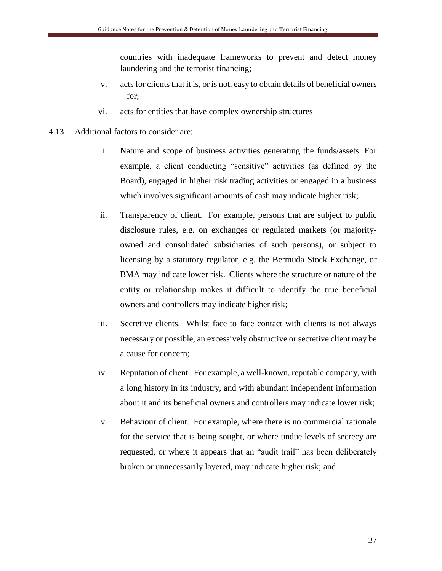countries with inadequate frameworks to prevent and detect money laundering and the terrorist financing;

- v. acts for clients that it is, or is not, easy to obtain details of beneficial owners for;
- vi. acts for entities that have complex ownership structures
- 4.13 Additional factors to consider are:
	- i. Nature and scope of business activities generating the funds/assets. For example, a client conducting "sensitive" activities (as defined by the Board), engaged in higher risk trading activities or engaged in a business which involves significant amounts of cash may indicate higher risk;
	- ii. Transparency of client. For example, persons that are subject to public disclosure rules, e.g. on exchanges or regulated markets (or majorityowned and consolidated subsidiaries of such persons), or subject to licensing by a statutory regulator, e.g. the Bermuda Stock Exchange, or BMA may indicate lower risk. Clients where the structure or nature of the entity or relationship makes it difficult to identify the true beneficial owners and controllers may indicate higher risk;
	- iii. Secretive clients. Whilst face to face contact with clients is not always necessary or possible, an excessively obstructive or secretive client may be a cause for concern;
	- iv. Reputation of client. For example, a well-known, reputable company, with a long history in its industry, and with abundant independent information about it and its beneficial owners and controllers may indicate lower risk;
	- v. Behaviour of client. For example, where there is no commercial rationale for the service that is being sought, or where undue levels of secrecy are requested, or where it appears that an "audit trail" has been deliberately broken or unnecessarily layered, may indicate higher risk; and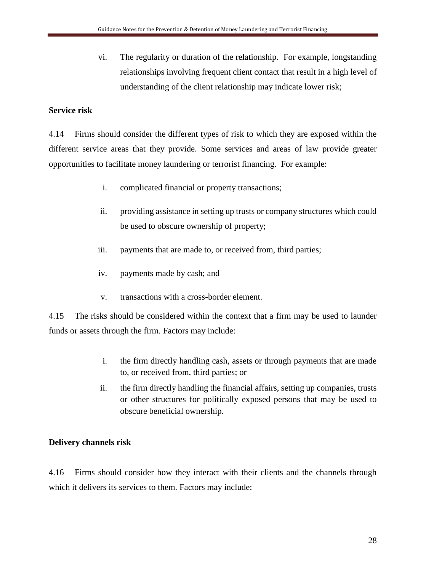vi. The regularity or duration of the relationship. For example, longstanding relationships involving frequent client contact that result in a high level of understanding of the client relationship may indicate lower risk;

### **Service risk**

4.14 Firms should consider the different types of risk to which they are exposed within the different service areas that they provide. Some services and areas of law provide greater opportunities to facilitate money laundering or terrorist financing. For example:

- i. complicated financial or property transactions;
- ii. providing assistance in setting up trusts or company structures which could be used to obscure ownership of property;
- iii. payments that are made to, or received from, third parties;
- iv. payments made by cash; and
- v. transactions with a cross-border element.

4.15 The risks should be considered within the context that a firm may be used to launder funds or assets through the firm. Factors may include:

- i. the firm directly handling cash, assets or through payments that are made to, or received from, third parties; or
- ii. the firm directly handling the financial affairs, setting up companies, trusts or other structures for politically exposed persons that may be used to obscure beneficial ownership.

### **Delivery channels risk**

4.16 Firms should consider how they interact with their clients and the channels through which it delivers its services to them. Factors may include: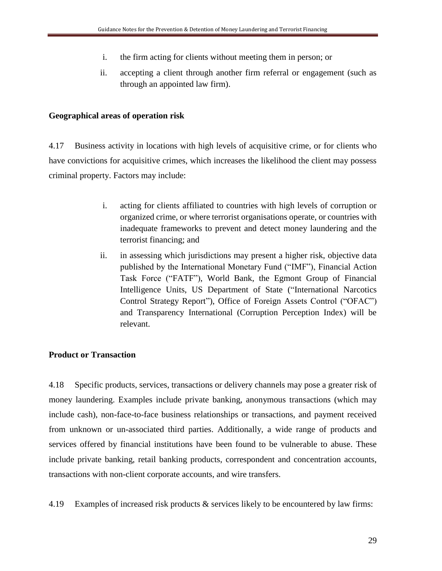- i. the firm acting for clients without meeting them in person; or
- ii. accepting a client through another firm referral or engagement (such as through an appointed law firm).

### **Geographical areas of operation risk**

4.17 Business activity in locations with high levels of acquisitive crime, or for clients who have convictions for acquisitive crimes, which increases the likelihood the client may possess criminal property. Factors may include:

- i. acting for clients affiliated to countries with high levels of corruption or organized crime, or where terrorist organisations operate, or countries with inadequate frameworks to prevent and detect money laundering and the terrorist financing; and
- ii. in assessing which jurisdictions may present a higher risk, objective data published by the International Monetary Fund ("IMF"), Financial Action Task Force ("FATF"), World Bank, the Egmont Group of Financial Intelligence Units, US Department of State ("International Narcotics Control Strategy Report"), Office of Foreign Assets Control ("OFAC") and Transparency International (Corruption Perception Index) will be relevant.

### **Product or Transaction**

4.18 Specific products, services, transactions or delivery channels may pose a greater risk of money laundering. Examples include private banking, anonymous transactions (which may include cash), non-face-to-face business relationships or transactions, and payment received from unknown or un-associated third parties. Additionally, a wide range of products and services offered by financial institutions have been found to be vulnerable to abuse. These include private banking, retail banking products, correspondent and concentration accounts, transactions with non-client corporate accounts, and wire transfers.

4.19 Examples of increased risk products & services likely to be encountered by law firms: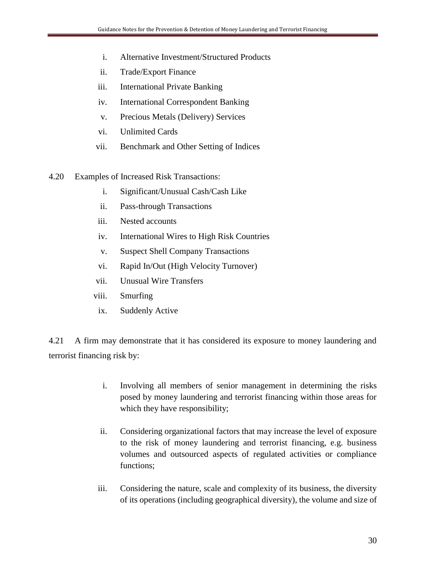- i. Alternative Investment/Structured Products
- ii. Trade/Export Finance
- iii. International Private Banking
- iv. International Correspondent Banking
- v. Precious Metals (Delivery) Services
- vi. Unlimited Cards
- vii. Benchmark and Other Setting of Indices
- 4.20 Examples of Increased Risk Transactions:
	- i. Significant/Unusual Cash/Cash Like
	- ii. Pass-through Transactions
	- iii. Nested accounts
	- iv. International Wires to High Risk Countries
	- v. Suspect Shell Company Transactions
	- vi. Rapid In/Out (High Velocity Turnover)
	- vii. Unusual Wire Transfers
	- viii. Smurfing
	- ix. Suddenly Active

4.21 A firm may demonstrate that it has considered its exposure to money laundering and terrorist financing risk by:

- i. Involving all members of senior management in determining the risks posed by money laundering and terrorist financing within those areas for which they have responsibility;
- ii. Considering organizational factors that may increase the level of exposure to the risk of money laundering and terrorist financing, e.g. business volumes and outsourced aspects of regulated activities or compliance functions;
- iii. Considering the nature, scale and complexity of its business, the diversity of its operations (including geographical diversity), the volume and size of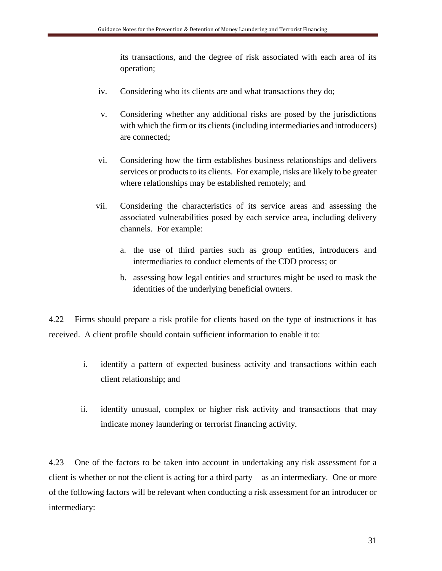its transactions, and the degree of risk associated with each area of its operation;

- iv. Considering who its clients are and what transactions they do;
- v. Considering whether any additional risks are posed by the jurisdictions with which the firm or its clients (including intermediaries and introducers) are connected;
- vi. Considering how the firm establishes business relationships and delivers services or products to its clients. For example, risks are likely to be greater where relationships may be established remotely; and
- vii. Considering the characteristics of its service areas and assessing the associated vulnerabilities posed by each service area, including delivery channels. For example:
	- a. the use of third parties such as group entities, introducers and intermediaries to conduct elements of the CDD process; or
	- b. assessing how legal entities and structures might be used to mask the identities of the underlying beneficial owners.

4.22 Firms should prepare a risk profile for clients based on the type of instructions it has received. A client profile should contain sufficient information to enable it to:

- i. identify a pattern of expected business activity and transactions within each client relationship; and
- ii. identify unusual, complex or higher risk activity and transactions that may indicate money laundering or terrorist financing activity.

4.23 One of the factors to be taken into account in undertaking any risk assessment for a client is whether or not the client is acting for a third party – as an intermediary. One or more of the following factors will be relevant when conducting a risk assessment for an introducer or intermediary: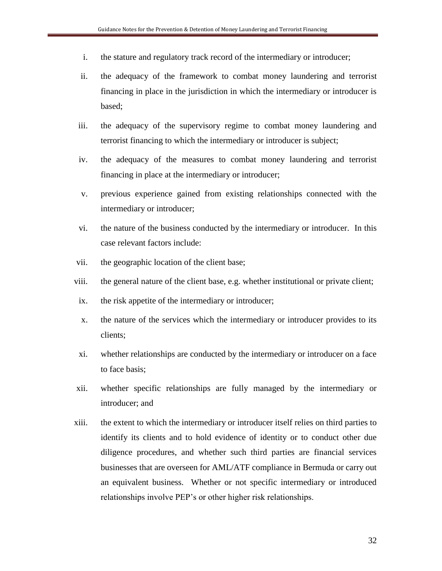- i. the stature and regulatory track record of the intermediary or introducer;
- ii. the adequacy of the framework to combat money laundering and terrorist financing in place in the jurisdiction in which the intermediary or introducer is based;
- iii. the adequacy of the supervisory regime to combat money laundering and terrorist financing to which the intermediary or introducer is subject;
- iv. the adequacy of the measures to combat money laundering and terrorist financing in place at the intermediary or introducer;
- v. previous experience gained from existing relationships connected with the intermediary or introducer;
- vi. the nature of the business conducted by the intermediary or introducer. In this case relevant factors include:
- vii. the geographic location of the client base;
- viii. the general nature of the client base, e.g. whether institutional or private client;
- ix. the risk appetite of the intermediary or introducer;
- x. the nature of the services which the intermediary or introducer provides to its clients;
- xi. whether relationships are conducted by the intermediary or introducer on a face to face basis;
- xii. whether specific relationships are fully managed by the intermediary or introducer; and
- xiii. the extent to which the intermediary or introducer itself relies on third parties to identify its clients and to hold evidence of identity or to conduct other due diligence procedures, and whether such third parties are financial services businesses that are overseen for AML/ATF compliance in Bermuda or carry out an equivalent business. Whether or not specific intermediary or introduced relationships involve PEP's or other higher risk relationships.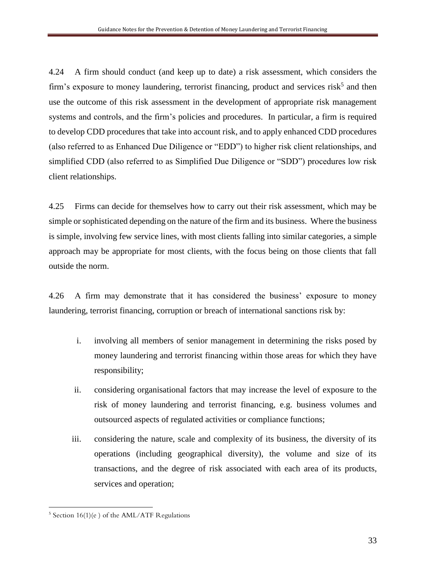4.24 A firm should conduct (and keep up to date) a risk assessment, which considers the firm's exposure to money laundering, terrorist financing, product and services risk<sup>5</sup> and then use the outcome of this risk assessment in the development of appropriate risk management systems and controls, and the firm's policies and procedures. In particular, a firm is required to develop CDD procedures that take into account risk, and to apply enhanced CDD procedures (also referred to as Enhanced Due Diligence or "EDD") to higher risk client relationships, and simplified CDD (also referred to as Simplified Due Diligence or "SDD") procedures low risk client relationships.

4.25 Firms can decide for themselves how to carry out their risk assessment, which may be simple or sophisticated depending on the nature of the firm and its business. Where the business is simple, involving few service lines, with most clients falling into similar categories, a simple approach may be appropriate for most clients, with the focus being on those clients that fall outside the norm.

4.26 A firm may demonstrate that it has considered the business' exposure to money laundering, terrorist financing, corruption or breach of international sanctions risk by:

- i. involving all members of senior management in determining the risks posed by money laundering and terrorist financing within those areas for which they have responsibility;
- ii. considering organisational factors that may increase the level of exposure to the risk of money laundering and terrorist financing, e.g. business volumes and outsourced aspects of regulated activities or compliance functions;
- iii. considering the nature, scale and complexity of its business, the diversity of its operations (including geographical diversity), the volume and size of its transactions, and the degree of risk associated with each area of its products, services and operation;

 $\overline{a}$ <sup>5</sup> Section 16(1)(e ) of the AML/ATF Regulations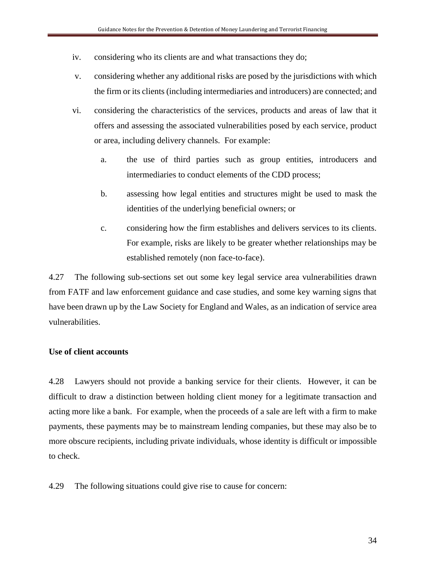- iv. considering who its clients are and what transactions they do;
- v. considering whether any additional risks are posed by the jurisdictions with which the firm or its clients (including intermediaries and introducers) are connected; and
- vi. considering the characteristics of the services, products and areas of law that it offers and assessing the associated vulnerabilities posed by each service, product or area, including delivery channels. For example:
	- a. the use of third parties such as group entities, introducers and intermediaries to conduct elements of the CDD process;
	- b. assessing how legal entities and structures might be used to mask the identities of the underlying beneficial owners; or
	- c. considering how the firm establishes and delivers services to its clients. For example, risks are likely to be greater whether relationships may be established remotely (non face-to-face).

4.27 The following sub-sections set out some key legal service area vulnerabilities drawn from FATF and law enforcement guidance and case studies, and some key warning signs that have been drawn up by the Law Society for England and Wales, as an indication of service area vulnerabilities.

### **Use of client accounts**

4.28 Lawyers should not provide a banking service for their clients. However, it can be difficult to draw a distinction between holding client money for a legitimate transaction and acting more like a bank. For example, when the proceeds of a sale are left with a firm to make payments, these payments may be to mainstream lending companies, but these may also be to more obscure recipients, including private individuals, whose identity is difficult or impossible to check.

4.29 The following situations could give rise to cause for concern: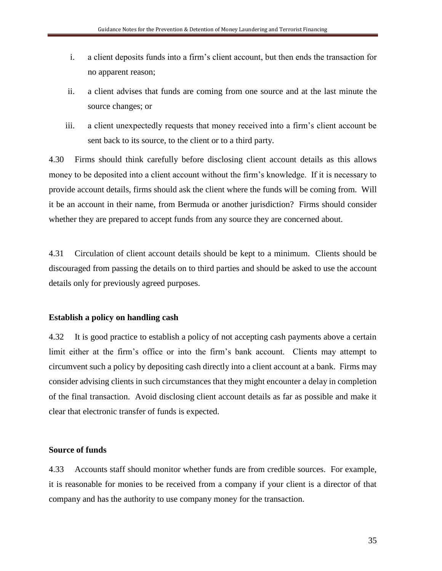- i. a client deposits funds into a firm's client account, but then ends the transaction for no apparent reason;
- ii. a client advises that funds are coming from one source and at the last minute the source changes; or
- iii. a client unexpectedly requests that money received into a firm's client account be sent back to its source, to the client or to a third party.

4.30 Firms should think carefully before disclosing client account details as this allows money to be deposited into a client account without the firm's knowledge. If it is necessary to provide account details, firms should ask the client where the funds will be coming from. Will it be an account in their name, from Bermuda or another jurisdiction? Firms should consider whether they are prepared to accept funds from any source they are concerned about.

4.31 Circulation of client account details should be kept to a minimum. Clients should be discouraged from passing the details on to third parties and should be asked to use the account details only for previously agreed purposes.

#### **Establish a policy on handling cash**

4.32 It is good practice to establish a policy of not accepting cash payments above a certain limit either at the firm's office or into the firm's bank account. Clients may attempt to circumvent such a policy by depositing cash directly into a client account at a bank. Firms may consider advising clients in such circumstances that they might encounter a delay in completion of the final transaction. Avoid disclosing client account details as far as possible and make it clear that electronic transfer of funds is expected.

#### **Source of funds**

4.33 Accounts staff should monitor whether funds are from credible sources. For example, it is reasonable for monies to be received from a company if your client is a director of that company and has the authority to use company money for the transaction.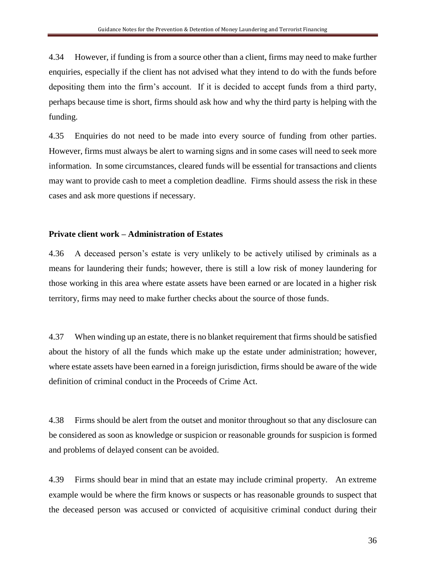4.34 However, if funding is from a source other than a client, firms may need to make further enquiries, especially if the client has not advised what they intend to do with the funds before depositing them into the firm's account. If it is decided to accept funds from a third party, perhaps because time is short, firms should ask how and why the third party is helping with the funding.

4.35 Enquiries do not need to be made into every source of funding from other parties. However, firms must always be alert to warning signs and in some cases will need to seek more information. In some circumstances, cleared funds will be essential for transactions and clients may want to provide cash to meet a completion deadline. Firms should assess the risk in these cases and ask more questions if necessary.

#### **Private client work – Administration of Estates**

4.36 A deceased person's estate is very unlikely to be actively utilised by criminals as a means for laundering their funds; however, there is still a low risk of money laundering for those working in this area where estate assets have been earned or are located in a higher risk territory, firms may need to make further checks about the source of those funds.

4.37 When winding up an estate, there is no blanket requirement that firms should be satisfied about the history of all the funds which make up the estate under administration; however, where estate assets have been earned in a foreign jurisdiction, firms should be aware of the wide definition of criminal conduct in the Proceeds of Crime Act.

4.38 Firms should be alert from the outset and monitor throughout so that any disclosure can be considered as soon as knowledge or suspicion or reasonable grounds for suspicion is formed and problems of delayed consent can be avoided.

4.39 Firms should bear in mind that an estate may include criminal property. An extreme example would be where the firm knows or suspects or has reasonable grounds to suspect that the deceased person was accused or convicted of acquisitive criminal conduct during their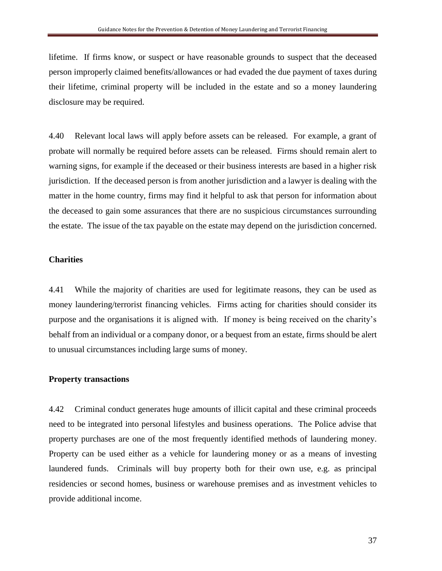lifetime. If firms know, or suspect or have reasonable grounds to suspect that the deceased person improperly claimed benefits/allowances or had evaded the due payment of taxes during their lifetime, criminal property will be included in the estate and so a money laundering disclosure may be required.

4.40 Relevant local laws will apply before assets can be released. For example, a grant of probate will normally be required before assets can be released. Firms should remain alert to warning signs, for example if the deceased or their business interests are based in a higher risk jurisdiction. If the deceased person is from another jurisdiction and a lawyer is dealing with the matter in the home country, firms may find it helpful to ask that person for information about the deceased to gain some assurances that there are no suspicious circumstances surrounding the estate. The issue of the tax payable on the estate may depend on the jurisdiction concerned.

#### **Charities**

4.41 While the majority of charities are used for legitimate reasons, they can be used as money laundering/terrorist financing vehicles. Firms acting for charities should consider its purpose and the organisations it is aligned with. If money is being received on the charity's behalf from an individual or a company donor, or a bequest from an estate, firms should be alert to unusual circumstances including large sums of money.

#### **Property transactions**

4.42 Criminal conduct generates huge amounts of illicit capital and these criminal proceeds need to be integrated into personal lifestyles and business operations. The Police advise that property purchases are one of the most frequently identified methods of laundering money. Property can be used either as a vehicle for laundering money or as a means of investing laundered funds. Criminals will buy property both for their own use, e.g. as principal residencies or second homes, business or warehouse premises and as investment vehicles to provide additional income.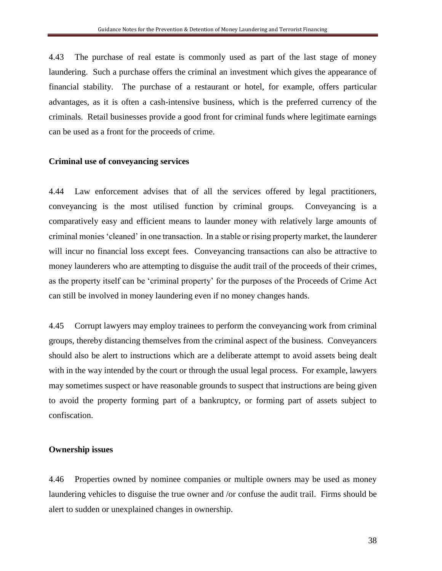4.43 The purchase of real estate is commonly used as part of the last stage of money laundering. Such a purchase offers the criminal an investment which gives the appearance of financial stability. The purchase of a restaurant or hotel, for example, offers particular advantages, as it is often a cash-intensive business, which is the preferred currency of the criminals. Retail businesses provide a good front for criminal funds where legitimate earnings can be used as a front for the proceeds of crime.

#### **Criminal use of conveyancing services**

4.44 Law enforcement advises that of all the services offered by legal practitioners, conveyancing is the most utilised function by criminal groups. Conveyancing is a comparatively easy and efficient means to launder money with relatively large amounts of criminal monies 'cleaned' in one transaction. In a stable or rising property market, the launderer will incur no financial loss except fees. Conveyancing transactions can also be attractive to money launderers who are attempting to disguise the audit trail of the proceeds of their crimes, as the property itself can be 'criminal property' for the purposes of the Proceeds of Crime Act can still be involved in money laundering even if no money changes hands.

4.45 Corrupt lawyers may employ trainees to perform the conveyancing work from criminal groups, thereby distancing themselves from the criminal aspect of the business. Conveyancers should also be alert to instructions which are a deliberate attempt to avoid assets being dealt with in the way intended by the court or through the usual legal process. For example, lawyers may sometimes suspect or have reasonable grounds to suspect that instructions are being given to avoid the property forming part of a bankruptcy, or forming part of assets subject to confiscation.

#### **Ownership issues**

4.46 Properties owned by nominee companies or multiple owners may be used as money laundering vehicles to disguise the true owner and /or confuse the audit trail. Firms should be alert to sudden or unexplained changes in ownership.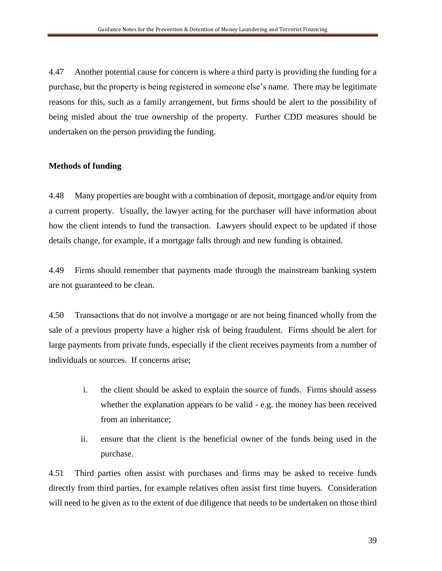4.47 Another potential cause for concern is where a third party is providing the funding for a purchase, but the property is being registered in someone else's name. There may be legitimate reasons for this, such as a family arrangement, but firms should be alert to the possibility of being misled about the true ownership of the property. Further CDD measures should be undertaken on the person providing the funding.

## **Methods of funding**

4.48 Many properties are bought with a combination of deposit, mortgage and/or equity from a current property. Usually, the lawyer acting for the purchaser will have information about how the client intends to fund the transaction. Lawyers should expect to be updated if those details change, for example, if a mortgage falls through and new funding is obtained.

4.49 Firms should remember that payments made through the mainstream banking system are not guaranteed to be clean.

4.50 Transactions that do not involve a mortgage or are not being financed wholly from the sale of a previous property have a higher risk of being fraudulent. Firms should be alert for large payments from private funds, especially if the client receives payments from a number of individuals or sources. If concerns arise;

- i. the client should be asked to explain the source of funds. Firms should assess whether the explanation appears to be valid - e.g. the money has been received from an inheritance;
- ii. ensure that the client is the beneficial owner of the funds being used in the purchase.

4.51 Third parties often assist with purchases and firms may be asked to receive funds directly from third parties, for example relatives often assist first time buyers. Consideration will need to be given as to the extent of due diligence that needs to be undertaken on those third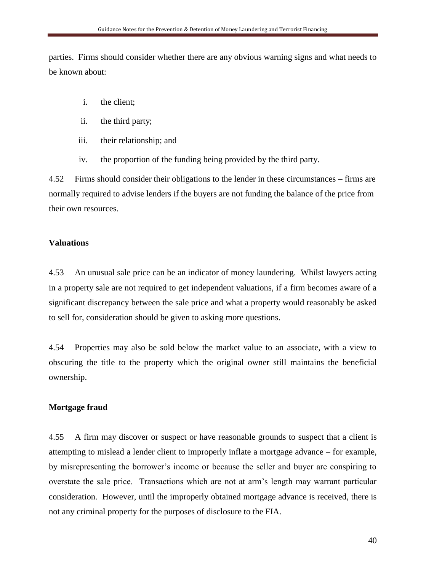parties. Firms should consider whether there are any obvious warning signs and what needs to be known about:

- i. the client;
- ii. the third party;
- iii. their relationship; and
- iv. the proportion of the funding being provided by the third party.

4.52 Firms should consider their obligations to the lender in these circumstances – firms are normally required to advise lenders if the buyers are not funding the balance of the price from their own resources.

#### **Valuations**

4.53 An unusual sale price can be an indicator of money laundering. Whilst lawyers acting in a property sale are not required to get independent valuations, if a firm becomes aware of a significant discrepancy between the sale price and what a property would reasonably be asked to sell for, consideration should be given to asking more questions.

4.54 Properties may also be sold below the market value to an associate, with a view to obscuring the title to the property which the original owner still maintains the beneficial ownership.

#### **Mortgage fraud**

4.55 A firm may discover or suspect or have reasonable grounds to suspect that a client is attempting to mislead a lender client to improperly inflate a mortgage advance – for example, by misrepresenting the borrower's income or because the seller and buyer are conspiring to overstate the sale price. Transactions which are not at arm's length may warrant particular consideration. However, until the improperly obtained mortgage advance is received, there is not any criminal property for the purposes of disclosure to the FIA.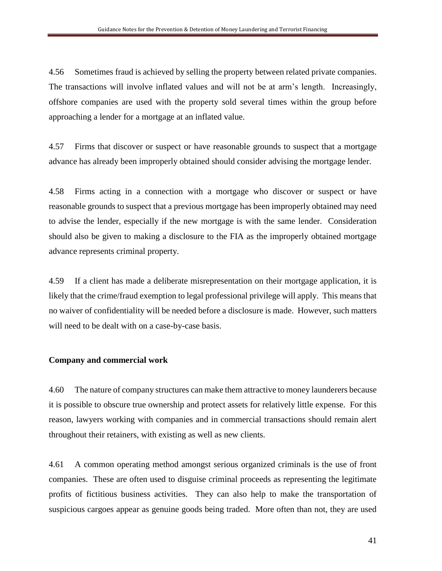4.56 Sometimes fraud is achieved by selling the property between related private companies. The transactions will involve inflated values and will not be at arm's length. Increasingly, offshore companies are used with the property sold several times within the group before approaching a lender for a mortgage at an inflated value.

4.57 Firms that discover or suspect or have reasonable grounds to suspect that a mortgage advance has already been improperly obtained should consider advising the mortgage lender.

4.58 Firms acting in a connection with a mortgage who discover or suspect or have reasonable grounds to suspect that a previous mortgage has been improperly obtained may need to advise the lender, especially if the new mortgage is with the same lender. Consideration should also be given to making a disclosure to the FIA as the improperly obtained mortgage advance represents criminal property.

4.59 If a client has made a deliberate misrepresentation on their mortgage application, it is likely that the crime/fraud exemption to legal professional privilege will apply. This means that no waiver of confidentiality will be needed before a disclosure is made. However, such matters will need to be dealt with on a case-by-case basis.

#### **Company and commercial work**

4.60 The nature of company structures can make them attractive to money launderers because it is possible to obscure true ownership and protect assets for relatively little expense. For this reason, lawyers working with companies and in commercial transactions should remain alert throughout their retainers, with existing as well as new clients.

4.61 A common operating method amongst serious organized criminals is the use of front companies. These are often used to disguise criminal proceeds as representing the legitimate profits of fictitious business activities. They can also help to make the transportation of suspicious cargoes appear as genuine goods being traded. More often than not, they are used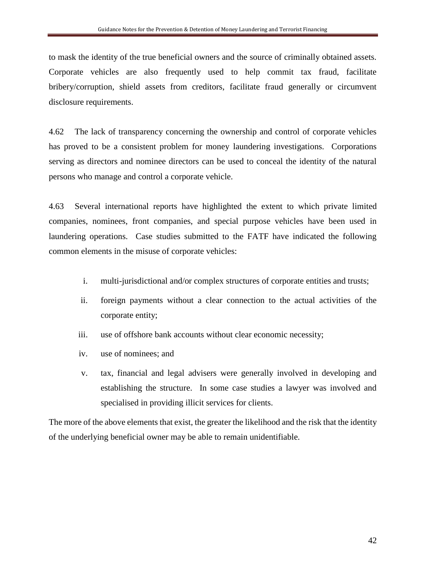to mask the identity of the true beneficial owners and the source of criminally obtained assets. Corporate vehicles are also frequently used to help commit tax fraud, facilitate bribery/corruption, shield assets from creditors, facilitate fraud generally or circumvent disclosure requirements.

4.62 The lack of transparency concerning the ownership and control of corporate vehicles has proved to be a consistent problem for money laundering investigations. Corporations serving as directors and nominee directors can be used to conceal the identity of the natural persons who manage and control a corporate vehicle.

4.63 Several international reports have highlighted the extent to which private limited companies, nominees, front companies, and special purpose vehicles have been used in laundering operations. Case studies submitted to the FATF have indicated the following common elements in the misuse of corporate vehicles:

- i. multi-jurisdictional and/or complex structures of corporate entities and trusts;
- ii. foreign payments without a clear connection to the actual activities of the corporate entity;
- iii. use of offshore bank accounts without clear economic necessity;
- iv. use of nominees; and
- v. tax, financial and legal advisers were generally involved in developing and establishing the structure. In some case studies a lawyer was involved and specialised in providing illicit services for clients.

The more of the above elements that exist, the greater the likelihood and the risk that the identity of the underlying beneficial owner may be able to remain unidentifiable.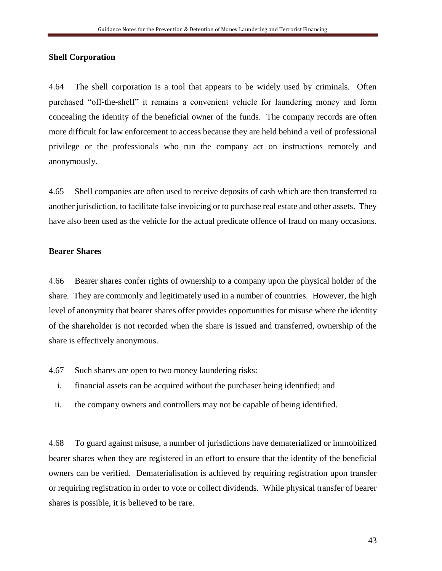#### **Shell Corporation**

4.64 The shell corporation is a tool that appears to be widely used by criminals. Often purchased "off-the-shelf" it remains a convenient vehicle for laundering money and form concealing the identity of the beneficial owner of the funds. The company records are often more difficult for law enforcement to access because they are held behind a veil of professional privilege or the professionals who run the company act on instructions remotely and anonymously.

4.65 Shell companies are often used to receive deposits of cash which are then transferred to another jurisdiction, to facilitate false invoicing or to purchase real estate and other assets. They have also been used as the vehicle for the actual predicate offence of fraud on many occasions.

#### **Bearer Shares**

4.66 Bearer shares confer rights of ownership to a company upon the physical holder of the share. They are commonly and legitimately used in a number of countries. However, the high level of anonymity that bearer shares offer provides opportunities for misuse where the identity of the shareholder is not recorded when the share is issued and transferred, ownership of the share is effectively anonymous.

- 4.67 Such shares are open to two money laundering risks:
	- i. financial assets can be acquired without the purchaser being identified; and
	- ii. the company owners and controllers may not be capable of being identified.

4.68 To guard against misuse, a number of jurisdictions have dematerialized or immobilized bearer shares when they are registered in an effort to ensure that the identity of the beneficial owners can be verified. Dematerialisation is achieved by requiring registration upon transfer or requiring registration in order to vote or collect dividends. While physical transfer of bearer shares is possible, it is believed to be rare.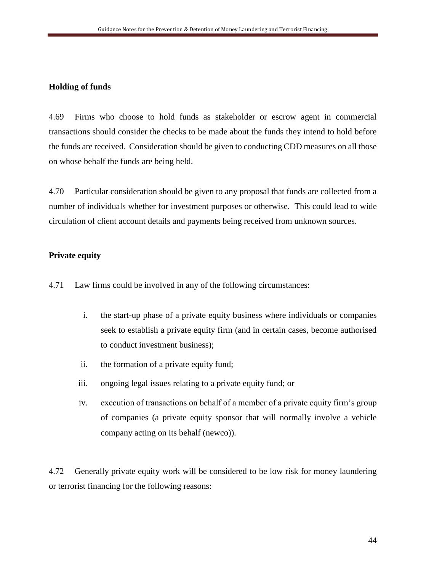## **Holding of funds**

4.69 Firms who choose to hold funds as stakeholder or escrow agent in commercial transactions should consider the checks to be made about the funds they intend to hold before the funds are received. Consideration should be given to conducting CDD measures on all those on whose behalf the funds are being held.

4.70 Particular consideration should be given to any proposal that funds are collected from a number of individuals whether for investment purposes or otherwise. This could lead to wide circulation of client account details and payments being received from unknown sources.

### **Private equity**

4.71 Law firms could be involved in any of the following circumstances:

- i. the start-up phase of a private equity business where individuals or companies seek to establish a private equity firm (and in certain cases, become authorised to conduct investment business);
- ii. the formation of a private equity fund;
- iii. ongoing legal issues relating to a private equity fund; or
- iv. execution of transactions on behalf of a member of a private equity firm's group of companies (a private equity sponsor that will normally involve a vehicle company acting on its behalf (newco)).

4.72 Generally private equity work will be considered to be low risk for money laundering or terrorist financing for the following reasons: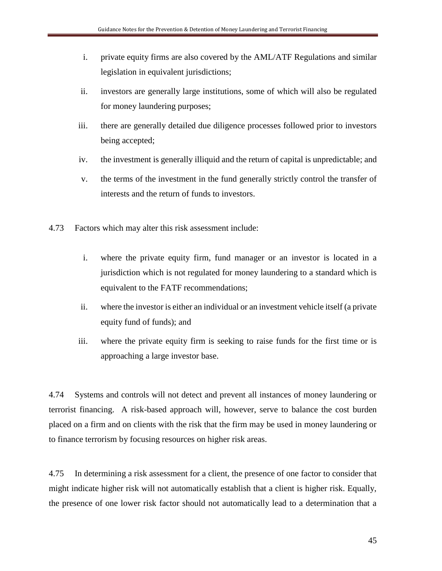- i. private equity firms are also covered by the AML/ATF Regulations and similar legislation in equivalent jurisdictions;
- ii. investors are generally large institutions, some of which will also be regulated for money laundering purposes;
- iii. there are generally detailed due diligence processes followed prior to investors being accepted;
- iv. the investment is generally illiquid and the return of capital is unpredictable; and
- v. the terms of the investment in the fund generally strictly control the transfer of interests and the return of funds to investors.
- 4.73 Factors which may alter this risk assessment include:
	- i. where the private equity firm, fund manager or an investor is located in a jurisdiction which is not regulated for money laundering to a standard which is equivalent to the FATF recommendations;
	- ii. where the investor is either an individual or an investment vehicle itself (a private equity fund of funds); and
	- iii. where the private equity firm is seeking to raise funds for the first time or is approaching a large investor base.

4.74 Systems and controls will not detect and prevent all instances of money laundering or terrorist financing. A risk-based approach will, however, serve to balance the cost burden placed on a firm and on clients with the risk that the firm may be used in money laundering or to finance terrorism by focusing resources on higher risk areas.

4.75 In determining a risk assessment for a client, the presence of one factor to consider that might indicate higher risk will not automatically establish that a client is higher risk. Equally, the presence of one lower risk factor should not automatically lead to a determination that a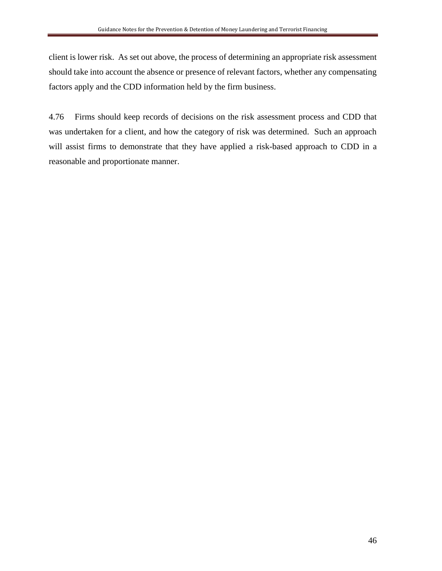client is lower risk. As set out above, the process of determining an appropriate risk assessment should take into account the absence or presence of relevant factors, whether any compensating factors apply and the CDD information held by the firm business.

4.76 Firms should keep records of decisions on the risk assessment process and CDD that was undertaken for a client, and how the category of risk was determined. Such an approach will assist firms to demonstrate that they have applied a risk-based approach to CDD in a reasonable and proportionate manner.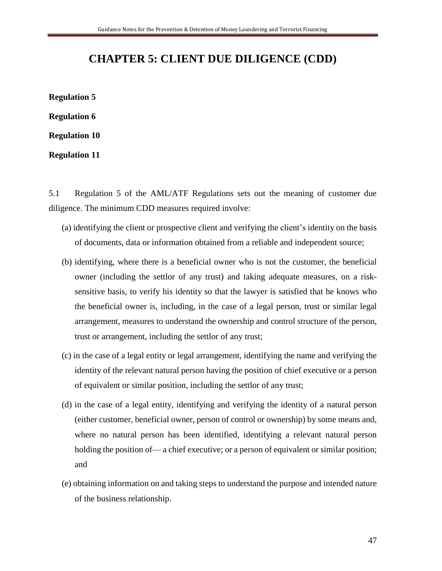## **CHAPTER 5: CLIENT DUE DILIGENCE (CDD)**

**Regulation 5 Regulation 6 Regulation 10**

**Regulation 11**

5.1 Regulation 5 of the AML/ATF Regulations sets out the meaning of customer due diligence. The minimum CDD measures required involve:

- (a) identifying the client or prospective client and verifying the client's identity on the basis of documents, data or information obtained from a reliable and independent source;
- (b) identifying, where there is a beneficial owner who is not the customer, the beneficial owner (including the settlor of any trust) and taking adequate measures, on a risksensitive basis, to verify his identity so that the lawyer is satisfied that he knows who the beneficial owner is, including, in the case of a legal person, trust or similar legal arrangement, measures to understand the ownership and control structure of the person, trust or arrangement, including the settlor of any trust;
- (c) in the case of a legal entity or legal arrangement, identifying the name and verifying the identity of the relevant natural person having the position of chief executive or a person of equivalent or similar position, including the settlor of any trust;
- (d) in the case of a legal entity, identifying and verifying the identity of a natural person (either customer, beneficial owner, person of control or ownership) by some means and, where no natural person has been identified, identifying a relevant natural person holding the position of— a chief executive; or a person of equivalent or similar position; and
- (e) obtaining information on and taking steps to understand the purpose and intended nature of the business relationship.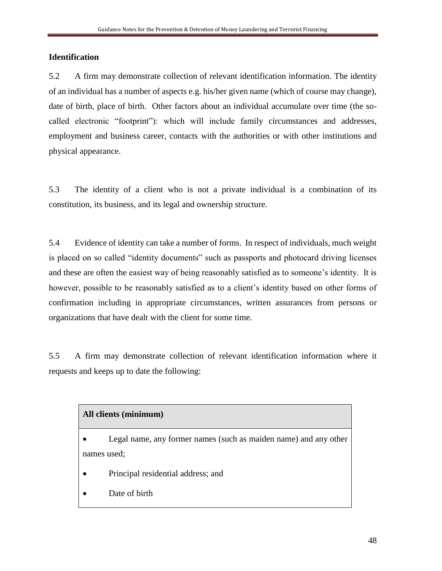## **Identification**

5.2 A firm may demonstrate collection of relevant identification information. The identity of an individual has a number of aspects e.g. his/her given name (which of course may change), date of birth, place of birth. Other factors about an individual accumulate over time (the socalled electronic "footprint"): which will include family circumstances and addresses, employment and business career, contacts with the authorities or with other institutions and physical appearance.

5.3 The identity of a client who is not a private individual is a combination of its constitution, its business, and its legal and ownership structure.

5.4 Evidence of identity can take a number of forms. In respect of individuals, much weight is placed on so called "identity documents" such as passports and photocard driving licenses and these are often the easiest way of being reasonably satisfied as to someone's identity. It is however, possible to be reasonably satisfied as to a client's identity based on other forms of confirmation including in appropriate circumstances, written assurances from persons or organizations that have dealt with the client for some time.

5.5 A firm may demonstrate collection of relevant identification information where it requests and keeps up to date the following:

## **All clients (minimum)**

- Legal name, any former names (such as maiden name) and any other names used;
- Principal residential address; and
- Date of birth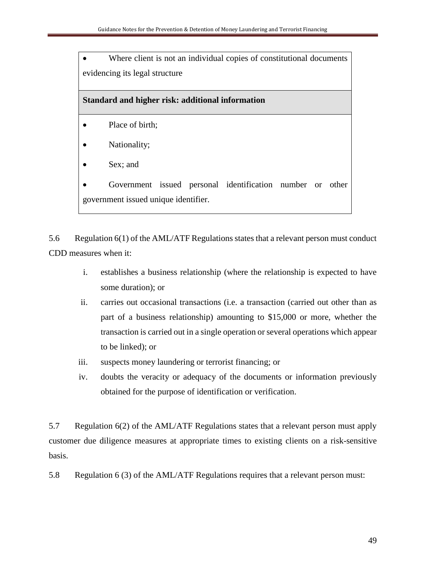• Where client is not an individual copies of constitutional documents evidencing its legal structure

## **Standard and higher risk: additional information**

- Place of birth;
- Nationality;
- Sex; and

Government issued personal identification number or other government issued unique identifier.

5.6 Regulation 6(1) of the AML/ATF Regulations states that a relevant person must conduct CDD measures when it:

- i. establishes a business relationship (where the relationship is expected to have some duration); or
- ii. carries out occasional transactions (i.e. a transaction (carried out other than as part of a business relationship) amounting to \$15,000 or more, whether the transaction is carried out in a single operation or several operations which appear to be linked); or
- iii. suspects money laundering or terrorist financing; or
- iv. doubts the veracity or adequacy of the documents or information previously obtained for the purpose of identification or verification.

5.7 Regulation 6(2) of the AML/ATF Regulations states that a relevant person must apply customer due diligence measures at appropriate times to existing clients on a risk-sensitive basis.

5.8 Regulation 6 (3) of the AML/ATF Regulations requires that a relevant person must: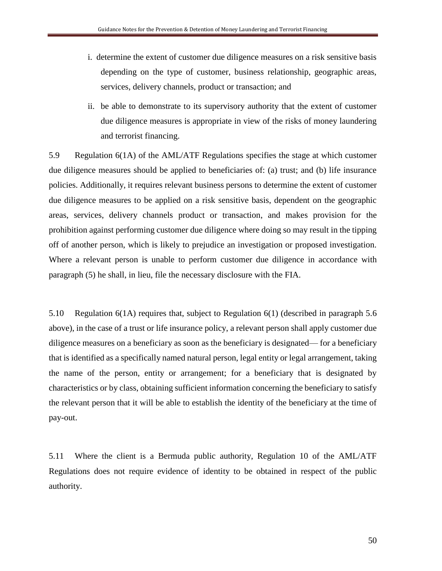- i. determine the extent of customer due diligence measures on a risk sensitive basis depending on the type of customer, business relationship, geographic areas, services, delivery channels, product or transaction; and
- ii. be able to demonstrate to its supervisory authority that the extent of customer due diligence measures is appropriate in view of the risks of money laundering and terrorist financing.

5.9 Regulation 6(1A) of the AML/ATF Regulations specifies the stage at which customer due diligence measures should be applied to beneficiaries of: (a) trust; and (b) life insurance policies. Additionally, it requires relevant business persons to determine the extent of customer due diligence measures to be applied on a risk sensitive basis, dependent on the geographic areas, services, delivery channels product or transaction, and makes provision for the prohibition against performing customer due diligence where doing so may result in the tipping off of another person, which is likely to prejudice an investigation or proposed investigation. Where a relevant person is unable to perform customer due diligence in accordance with paragraph (5) he shall, in lieu, file the necessary disclosure with the FIA.

5.10 Regulation 6(1A) requires that, subject to Regulation 6(1) (described in paragraph 5.6 above), in the case of a trust or life insurance policy, a relevant person shall apply customer due diligence measures on a beneficiary as soon as the beneficiary is designated— for a beneficiary that is identified as a specifically named natural person, legal entity or legal arrangement, taking the name of the person, entity or arrangement; for a beneficiary that is designated by characteristics or by class, obtaining sufficient information concerning the beneficiary to satisfy the relevant person that it will be able to establish the identity of the beneficiary at the time of pay-out.

5.11 Where the client is a Bermuda public authority, Regulation 10 of the AML/ATF Regulations does not require evidence of identity to be obtained in respect of the public authority.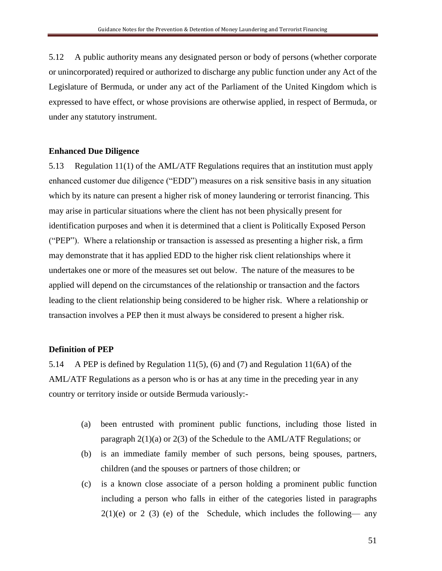5.12 A public authority means any designated person or body of persons (whether corporate or unincorporated) required or authorized to discharge any public function under any Act of the Legislature of Bermuda, or under any act of the Parliament of the United Kingdom which is expressed to have effect, or whose provisions are otherwise applied, in respect of Bermuda, or under any statutory instrument.

#### **Enhanced Due Diligence**

5.13 Regulation 11(1) of the AML/ATF Regulations requires that an institution must apply enhanced customer due diligence ("EDD") measures on a risk sensitive basis in any situation which by its nature can present a higher risk of money laundering or terrorist financing. This may arise in particular situations where the client has not been physically present for identification purposes and when it is determined that a client is Politically Exposed Person ("PEP"). Where a relationship or transaction is assessed as presenting a higher risk, a firm may demonstrate that it has applied EDD to the higher risk client relationships where it undertakes one or more of the measures set out below. The nature of the measures to be applied will depend on the circumstances of the relationship or transaction and the factors leading to the client relationship being considered to be higher risk. Where a relationship or transaction involves a PEP then it must always be considered to present a higher risk.

#### **Definition of PEP**

5.14 A PEP is defined by Regulation 11(5), (6) and (7) and Regulation 11(6A) of the AML/ATF Regulations as a person who is or has at any time in the preceding year in any country or territory inside or outside Bermuda variously:-

- (a) been entrusted with prominent public functions, including those listed in paragraph 2(1)(a) or 2(3) of the Schedule to the AML/ATF Regulations; or
- (b) is an immediate family member of such persons, being spouses, partners, children (and the spouses or partners of those children; or
- (c) is a known close associate of a person holding a prominent public function including a person who falls in either of the categories listed in paragraphs  $2(1)(e)$  or 2 (3) (e) of the Schedule, which includes the following— any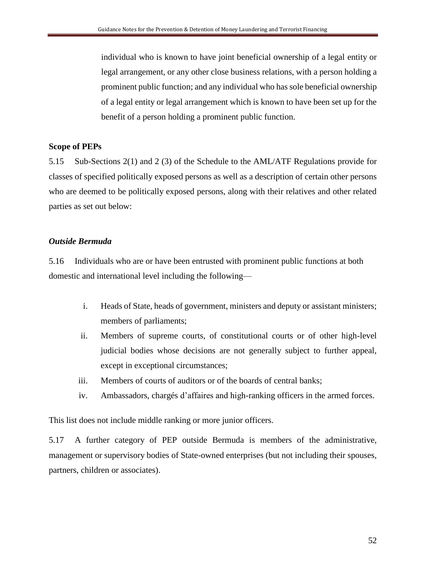individual who is known to have joint beneficial ownership of a legal entity or legal arrangement, or any other close business relations, with a person holding a prominent public function; and any individual who has sole beneficial ownership of a legal entity or legal arrangement which is known to have been set up for the benefit of a person holding a prominent public function.

#### **Scope of PEPs**

5.15 Sub-Sections 2(1) and 2 (3) of the Schedule to the AML/ATF Regulations provide for classes of specified politically exposed persons as well as a description of certain other persons who are deemed to be politically exposed persons, along with their relatives and other related parties as set out below:

#### *Outside Bermuda*

5.16 Individuals who are or have been entrusted with prominent public functions at both domestic and international level including the following—

- i. Heads of State, heads of government, ministers and deputy or assistant ministers; members of parliaments;
- ii. Members of supreme courts, of constitutional courts or of other high-level judicial bodies whose decisions are not generally subject to further appeal, except in exceptional circumstances;
- iii. Members of courts of auditors or of the boards of central banks;
- iv. Ambassadors, chargés d'affaires and high-ranking officers in the armed forces.

This list does not include middle ranking or more junior officers.

5.17 A further category of PEP outside Bermuda is members of the administrative, management or supervisory bodies of State-owned enterprises (but not including their spouses, partners, children or associates).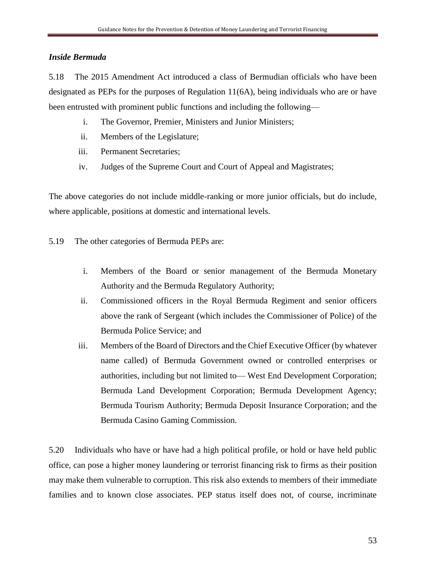## *Inside Bermuda*

5.18 The 2015 Amendment Act introduced a class of Bermudian officials who have been designated as PEPs for the purposes of Regulation 11(6A), being individuals who are or have been entrusted with prominent public functions and including the following—

- i. The Governor, Premier, Ministers and Junior Ministers;
- ii. Members of the Legislature;
- iii. Permanent Secretaries;
- iv. Judges of the Supreme Court and Court of Appeal and Magistrates;

The above categories do not include middle-ranking or more junior officials, but do include, where applicable, positions at domestic and international levels.

5.19 The other categories of Bermuda PEPs are:

- i. Members of the Board or senior management of the Bermuda Monetary Authority and the Bermuda Regulatory Authority;
- ii. Commissioned officers in the Royal Bermuda Regiment and senior officers above the rank of Sergeant (which includes the Commissioner of Police) of the Bermuda Police Service; and
- iii. Members of the Board of Directors and the Chief Executive Officer (by whatever name called) of Bermuda Government owned or controlled enterprises or authorities, including but not limited to— West End Development Corporation; Bermuda Land Development Corporation; Bermuda Development Agency; Bermuda Tourism Authority; Bermuda Deposit Insurance Corporation; and the Bermuda Casino Gaming Commission.

5.20 Individuals who have or have had a high political profile, or hold or have held public office, can pose a higher money laundering or terrorist financing risk to firms as their position may make them vulnerable to corruption. This risk also extends to members of their immediate families and to known close associates. PEP status itself does not, of course, incriminate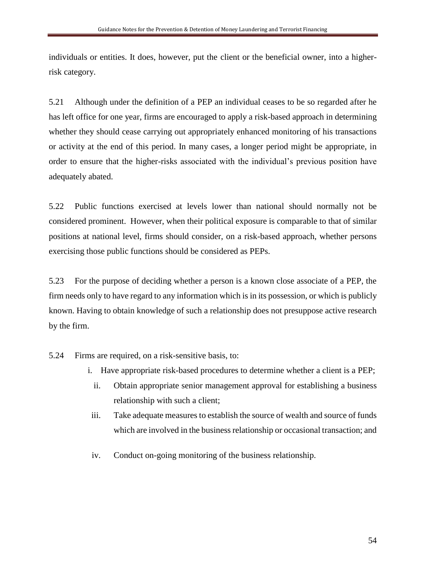individuals or entities. It does, however, put the client or the beneficial owner, into a higherrisk category.

5.21 Although under the definition of a PEP an individual ceases to be so regarded after he has left office for one year, firms are encouraged to apply a risk-based approach in determining whether they should cease carrying out appropriately enhanced monitoring of his transactions or activity at the end of this period. In many cases, a longer period might be appropriate, in order to ensure that the higher-risks associated with the individual's previous position have adequately abated.

5.22 Public functions exercised at levels lower than national should normally not be considered prominent. However, when their political exposure is comparable to that of similar positions at national level, firms should consider, on a risk-based approach, whether persons exercising those public functions should be considered as PEPs.

5.23 For the purpose of deciding whether a person is a known close associate of a PEP, the firm needs only to have regard to any information which is in its possession, or which is publicly known. Having to obtain knowledge of such a relationship does not presuppose active research by the firm.

5.24 Firms are required, on a risk-sensitive basis, to:

- i. Have appropriate risk-based procedures to determine whether a client is a PEP;
	- ii. Obtain appropriate senior management approval for establishing a business relationship with such a client;
- iii. Take adequate measures to establish the source of wealth and source of funds which are involved in the business relationship or occasional transaction; and
- iv. Conduct on-going monitoring of the business relationship.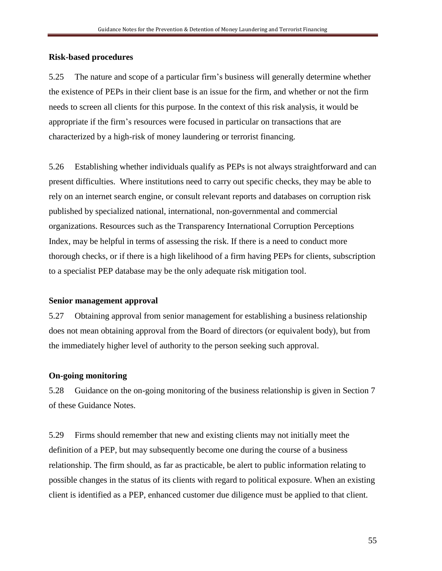#### **Risk-based procedures**

5.25 The nature and scope of a particular firm's business will generally determine whether the existence of PEPs in their client base is an issue for the firm, and whether or not the firm needs to screen all clients for this purpose. In the context of this risk analysis, it would be appropriate if the firm's resources were focused in particular on transactions that are characterized by a high-risk of money laundering or terrorist financing.

5.26 Establishing whether individuals qualify as PEPs is not always straightforward and can present difficulties. Where institutions need to carry out specific checks, they may be able to rely on an internet search engine, or consult relevant reports and databases on corruption risk published by specialized national, international, non-governmental and commercial organizations. Resources such as the Transparency International Corruption Perceptions Index, may be helpful in terms of assessing the risk. If there is a need to conduct more thorough checks, or if there is a high likelihood of a firm having PEPs for clients, subscription to a specialist PEP database may be the only adequate risk mitigation tool.

#### **Senior management approval**

5.27 Obtaining approval from senior management for establishing a business relationship does not mean obtaining approval from the Board of directors (or equivalent body), but from the immediately higher level of authority to the person seeking such approval.

### **On-going monitoring**

5.28 Guidance on the on-going monitoring of the business relationship is given in Section 7 of these Guidance Notes.

5.29 Firms should remember that new and existing clients may not initially meet the definition of a PEP, but may subsequently become one during the course of a business relationship. The firm should, as far as practicable, be alert to public information relating to possible changes in the status of its clients with regard to political exposure. When an existing client is identified as a PEP, enhanced customer due diligence must be applied to that client.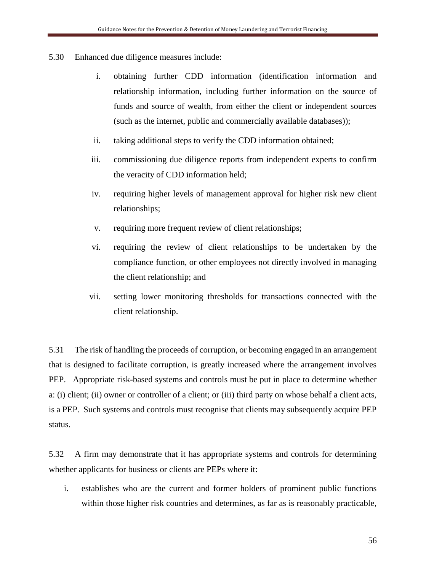- 5.30 Enhanced due diligence measures include:
	- i. obtaining further CDD information (identification information and relationship information, including further information on the source of funds and source of wealth, from either the client or independent sources (such as the internet, public and commercially available databases));
	- ii. taking additional steps to verify the CDD information obtained;
	- iii. commissioning due diligence reports from independent experts to confirm the veracity of CDD information held;
	- iv. requiring higher levels of management approval for higher risk new client relationships;
	- v. requiring more frequent review of client relationships;
	- vi. requiring the review of client relationships to be undertaken by the compliance function, or other employees not directly involved in managing the client relationship; and
	- vii. setting lower monitoring thresholds for transactions connected with the client relationship.

5.31 The risk of handling the proceeds of corruption, or becoming engaged in an arrangement that is designed to facilitate corruption, is greatly increased where the arrangement involves PEP. Appropriate risk-based systems and controls must be put in place to determine whether a: (i) client; (ii) owner or controller of a client; or (iii) third party on whose behalf a client acts, is a PEP. Such systems and controls must recognise that clients may subsequently acquire PEP status.

5.32 A firm may demonstrate that it has appropriate systems and controls for determining whether applicants for business or clients are PEPs where it:

i. establishes who are the current and former holders of prominent public functions within those higher risk countries and determines, as far as is reasonably practicable,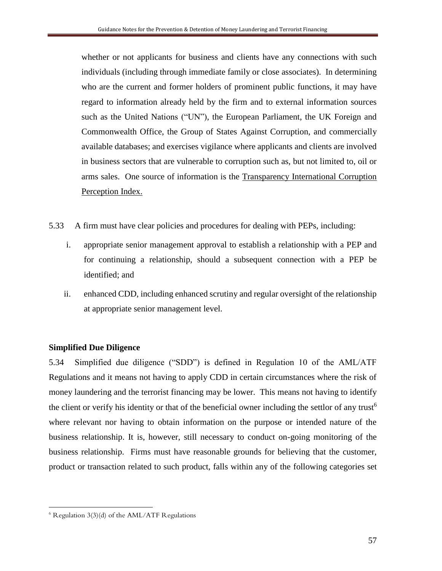whether or not applicants for business and clients have any connections with such individuals (including through immediate family or close associates). In determining who are the current and former holders of prominent public functions, it may have regard to information already held by the firm and to external information sources such as the United Nations ("UN"), the European Parliament, the UK Foreign and Commonwealth Office, the Group of States Against Corruption, and commercially available databases; and exercises vigilance where applicants and clients are involved in business sectors that are vulnerable to corruption such as, but not limited to, oil or arms sales. One source of information is the Transparency International Corruption Perception Index.

- 5.33 A firm must have clear policies and procedures for dealing with PEPs, including:
	- i. appropriate senior management approval to establish a relationship with a PEP and for continuing a relationship, should a subsequent connection with a PEP be identified; and
	- ii. enhanced CDD, including enhanced scrutiny and regular oversight of the relationship at appropriate senior management level.

#### **Simplified Due Diligence**

5.34 Simplified due diligence ("SDD") is defined in Regulation 10 of the AML/ATF Regulations and it means not having to apply CDD in certain circumstances where the risk of money laundering and the terrorist financing may be lower. This means not having to identify the client or verify his identity or that of the beneficial owner including the settlor of any trust<sup>6</sup> where relevant nor having to obtain information on the purpose or intended nature of the business relationship. It is, however, still necessary to conduct on-going monitoring of the business relationship. Firms must have reasonable grounds for believing that the customer, product or transaction related to such product, falls within any of the following categories set

 $\overline{a}$ 

 $6$  Regulation 3(3)(d) of the AML/ATF Regulations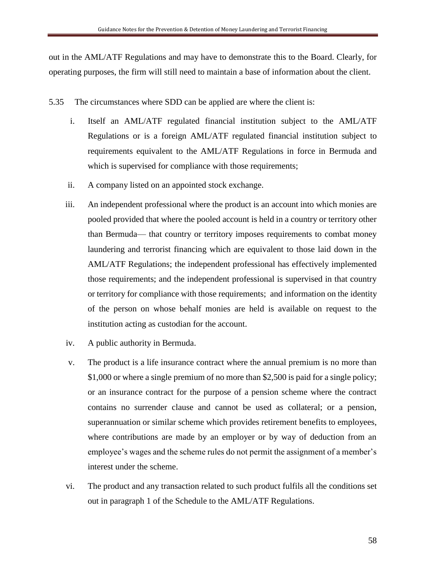out in the AML/ATF Regulations and may have to demonstrate this to the Board. Clearly, for operating purposes, the firm will still need to maintain a base of information about the client.

- 5.35 The circumstances where SDD can be applied are where the client is:
	- i. Itself an AML/ATF regulated financial institution subject to the AML/ATF Regulations or is a foreign AML/ATF regulated financial institution subject to requirements equivalent to the AML/ATF Regulations in force in Bermuda and which is supervised for compliance with those requirements;
	- ii. A company listed on an appointed stock exchange.
	- iii. An independent professional where the product is an account into which monies are pooled provided that where the pooled account is held in a country or territory other than Bermuda— that country or territory imposes requirements to combat money laundering and terrorist financing which are equivalent to those laid down in the AML/ATF Regulations; the independent professional has effectively implemented those requirements; and the independent professional is supervised in that country or territory for compliance with those requirements; and information on the identity of the person on whose behalf monies are held is available on request to the institution acting as custodian for the account.
	- iv. A public authority in Bermuda.
	- v. The product is a life insurance contract where the annual premium is no more than \$1,000 or where a single premium of no more than \$2,500 is paid for a single policy; or an insurance contract for the purpose of a pension scheme where the contract contains no surrender clause and cannot be used as collateral; or a pension, superannuation or similar scheme which provides retirement benefits to employees, where contributions are made by an employer or by way of deduction from an employee's wages and the scheme rules do not permit the assignment of a member's interest under the scheme.
	- vi. The product and any transaction related to such product fulfils all the conditions set out in paragraph 1 of the Schedule to the AML/ATF Regulations.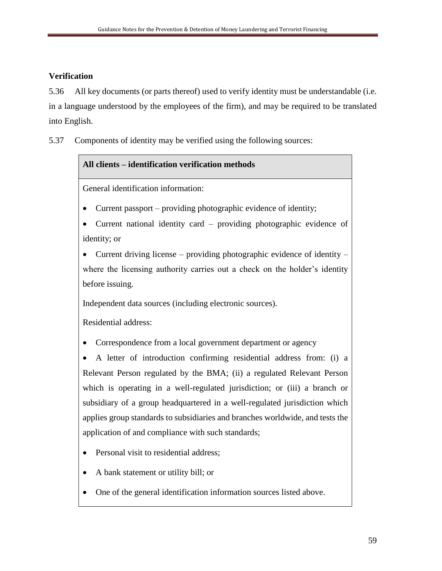## **Verification**

5.36 All key documents (or parts thereof) used to verify identity must be understandable (i.e. in a language understood by the employees of the firm), and may be required to be translated into English.

5.37 Components of identity may be verified using the following sources:

## **All clients – identification verification methods**

General identification information:

- Current passport providing photographic evidence of identity;
- Current national identity card providing photographic evidence of identity; or

• Current driving license – providing photographic evidence of identity – where the licensing authority carries out a check on the holder's identity before issuing.

Independent data sources (including electronic sources).

Residential address:

• Correspondence from a local government department or agency

• A letter of introduction confirming residential address from: (i) a Relevant Person regulated by the BMA; (ii) a regulated Relevant Person which is operating in a well-regulated jurisdiction; or (iii) a branch or subsidiary of a group headquartered in a well-regulated jurisdiction which applies group standards to subsidiaries and branches worldwide, and tests the application of and compliance with such standards;

- Personal visit to residential address;
- A bank statement or utility bill; or
- One of the general identification information sources listed above.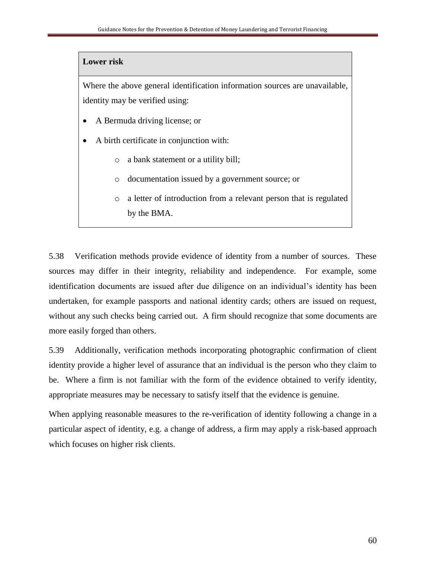#### **Lower risk**

Where the above general identification information sources are unavailable, identity may be verified using:

- A Bermuda driving license; or
- A birth certificate in conjunction with:
	- o a bank statement or a utility bill;
	- o documentation issued by a government source; or
	- o a letter of introduction from a relevant person that is regulated by the BMA.

5.38 Verification methods provide evidence of identity from a number of sources. These sources may differ in their integrity, reliability and independence. For example, some identification documents are issued after due diligence on an individual's identity has been undertaken, for example passports and national identity cards; others are issued on request, without any such checks being carried out. A firm should recognize that some documents are more easily forged than others.

5.39 Additionally, verification methods incorporating photographic confirmation of client identity provide a higher level of assurance that an individual is the person who they claim to be. Where a firm is not familiar with the form of the evidence obtained to verify identity, appropriate measures may be necessary to satisfy itself that the evidence is genuine.

When applying reasonable measures to the re-verification of identity following a change in a particular aspect of identity, e.g. a change of address, a firm may apply a risk-based approach which focuses on higher risk clients.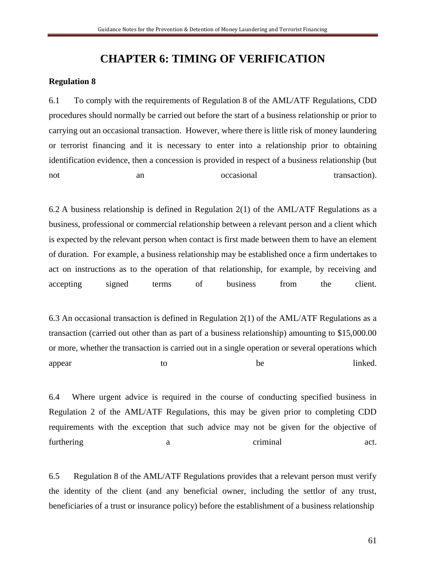## **CHAPTER 6: TIMING OF VERIFICATION**

#### **Regulation 8**

6.1 To comply with the requirements of Regulation 8 of the AML/ATF Regulations, CDD procedures should normally be carried out before the start of a business relationship or prior to carrying out an occasional transaction. However, where there is little risk of money laundering or terrorist financing and it is necessary to enter into a relationship prior to obtaining identification evidence, then a concession is provided in respect of a business relationship (but not an an occasional transaction).

6.2 A business relationship is defined in Regulation  $2(1)$  of the AML/ATF Regulations as a business, professional or commercial relationship between a relevant person and a client which is expected by the relevant person when contact is first made between them to have an element of duration. For example, a business relationship may be established once a firm undertakes to act on instructions as to the operation of that relationship, for example, by receiving and accepting signed terms of business from the client.

6.3 An occasional transaction is defined in Regulation  $2(1)$  of the AML/ATF Regulations as a transaction (carried out other than as part of a business relationship) amounting to \$15,000.00 or more, whether the transaction is carried out in a single operation or several operations which appear to to be linked.

6.4 Where urgent advice is required in the course of conducting specified business in Regulation 2 of the AML/ATF Regulations, this may be given prior to completing CDD requirements with the exception that such advice may not be given for the objective of furthering a set. The actual criminal act.

6.5 Regulation 8 of the AML/ATF Regulations provides that a relevant person must verify the identity of the client (and any beneficial owner, including the settlor of any trust, beneficiaries of a trust or insurance policy) before the establishment of a business relationship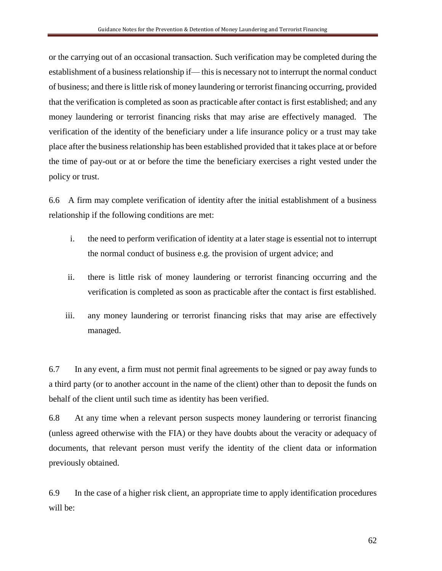or the carrying out of an occasional transaction. Such verification may be completed during the establishment of a business relationship if— this is necessary not to interrupt the normal conduct of business; and there is little risk of money laundering or terrorist financing occurring, provided that the verification is completed as soon as practicable after contact is first established; and any money laundering or terrorist financing risks that may arise are effectively managed. The verification of the identity of the beneficiary under a life insurance policy or a trust may take place after the business relationship has been established provided that it takes place at or before the time of pay-out or at or before the time the beneficiary exercises a right vested under the policy or trust.

6.6 A firm may complete verification of identity after the initial establishment of a business relationship if the following conditions are met:

- i. the need to perform verification of identity at a later stage is essential not to interrupt the normal conduct of business e.g. the provision of urgent advice; and
- ii. there is little risk of money laundering or terrorist financing occurring and the verification is completed as soon as practicable after the contact is first established.
- iii. any money laundering or terrorist financing risks that may arise are effectively managed.

6.7 In any event, a firm must not permit final agreements to be signed or pay away funds to a third party (or to another account in the name of the client) other than to deposit the funds on behalf of the client until such time as identity has been verified.

6.8 At any time when a relevant person suspects money laundering or terrorist financing (unless agreed otherwise with the FIA) or they have doubts about the veracity or adequacy of documents, that relevant person must verify the identity of the client data or information previously obtained.

6.9 In the case of a higher risk client, an appropriate time to apply identification procedures will be: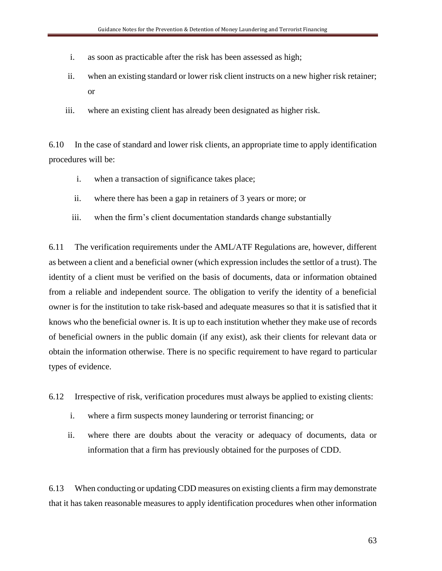- i. as soon as practicable after the risk has been assessed as high;
- ii. when an existing standard or lower risk client instructs on a new higher risk retainer; or
- iii. where an existing client has already been designated as higher risk.

6.10 In the case of standard and lower risk clients, an appropriate time to apply identification procedures will be:

- i. when a transaction of significance takes place;
- ii. where there has been a gap in retainers of 3 years or more; or
- iii. when the firm's client documentation standards change substantially

6.11 The verification requirements under the AML/ATF Regulations are, however, different as between a client and a beneficial owner (which expression includes the settlor of a trust). The identity of a client must be verified on the basis of documents, data or information obtained from a reliable and independent source. The obligation to verify the identity of a beneficial owner is for the institution to take risk-based and adequate measures so that it is satisfied that it knows who the beneficial owner is. It is up to each institution whether they make use of records of beneficial owners in the public domain (if any exist), ask their clients for relevant data or obtain the information otherwise. There is no specific requirement to have regard to particular types of evidence.

6.12 Irrespective of risk, verification procedures must always be applied to existing clients:

- i. where a firm suspects money laundering or terrorist financing; or
- ii. where there are doubts about the veracity or adequacy of documents, data or information that a firm has previously obtained for the purposes of CDD.

6.13 When conducting or updating CDD measures on existing clients a firm may demonstrate that it has taken reasonable measures to apply identification procedures when other information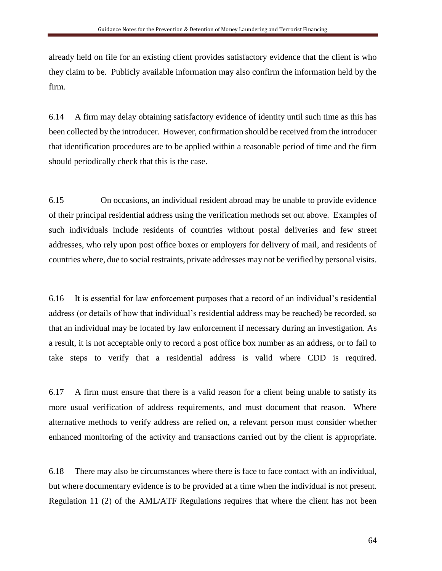already held on file for an existing client provides satisfactory evidence that the client is who they claim to be. Publicly available information may also confirm the information held by the firm.

6.14 A firm may delay obtaining satisfactory evidence of identity until such time as this has been collected by the introducer. However, confirmation should be received from the introducer that identification procedures are to be applied within a reasonable period of time and the firm should periodically check that this is the case.

6.15 On occasions, an individual resident abroad may be unable to provide evidence of their principal residential address using the verification methods set out above. Examples of such individuals include residents of countries without postal deliveries and few street addresses, who rely upon post office boxes or employers for delivery of mail, and residents of countries where, due to social restraints, private addresses may not be verified by personal visits.

6.16 It is essential for law enforcement purposes that a record of an individual's residential address (or details of how that individual's residential address may be reached) be recorded, so that an individual may be located by law enforcement if necessary during an investigation. As a result, it is not acceptable only to record a post office box number as an address, or to fail to take steps to verify that a residential address is valid where CDD is required.

6.17 A firm must ensure that there is a valid reason for a client being unable to satisfy its more usual verification of address requirements, and must document that reason. Where alternative methods to verify address are relied on, a relevant person must consider whether enhanced monitoring of the activity and transactions carried out by the client is appropriate.

6.18 There may also be circumstances where there is face to face contact with an individual, but where documentary evidence is to be provided at a time when the individual is not present. Regulation 11 (2) of the AML/ATF Regulations requires that where the client has not been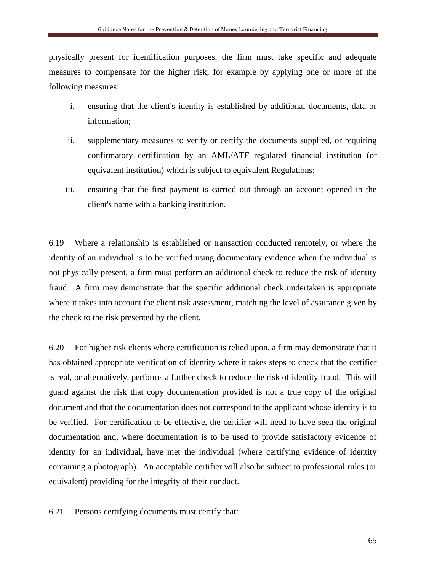physically present for identification purposes, the firm must take specific and adequate measures to compensate for the higher risk, for example by applying one or more of the following measures:

- i. ensuring that the client's identity is established by additional documents, data or information;
- ii. supplementary measures to verify or certify the documents supplied, or requiring confirmatory certification by an AML/ATF regulated financial institution (or equivalent institution) which is subject to equivalent Regulations;
- iii. ensuring that the first payment is carried out through an account opened in the client's name with a banking institution.

6.19 Where a relationship is established or transaction conducted remotely, or where the identity of an individual is to be verified using documentary evidence when the individual is not physically present, a firm must perform an additional check to reduce the risk of identity fraud. A firm may demonstrate that the specific additional check undertaken is appropriate where it takes into account the client risk assessment, matching the level of assurance given by the check to the risk presented by the client.

6.20 For higher risk clients where certification is relied upon, a firm may demonstrate that it has obtained appropriate verification of identity where it takes steps to check that the certifier is real, or alternatively, performs a further check to reduce the risk of identity fraud. This will guard against the risk that copy documentation provided is not a true copy of the original document and that the documentation does not correspond to the applicant whose identity is to be verified. For certification to be effective, the certifier will need to have seen the original documentation and, where documentation is to be used to provide satisfactory evidence of identity for an individual, have met the individual (where certifying evidence of identity containing a photograph). An acceptable certifier will also be subject to professional rules (or equivalent) providing for the integrity of their conduct.

6.21 Persons certifying documents must certify that: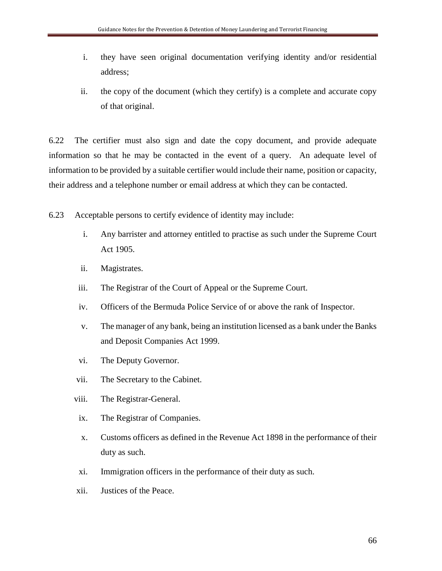- i. they have seen original documentation verifying identity and/or residential address;
- ii. the copy of the document (which they certify) is a complete and accurate copy of that original.

6.22 The certifier must also sign and date the copy document, and provide adequate information so that he may be contacted in the event of a query. An adequate level of information to be provided by a suitable certifier would include their name, position or capacity, their address and a telephone number or email address at which they can be contacted.

6.23 Acceptable persons to certify evidence of identity may include:

- i. Any barrister and attorney entitled to practise as such under the Supreme Court Act 1905.
- ii. Magistrates.
- iii. The Registrar of the Court of Appeal or the Supreme Court.
- iv. Officers of the Bermuda Police Service of or above the rank of Inspector.
- v. The manager of any bank, being an institution licensed as a bank under the Banks and Deposit Companies Act 1999.
- vi. The Deputy Governor.
- vii. The Secretary to the Cabinet.
- viii. The Registrar-General.
- ix. The Registrar of Companies.
- x. Customs officers as defined in the Revenue Act 1898 in the performance of their duty as such.
- xi. Immigration officers in the performance of their duty as such.
- xii. Justices of the Peace.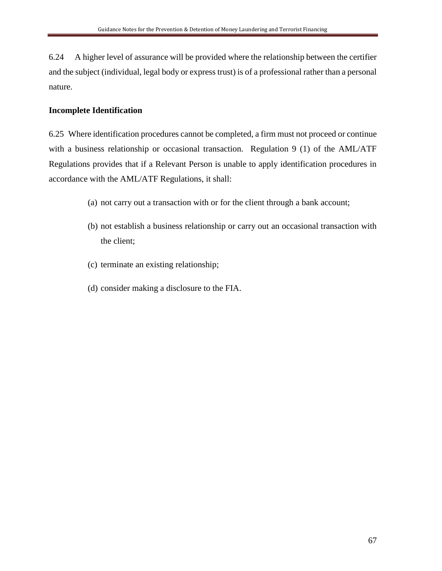6.24 A higher level of assurance will be provided where the relationship between the certifier and the subject (individual, legal body or express trust) is of a professional rather than a personal nature.

## **Incomplete Identification**

6.25 Where identification procedures cannot be completed, a firm must not proceed or continue with a business relationship or occasional transaction. Regulation 9 (1) of the AML/ATF Regulations provides that if a Relevant Person is unable to apply identification procedures in accordance with the AML/ATF Regulations, it shall:

- (a) not carry out a transaction with or for the client through a bank account;
- (b) not establish a business relationship or carry out an occasional transaction with the client;
- (c) terminate an existing relationship;
- (d) consider making a disclosure to the FIA.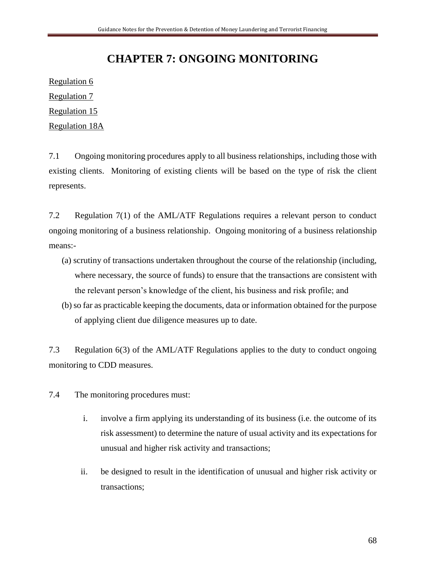# **CHAPTER 7: ONGOING MONITORING**

Regulation 6 Regulation 7

Regulation 15

Regulation 18A

7.1 Ongoing monitoring procedures apply to all business relationships, including those with existing clients. Monitoring of existing clients will be based on the type of risk the client represents.

7.2 Regulation 7(1) of the AML/ATF Regulations requires a relevant person to conduct ongoing monitoring of a business relationship. Ongoing monitoring of a business relationship means:-

- (a) scrutiny of transactions undertaken throughout the course of the relationship (including, where necessary, the source of funds) to ensure that the transactions are consistent with the relevant person's knowledge of the client, his business and risk profile; and
- (b) so far as practicable keeping the documents, data or information obtained for the purpose of applying client due diligence measures up to date.

7.3 Regulation 6(3) of the AML/ATF Regulations applies to the duty to conduct ongoing monitoring to CDD measures.

7.4 The monitoring procedures must:

- i. involve a firm applying its understanding of its business (i.e. the outcome of its risk assessment) to determine the nature of usual activity and its expectations for unusual and higher risk activity and transactions;
- ii. be designed to result in the identification of unusual and higher risk activity or transactions;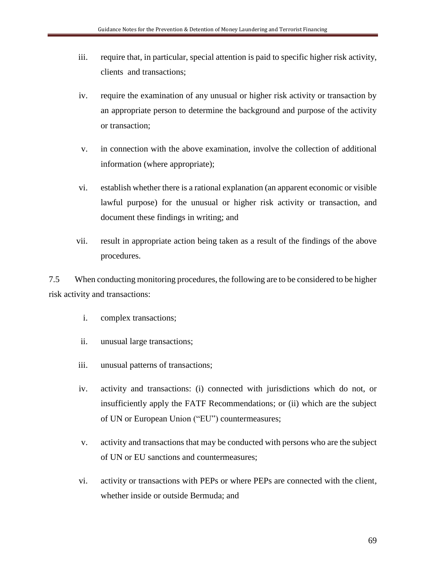- iii. require that, in particular, special attention is paid to specific higher risk activity, clients and transactions;
- iv. require the examination of any unusual or higher risk activity or transaction by an appropriate person to determine the background and purpose of the activity or transaction;
- v. in connection with the above examination, involve the collection of additional information (where appropriate);
- vi. establish whether there is a rational explanation (an apparent economic or visible lawful purpose) for the unusual or higher risk activity or transaction, and document these findings in writing; and
- vii. result in appropriate action being taken as a result of the findings of the above procedures.

7.5 When conducting monitoring procedures, the following are to be considered to be higher risk activity and transactions:

- i. complex transactions;
- ii. unusual large transactions;
- iii. unusual patterns of transactions;
- iv. activity and transactions: (i) connected with jurisdictions which do not, or insufficiently apply the FATF Recommendations; or (ii) which are the subject of UN or European Union ("EU") countermeasures;
- v. activity and transactions that may be conducted with persons who are the subject of UN or EU sanctions and countermeasures;
- vi. activity or transactions with PEPs or where PEPs are connected with the client, whether inside or outside Bermuda; and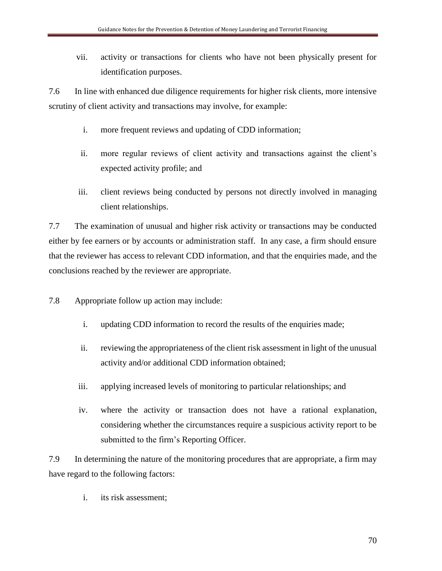vii. activity or transactions for clients who have not been physically present for identification purposes.

7.6 In line with enhanced due diligence requirements for higher risk clients, more intensive scrutiny of client activity and transactions may involve, for example:

- i. more frequent reviews and updating of CDD information;
- ii. more regular reviews of client activity and transactions against the client's expected activity profile; and
- iii. client reviews being conducted by persons not directly involved in managing client relationships.

7.7 The examination of unusual and higher risk activity or transactions may be conducted either by fee earners or by accounts or administration staff. In any case, a firm should ensure that the reviewer has access to relevant CDD information, and that the enquiries made, and the conclusions reached by the reviewer are appropriate.

7.8 Appropriate follow up action may include:

- i. updating CDD information to record the results of the enquiries made;
- ii. reviewing the appropriateness of the client risk assessment in light of the unusual activity and/or additional CDD information obtained;
- iii. applying increased levels of monitoring to particular relationships; and
- iv. where the activity or transaction does not have a rational explanation, considering whether the circumstances require a suspicious activity report to be submitted to the firm's Reporting Officer.

7.9 In determining the nature of the monitoring procedures that are appropriate, a firm may have regard to the following factors:

i. its risk assessment;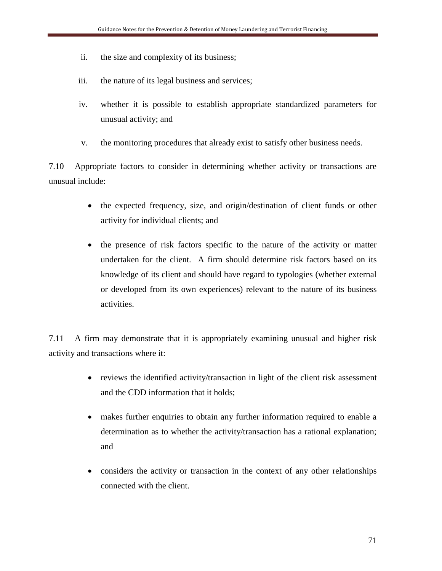- ii. the size and complexity of its business;
- iii. the nature of its legal business and services;
- iv. whether it is possible to establish appropriate standardized parameters for unusual activity; and
- v. the monitoring procedures that already exist to satisfy other business needs.

7.10 Appropriate factors to consider in determining whether activity or transactions are unusual include:

- the expected frequency, size, and origin/destination of client funds or other activity for individual clients; and
- the presence of risk factors specific to the nature of the activity or matter undertaken for the client. A firm should determine risk factors based on its knowledge of its client and should have regard to typologies (whether external or developed from its own experiences) relevant to the nature of its business activities.

7.11 A firm may demonstrate that it is appropriately examining unusual and higher risk activity and transactions where it:

- reviews the identified activity/transaction in light of the client risk assessment and the CDD information that it holds;
- makes further enquiries to obtain any further information required to enable a determination as to whether the activity/transaction has a rational explanation; and
- considers the activity or transaction in the context of any other relationships connected with the client.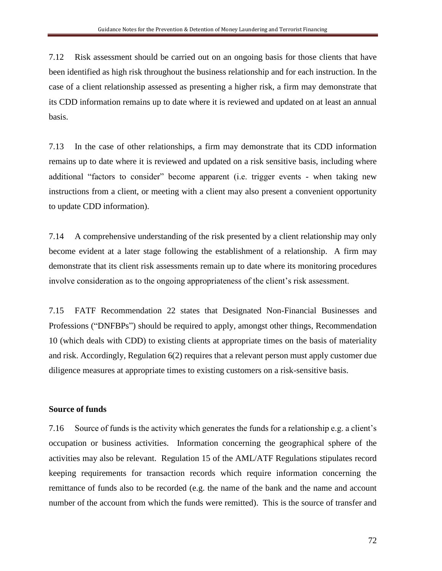7.12 Risk assessment should be carried out on an ongoing basis for those clients that have been identified as high risk throughout the business relationship and for each instruction. In the case of a client relationship assessed as presenting a higher risk, a firm may demonstrate that its CDD information remains up to date where it is reviewed and updated on at least an annual basis.

7.13 In the case of other relationships, a firm may demonstrate that its CDD information remains up to date where it is reviewed and updated on a risk sensitive basis, including where additional "factors to consider" become apparent (i.e. trigger events - when taking new instructions from a client, or meeting with a client may also present a convenient opportunity to update CDD information).

7.14 A comprehensive understanding of the risk presented by a client relationship may only become evident at a later stage following the establishment of a relationship. A firm may demonstrate that its client risk assessments remain up to date where its monitoring procedures involve consideration as to the ongoing appropriateness of the client's risk assessment.

7.15 FATF Recommendation 22 states that Designated Non-Financial Businesses and Professions ("DNFBPs") should be required to apply, amongst other things, Recommendation 10 (which deals with CDD) to existing clients at appropriate times on the basis of materiality and risk. Accordingly, Regulation 6(2) requires that a relevant person must apply customer due diligence measures at appropriate times to existing customers on a risk-sensitive basis.

#### **Source of funds**

7.16 Source of funds is the activity which generates the funds for a relationship e.g. a client's occupation or business activities. Information concerning the geographical sphere of the activities may also be relevant. Regulation 15 of the AML/ATF Regulations stipulates record keeping requirements for transaction records which require information concerning the remittance of funds also to be recorded (e.g. the name of the bank and the name and account number of the account from which the funds were remitted). This is the source of transfer and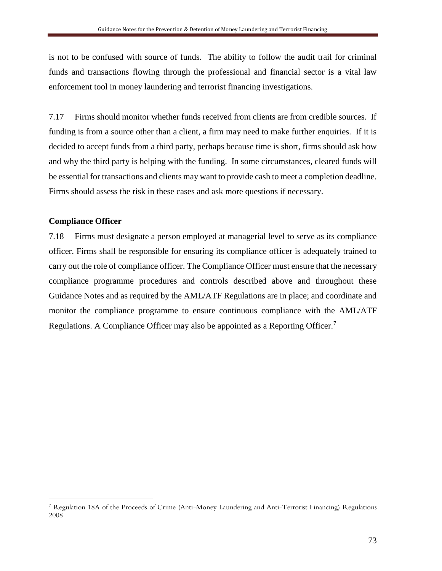is not to be confused with source of funds. The ability to follow the audit trail for criminal funds and transactions flowing through the professional and financial sector is a vital law enforcement tool in money laundering and terrorist financing investigations.

7.17 Firms should monitor whether funds received from clients are from credible sources. If funding is from a source other than a client, a firm may need to make further enquiries. If it is decided to accept funds from a third party, perhaps because time is short, firms should ask how and why the third party is helping with the funding. In some circumstances, cleared funds will be essential for transactions and clients may want to provide cash to meet a completion deadline. Firms should assess the risk in these cases and ask more questions if necessary.

## **Compliance Officer**

 $\overline{a}$ 

7.18 Firms must designate a person employed at managerial level to serve as its compliance officer. Firms shall be responsible for ensuring its compliance officer is adequately trained to carry out the role of compliance officer. The Compliance Officer must ensure that the necessary compliance programme procedures and controls described above and throughout these Guidance Notes and as required by the AML/ATF Regulations are in place; and coordinate and monitor the compliance programme to ensure continuous compliance with the AML/ATF Regulations. A Compliance Officer may also be appointed as a Reporting Officer.<sup>7</sup>

<sup>7</sup> Regulation 18A of the Proceeds of Crime (Anti-Money Laundering and Anti-Terrorist Financing) Regulations 2008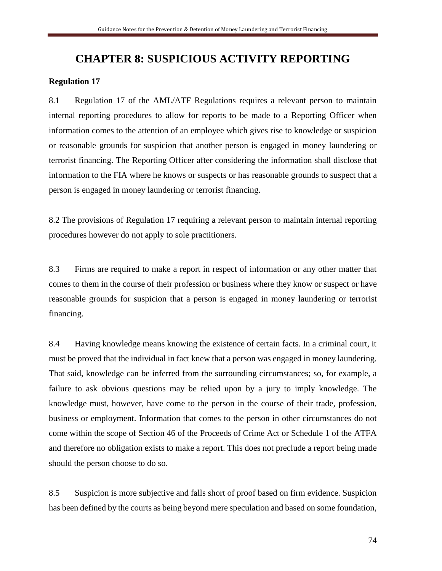# **CHAPTER 8: SUSPICIOUS ACTIVITY REPORTING**

## **Regulation 17**

8.1 Regulation 17 of the AML/ATF Regulations requires a relevant person to maintain internal reporting procedures to allow for reports to be made to a Reporting Officer when information comes to the attention of an employee which gives rise to knowledge or suspicion or reasonable grounds for suspicion that another person is engaged in money laundering or terrorist financing. The Reporting Officer after considering the information shall disclose that information to the FIA where he knows or suspects or has reasonable grounds to suspect that a person is engaged in money laundering or terrorist financing.

8.2 The provisions of Regulation 17 requiring a relevant person to maintain internal reporting procedures however do not apply to sole practitioners.

8.3 Firms are required to make a report in respect of information or any other matter that comes to them in the course of their profession or business where they know or suspect or have reasonable grounds for suspicion that a person is engaged in money laundering or terrorist financing.

8.4 Having knowledge means knowing the existence of certain facts. In a criminal court, it must be proved that the individual in fact knew that a person was engaged in money laundering. That said, knowledge can be inferred from the surrounding circumstances; so, for example, a failure to ask obvious questions may be relied upon by a jury to imply knowledge. The knowledge must, however, have come to the person in the course of their trade, profession, business or employment. Information that comes to the person in other circumstances do not come within the scope of Section 46 of the Proceeds of Crime Act or Schedule 1 of the ATFA and therefore no obligation exists to make a report. This does not preclude a report being made should the person choose to do so.

8.5 Suspicion is more subjective and falls short of proof based on firm evidence. Suspicion has been defined by the courts as being beyond mere speculation and based on some foundation,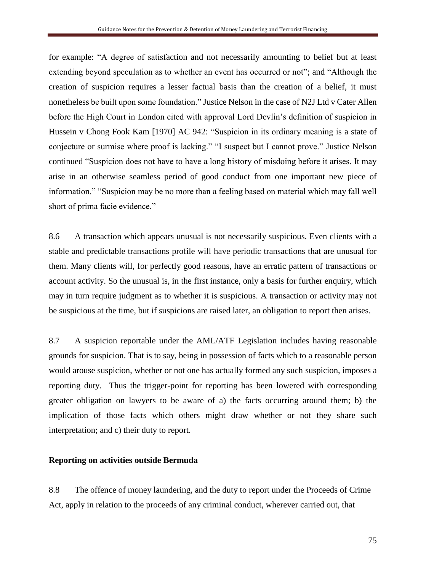for example: "A degree of satisfaction and not necessarily amounting to belief but at least extending beyond speculation as to whether an event has occurred or not"; and "Although the creation of suspicion requires a lesser factual basis than the creation of a belief, it must nonetheless be built upon some foundation." Justice Nelson in the case of N2J Ltd v Cater Allen before the High Court in London cited with approval Lord Devlin's definition of suspicion in Hussein v Chong Fook Kam [1970] AC 942: "Suspicion in its ordinary meaning is a state of conjecture or surmise where proof is lacking." "I suspect but I cannot prove." Justice Nelson continued "Suspicion does not have to have a long history of misdoing before it arises. It may arise in an otherwise seamless period of good conduct from one important new piece of information." "Suspicion may be no more than a feeling based on material which may fall well short of prima facie evidence."

8.6 A transaction which appears unusual is not necessarily suspicious. Even clients with a stable and predictable transactions profile will have periodic transactions that are unusual for them. Many clients will, for perfectly good reasons, have an erratic pattern of transactions or account activity. So the unusual is, in the first instance, only a basis for further enquiry, which may in turn require judgment as to whether it is suspicious. A transaction or activity may not be suspicious at the time, but if suspicions are raised later, an obligation to report then arises.

8.7 A suspicion reportable under the AML/ATF Legislation includes having reasonable grounds for suspicion. That is to say, being in possession of facts which to a reasonable person would arouse suspicion, whether or not one has actually formed any such suspicion, imposes a reporting duty. Thus the trigger-point for reporting has been lowered with corresponding greater obligation on lawyers to be aware of a) the facts occurring around them; b) the implication of those facts which others might draw whether or not they share such interpretation; and c) their duty to report.

## **Reporting on activities outside Bermuda**

8.8 The offence of money laundering, and the duty to report under the Proceeds of Crime Act, apply in relation to the proceeds of any criminal conduct, wherever carried out, that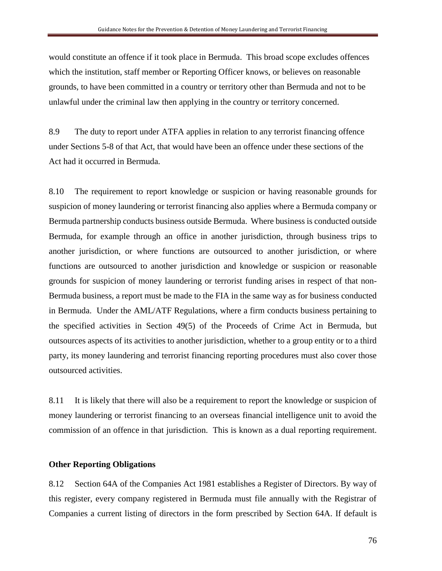would constitute an offence if it took place in Bermuda. This broad scope excludes offences which the institution, staff member or Reporting Officer knows, or believes on reasonable grounds, to have been committed in a country or territory other than Bermuda and not to be unlawful under the criminal law then applying in the country or territory concerned.

8.9 The duty to report under ATFA applies in relation to any terrorist financing offence under Sections 5-8 of that Act, that would have been an offence under these sections of the Act had it occurred in Bermuda.

8.10 The requirement to report knowledge or suspicion or having reasonable grounds for suspicion of money laundering or terrorist financing also applies where a Bermuda company or Bermuda partnership conducts business outside Bermuda. Where business is conducted outside Bermuda, for example through an office in another jurisdiction, through business trips to another jurisdiction, or where functions are outsourced to another jurisdiction, or where functions are outsourced to another jurisdiction and knowledge or suspicion or reasonable grounds for suspicion of money laundering or terrorist funding arises in respect of that non-Bermuda business, a report must be made to the FIA in the same way as for business conducted in Bermuda. Under the AML/ATF Regulations, where a firm conducts business pertaining to the specified activities in Section 49(5) of the Proceeds of Crime Act in Bermuda, but outsources aspects of its activities to another jurisdiction, whether to a group entity or to a third party, its money laundering and terrorist financing reporting procedures must also cover those outsourced activities.

8.11 It is likely that there will also be a requirement to report the knowledge or suspicion of money laundering or terrorist financing to an overseas financial intelligence unit to avoid the commission of an offence in that jurisdiction. This is known as a dual reporting requirement.

## **Other Reporting Obligations**

8.12 Section 64A of the Companies Act 1981 establishes a Register of Directors. By way of this register, every company registered in Bermuda must file annually with the Registrar of Companies a current listing of directors in the form prescribed by Section 64A. If default is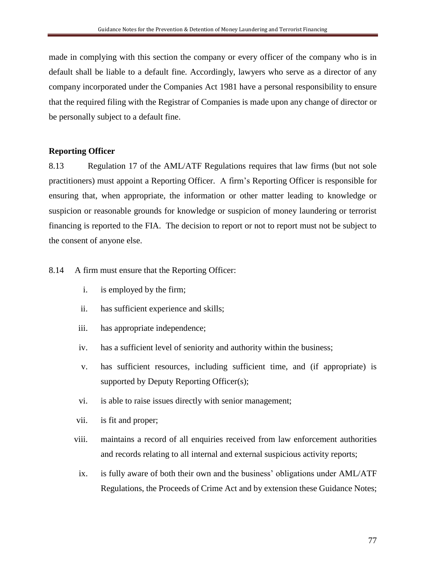made in complying with this section the company or every officer of the company who is in default shall be liable to a default fine. Accordingly, lawyers who serve as a director of any company incorporated under the Companies Act 1981 have a personal responsibility to ensure that the required filing with the Registrar of Companies is made upon any change of director or be personally subject to a default fine.

### **Reporting Officer**

8.13 Regulation 17 of the AML/ATF Regulations requires that law firms (but not sole practitioners) must appoint a Reporting Officer. A firm's Reporting Officer is responsible for ensuring that, when appropriate, the information or other matter leading to knowledge or suspicion or reasonable grounds for knowledge or suspicion of money laundering or terrorist financing is reported to the FIA. The decision to report or not to report must not be subject to the consent of anyone else.

8.14 A firm must ensure that the Reporting Officer:

- i. is employed by the firm;
- ii. has sufficient experience and skills;
- iii. has appropriate independence;
- iv. has a sufficient level of seniority and authority within the business;
- v. has sufficient resources, including sufficient time, and (if appropriate) is supported by Deputy Reporting Officer(s);
- vi. is able to raise issues directly with senior management;
- vii. is fit and proper;
- viii. maintains a record of all enquiries received from law enforcement authorities and records relating to all internal and external suspicious activity reports;
- ix. is fully aware of both their own and the business' obligations under AML/ATF Regulations, the Proceeds of Crime Act and by extension these Guidance Notes;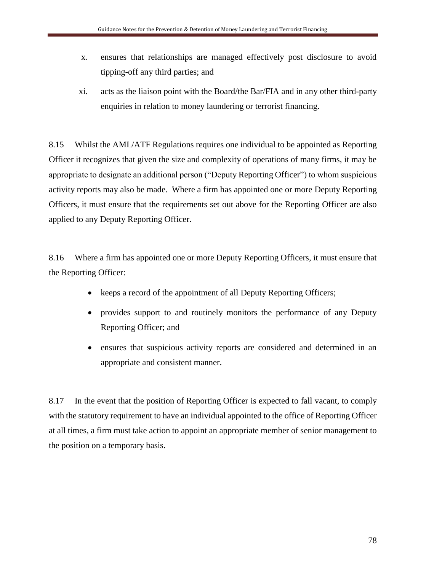- x. ensures that relationships are managed effectively post disclosure to avoid tipping-off any third parties; and
- xi. acts as the liaison point with the Board/the Bar/FIA and in any other third-party enquiries in relation to money laundering or terrorist financing.

8.15 Whilst the AML/ATF Regulations requires one individual to be appointed as Reporting Officer it recognizes that given the size and complexity of operations of many firms, it may be appropriate to designate an additional person ("Deputy Reporting Officer") to whom suspicious activity reports may also be made. Where a firm has appointed one or more Deputy Reporting Officers, it must ensure that the requirements set out above for the Reporting Officer are also applied to any Deputy Reporting Officer.

8.16 Where a firm has appointed one or more Deputy Reporting Officers, it must ensure that the Reporting Officer:

- keeps a record of the appointment of all Deputy Reporting Officers;
- provides support to and routinely monitors the performance of any Deputy Reporting Officer; and
- ensures that suspicious activity reports are considered and determined in an appropriate and consistent manner.

8.17 In the event that the position of Reporting Officer is expected to fall vacant, to comply with the statutory requirement to have an individual appointed to the office of Reporting Officer at all times, a firm must take action to appoint an appropriate member of senior management to the position on a temporary basis.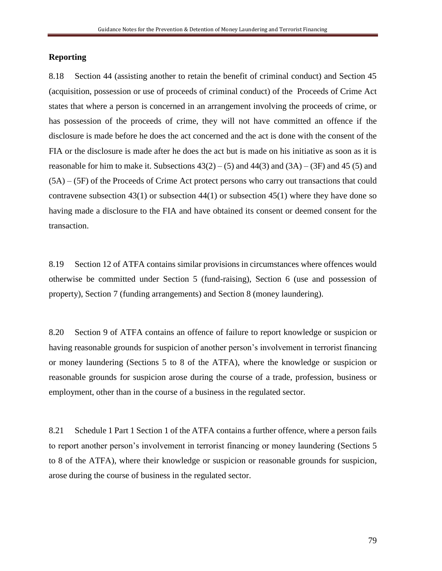#### **Reporting**

8.18 Section 44 (assisting another to retain the benefit of criminal conduct) and Section 45 (acquisition, possession or use of proceeds of criminal conduct) of the Proceeds of Crime Act states that where a person is concerned in an arrangement involving the proceeds of crime, or has possession of the proceeds of crime, they will not have committed an offence if the disclosure is made before he does the act concerned and the act is done with the consent of the FIA or the disclosure is made after he does the act but is made on his initiative as soon as it is reasonable for him to make it. Subsections  $43(2) - (5)$  and  $44(3)$  and  $(3A) - (3F)$  and  $45(5)$  and (5A) – (5F) of the Proceeds of Crime Act protect persons who carry out transactions that could contravene subsection  $43(1)$  or subsection  $44(1)$  or subsection  $45(1)$  where they have done so having made a disclosure to the FIA and have obtained its consent or deemed consent for the transaction.

8.19 Section 12 of ATFA contains similar provisions in circumstances where offences would otherwise be committed under Section 5 (fund-raising), Section 6 (use and possession of property), Section 7 (funding arrangements) and Section 8 (money laundering).

8.20 Section 9 of ATFA contains an offence of failure to report knowledge or suspicion or having reasonable grounds for suspicion of another person's involvement in terrorist financing or money laundering (Sections 5 to 8 of the ATFA), where the knowledge or suspicion or reasonable grounds for suspicion arose during the course of a trade, profession, business or employment, other than in the course of a business in the regulated sector.

8.21 Schedule 1 Part 1 Section 1 of the ATFA contains a further offence, where a person fails to report another person's involvement in terrorist financing or money laundering (Sections 5 to 8 of the ATFA), where their knowledge or suspicion or reasonable grounds for suspicion, arose during the course of business in the regulated sector.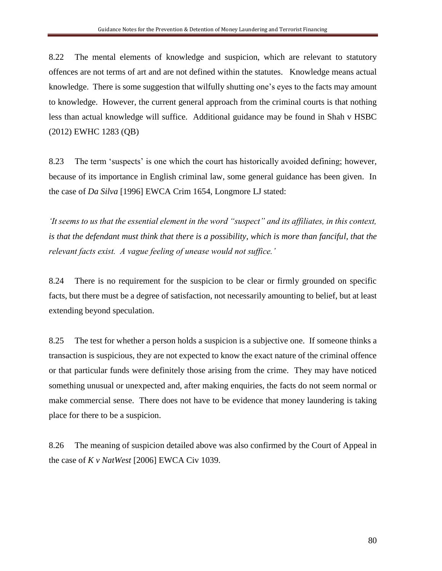8.22 The mental elements of knowledge and suspicion, which are relevant to statutory offences are not terms of art and are not defined within the statutes. Knowledge means actual knowledge. There is some suggestion that wilfully shutting one's eyes to the facts may amount to knowledge. However, the current general approach from the criminal courts is that nothing less than actual knowledge will suffice. Additional guidance may be found in Shah v HSBC (2012) EWHC 1283 (QB)

8.23 The term 'suspects' is one which the court has historically avoided defining; however, because of its importance in English criminal law, some general guidance has been given. In the case of *Da Silva* [1996] EWCA Crim 1654, Longmore LJ stated:

*'It seems to us that the essential element in the word "suspect" and its affiliates, in this context,*  is that the defendant must think that there is a possibility, which is more than fanciful, that the *relevant facts exist. A vague feeling of unease would not suffice.'*

8.24 There is no requirement for the suspicion to be clear or firmly grounded on specific facts, but there must be a degree of satisfaction, not necessarily amounting to belief, but at least extending beyond speculation.

8.25 The test for whether a person holds a suspicion is a subjective one. If someone thinks a transaction is suspicious, they are not expected to know the exact nature of the criminal offence or that particular funds were definitely those arising from the crime. They may have noticed something unusual or unexpected and, after making enquiries, the facts do not seem normal or make commercial sense. There does not have to be evidence that money laundering is taking place for there to be a suspicion.

8.26 The meaning of suspicion detailed above was also confirmed by the Court of Appeal in the case of *K v NatWest* [2006] EWCA Civ 1039.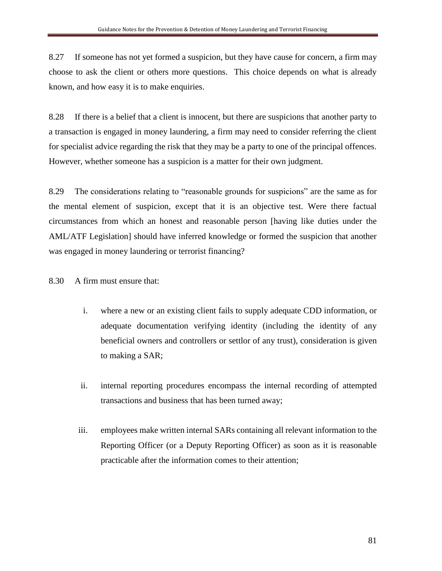8.27 If someone has not yet formed a suspicion, but they have cause for concern, a firm may choose to ask the client or others more questions. This choice depends on what is already known, and how easy it is to make enquiries.

8.28 If there is a belief that a client is innocent, but there are suspicions that another party to a transaction is engaged in money laundering, a firm may need to consider referring the client for specialist advice regarding the risk that they may be a party to one of the principal offences. However, whether someone has a suspicion is a matter for their own judgment.

8.29 The considerations relating to "reasonable grounds for suspicions" are the same as for the mental element of suspicion, except that it is an objective test. Were there factual circumstances from which an honest and reasonable person [having like duties under the AML/ATF Legislation] should have inferred knowledge or formed the suspicion that another was engaged in money laundering or terrorist financing?

8.30 A firm must ensure that:

- i. where a new or an existing client fails to supply adequate CDD information, or adequate documentation verifying identity (including the identity of any beneficial owners and controllers or settlor of any trust), consideration is given to making a SAR;
- ii. internal reporting procedures encompass the internal recording of attempted transactions and business that has been turned away;
- iii. employees make written internal SARs containing all relevant information to the Reporting Officer (or a Deputy Reporting Officer) as soon as it is reasonable practicable after the information comes to their attention;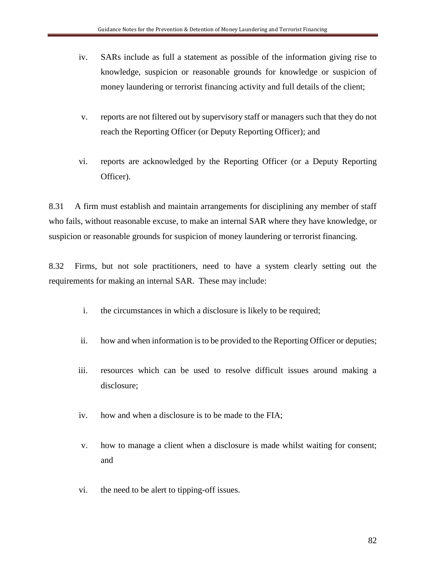- iv. SARs include as full a statement as possible of the information giving rise to knowledge, suspicion or reasonable grounds for knowledge or suspicion of money laundering or terrorist financing activity and full details of the client;
- v. reports are not filtered out by supervisory staff or managers such that they do not reach the Reporting Officer (or Deputy Reporting Officer); and
- vi. reports are acknowledged by the Reporting Officer (or a Deputy Reporting Officer).

8.31 A firm must establish and maintain arrangements for disciplining any member of staff who fails, without reasonable excuse, to make an internal SAR where they have knowledge, or suspicion or reasonable grounds for suspicion of money laundering or terrorist financing.

8.32 Firms, but not sole practitioners, need to have a system clearly setting out the requirements for making an internal SAR. These may include:

- i. the circumstances in which a disclosure is likely to be required;
- ii. how and when information is to be provided to the Reporting Officer or deputies;
- iii. resources which can be used to resolve difficult issues around making a disclosure;
- iv. how and when a disclosure is to be made to the FIA;
- v. how to manage a client when a disclosure is made whilst waiting for consent; and
- vi. the need to be alert to tipping-off issues.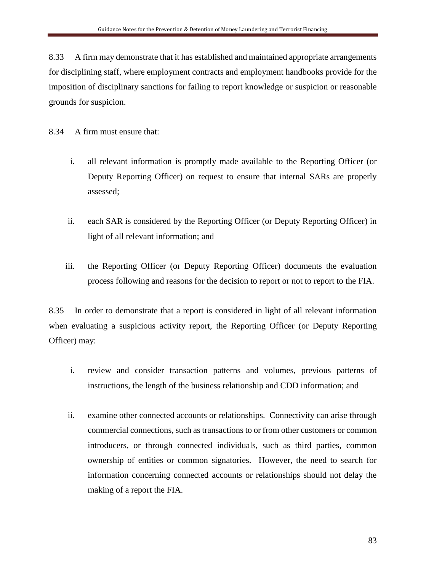8.33 A firm may demonstrate that it has established and maintained appropriate arrangements for disciplining staff, where employment contracts and employment handbooks provide for the imposition of disciplinary sanctions for failing to report knowledge or suspicion or reasonable grounds for suspicion.

8.34 A firm must ensure that:

- i. all relevant information is promptly made available to the Reporting Officer (or Deputy Reporting Officer) on request to ensure that internal SARs are properly assessed;
- ii. each SAR is considered by the Reporting Officer (or Deputy Reporting Officer) in light of all relevant information; and
- iii. the Reporting Officer (or Deputy Reporting Officer) documents the evaluation process following and reasons for the decision to report or not to report to the FIA.

8.35 In order to demonstrate that a report is considered in light of all relevant information when evaluating a suspicious activity report, the Reporting Officer (or Deputy Reporting Officer) may:

- i. review and consider transaction patterns and volumes, previous patterns of instructions, the length of the business relationship and CDD information; and
- ii. examine other connected accounts or relationships. Connectivity can arise through commercial connections, such as transactions to or from other customers or common introducers, or through connected individuals, such as third parties, common ownership of entities or common signatories. However, the need to search for information concerning connected accounts or relationships should not delay the making of a report the FIA.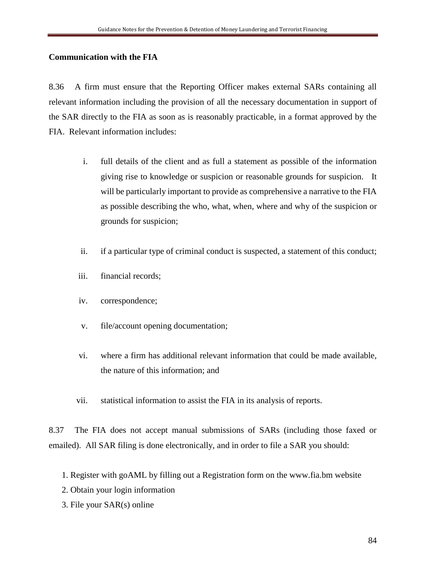## **Communication with the FIA**

8.36 A firm must ensure that the Reporting Officer makes external SARs containing all relevant information including the provision of all the necessary documentation in support of the SAR directly to the FIA as soon as is reasonably practicable, in a format approved by the FIA. Relevant information includes:

- i. full details of the client and as full a statement as possible of the information giving rise to knowledge or suspicion or reasonable grounds for suspicion. It will be particularly important to provide as comprehensive a narrative to the FIA as possible describing the who, what, when, where and why of the suspicion or grounds for suspicion;
- ii. if a particular type of criminal conduct is suspected, a statement of this conduct;
- iii. financial records;
- iv. correspondence;
- v. file/account opening documentation;
- vi. where a firm has additional relevant information that could be made available, the nature of this information; and
- vii. statistical information to assist the FIA in its analysis of reports.

8.37 The FIA does not accept manual submissions of SARs (including those faxed or emailed). All SAR filing is done electronically, and in order to file a SAR you should:

- 1. Register with goAML by filling out a Registration form on the www.fia.bm website
- 2. Obtain your login information
- 3. File your SAR(s) online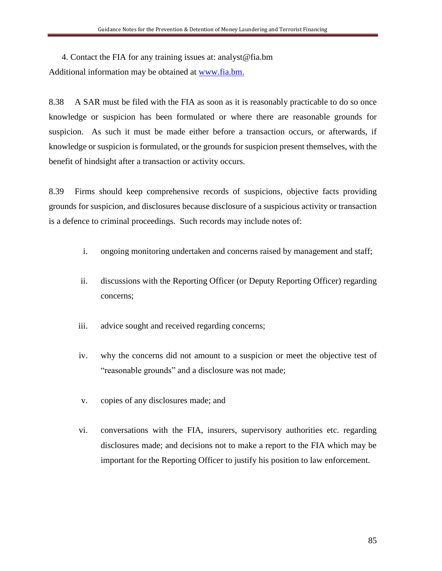4. Contact the FIA for any training issues at: analyst@fia.bm Additional information may be obtained at [www.fia.bm.](http://www.fia.bm/)

8.38 A SAR must be filed with the FIA as soon as it is reasonably practicable to do so once knowledge or suspicion has been formulated or where there are reasonable grounds for suspicion. As such it must be made either before a transaction occurs, or afterwards, if knowledge or suspicion is formulated, or the grounds for suspicion present themselves, with the benefit of hindsight after a transaction or activity occurs.

8.39 Firms should keep comprehensive records of suspicions, objective facts providing grounds for suspicion, and disclosures because disclosure of a suspicious activity or transaction is a defence to criminal proceedings. Such records may include notes of:

- i. ongoing monitoring undertaken and concerns raised by management and staff;
- ii. discussions with the Reporting Officer (or Deputy Reporting Officer) regarding concerns;
- iii. advice sought and received regarding concerns;
- iv. why the concerns did not amount to a suspicion or meet the objective test of "reasonable grounds" and a disclosure was not made;
- v. copies of any disclosures made; and
- vi. conversations with the FIA, insurers, supervisory authorities etc. regarding disclosures made; and decisions not to make a report to the FIA which may be important for the Reporting Officer to justify his position to law enforcement.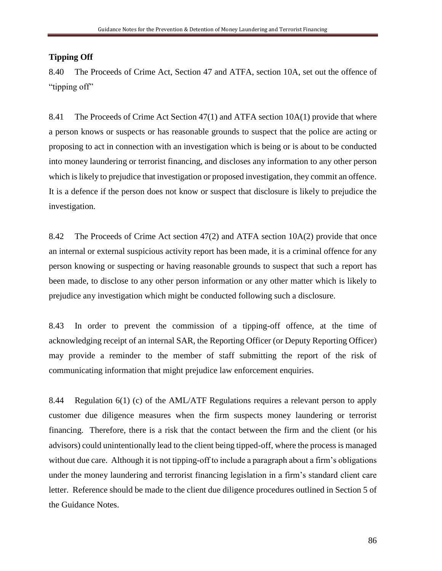## **Tipping Off**

8.40 The Proceeds of Crime Act, Section 47 and ATFA, section 10A, set out the offence of "tipping off"

8.41 The Proceeds of Crime Act Section 47(1) and ATFA section 10A(1) provide that where a person knows or suspects or has reasonable grounds to suspect that the police are acting or proposing to act in connection with an investigation which is being or is about to be conducted into money laundering or terrorist financing, and discloses any information to any other person which is likely to prejudice that investigation or proposed investigation, they commit an offence. It is a defence if the person does not know or suspect that disclosure is likely to prejudice the investigation.

8.42 The Proceeds of Crime Act section 47(2) and ATFA section 10A(2) provide that once an internal or external suspicious activity report has been made, it is a criminal offence for any person knowing or suspecting or having reasonable grounds to suspect that such a report has been made, to disclose to any other person information or any other matter which is likely to prejudice any investigation which might be conducted following such a disclosure.

8.43 In order to prevent the commission of a tipping-off offence, at the time of acknowledging receipt of an internal SAR, the Reporting Officer (or Deputy Reporting Officer) may provide a reminder to the member of staff submitting the report of the risk of communicating information that might prejudice law enforcement enquiries.

8.44 Regulation 6(1) (c) of the AML/ATF Regulations requires a relevant person to apply customer due diligence measures when the firm suspects money laundering or terrorist financing. Therefore, there is a risk that the contact between the firm and the client (or his advisors) could unintentionally lead to the client being tipped-off, where the process is managed without due care. Although it is not tipping-off to include a paragraph about a firm's obligations under the money laundering and terrorist financing legislation in a firm's standard client care letter. Reference should be made to the client due diligence procedures outlined in Section 5 of the Guidance Notes.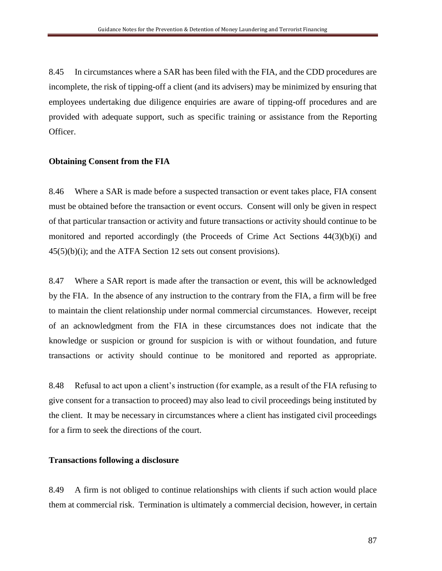8.45 In circumstances where a SAR has been filed with the FIA, and the CDD procedures are incomplete, the risk of tipping-off a client (and its advisers) may be minimized by ensuring that employees undertaking due diligence enquiries are aware of tipping-off procedures and are provided with adequate support, such as specific training or assistance from the Reporting Officer.

#### **Obtaining Consent from the FIA**

8.46 Where a SAR is made before a suspected transaction or event takes place, FIA consent must be obtained before the transaction or event occurs. Consent will only be given in respect of that particular transaction or activity and future transactions or activity should continue to be monitored and reported accordingly (the Proceeds of Crime Act Sections 44(3)(b)(i) and  $45(5)(b)(i)$ ; and the ATFA Section 12 sets out consent provisions).

8.47 Where a SAR report is made after the transaction or event, this will be acknowledged by the FIA. In the absence of any instruction to the contrary from the FIA, a firm will be free to maintain the client relationship under normal commercial circumstances. However, receipt of an acknowledgment from the FIA in these circumstances does not indicate that the knowledge or suspicion or ground for suspicion is with or without foundation, and future transactions or activity should continue to be monitored and reported as appropriate.

8.48 Refusal to act upon a client's instruction (for example, as a result of the FIA refusing to give consent for a transaction to proceed) may also lead to civil proceedings being instituted by the client. It may be necessary in circumstances where a client has instigated civil proceedings for a firm to seek the directions of the court.

#### **Transactions following a disclosure**

8.49 A firm is not obliged to continue relationships with clients if such action would place them at commercial risk. Termination is ultimately a commercial decision, however, in certain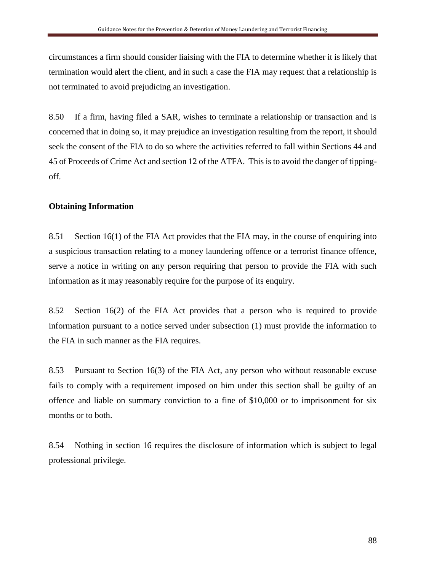circumstances a firm should consider liaising with the FIA to determine whether it is likely that termination would alert the client, and in such a case the FIA may request that a relationship is not terminated to avoid prejudicing an investigation.

8.50 If a firm, having filed a SAR, wishes to terminate a relationship or transaction and is concerned that in doing so, it may prejudice an investigation resulting from the report, it should seek the consent of the FIA to do so where the activities referred to fall within Sections 44 and 45 of Proceeds of Crime Act and section 12 of the ATFA. This is to avoid the danger of tippingoff.

## **Obtaining Information**

8.51 Section 16(1) of the FIA Act provides that the FIA may, in the course of enquiring into a suspicious transaction relating to a money laundering offence or a terrorist finance offence, serve a notice in writing on any person requiring that person to provide the FIA with such information as it may reasonably require for the purpose of its enquiry.

8.52 Section 16(2) of the FIA Act provides that a person who is required to provide information pursuant to a notice served under subsection (1) must provide the information to the FIA in such manner as the FIA requires.

8.53 Pursuant to Section 16(3) of the FIA Act, any person who without reasonable excuse fails to comply with a requirement imposed on him under this section shall be guilty of an offence and liable on summary conviction to a fine of \$10,000 or to imprisonment for six months or to both.

8.54 Nothing in section 16 requires the disclosure of information which is subject to legal professional privilege.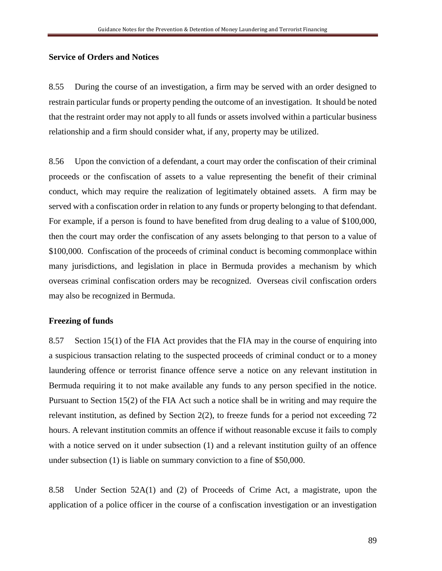#### **Service of Orders and Notices**

8.55 During the course of an investigation, a firm may be served with an order designed to restrain particular funds or property pending the outcome of an investigation. It should be noted that the restraint order may not apply to all funds or assets involved within a particular business relationship and a firm should consider what, if any, property may be utilized.

8.56 Upon the conviction of a defendant, a court may order the confiscation of their criminal proceeds or the confiscation of assets to a value representing the benefit of their criminal conduct, which may require the realization of legitimately obtained assets. A firm may be served with a confiscation order in relation to any funds or property belonging to that defendant. For example, if a person is found to have benefited from drug dealing to a value of \$100,000, then the court may order the confiscation of any assets belonging to that person to a value of \$100,000. Confiscation of the proceeds of criminal conduct is becoming commonplace within many jurisdictions, and legislation in place in Bermuda provides a mechanism by which overseas criminal confiscation orders may be recognized. Overseas civil confiscation orders may also be recognized in Bermuda.

#### **Freezing of funds**

8.57 Section 15(1) of the FIA Act provides that the FIA may in the course of enquiring into a suspicious transaction relating to the suspected proceeds of criminal conduct or to a money laundering offence or terrorist finance offence serve a notice on any relevant institution in Bermuda requiring it to not make available any funds to any person specified in the notice. Pursuant to Section 15(2) of the FIA Act such a notice shall be in writing and may require the relevant institution, as defined by Section 2(2), to freeze funds for a period not exceeding 72 hours. A relevant institution commits an offence if without reasonable excuse it fails to comply with a notice served on it under subsection (1) and a relevant institution guilty of an offence under subsection (1) is liable on summary conviction to a fine of \$50,000.

8.58 Under Section 52A(1) and (2) of Proceeds of Crime Act, a magistrate, upon the application of a police officer in the course of a confiscation investigation or an investigation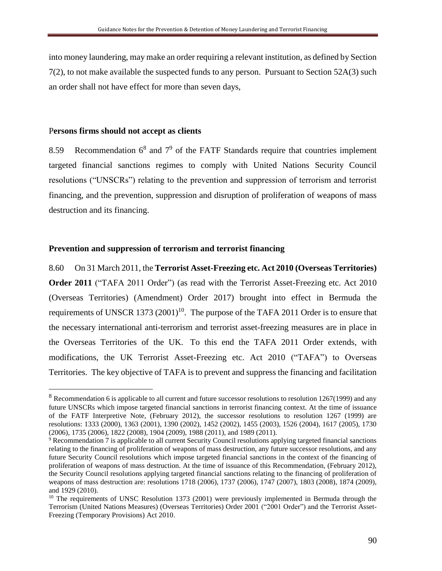into money laundering, may make an order requiring a relevant institution, as defined by Section 7(2), to not make available the suspected funds to any person. Pursuant to Section 52A(3) such an order shall not have effect for more than seven days,

#### P**ersons firms should not accept as clients**

 $\overline{a}$ 

8.59 Recommendation  $6^8$  and  $7^9$  of the FATF Standards require that countries implement targeted financial sanctions regimes to comply with United Nations Security Council resolutions ("UNSCRs") relating to the prevention and suppression of terrorism and terrorist financing, and the prevention, suppression and disruption of proliferation of weapons of mass destruction and its financing.

### **Prevention and suppression of terrorism and terrorist financing**

8.60 On 31 March 2011, the **Terrorist Asset-Freezing etc. Act 2010 (Overseas Territories) Order 2011** ("TAFA 2011 Order") (as read with the Terrorist Asset-Freezing etc. Act 2010 (Overseas Territories) (Amendment) Order 2017) brought into effect in Bermuda the requirements of UNSCR 1373  $(2001)^{10}$ . The purpose of the TAFA 2011 Order is to ensure that the necessary international anti-terrorism and terrorist asset-freezing measures are in place in the Overseas Territories of the UK. To this end the TAFA 2011 Order extends, with modifications, the UK Terrorist Asset-Freezing etc. Act 2010 ("TAFA") to Overseas Territories. The key objective of TAFA is to prevent and suppress the financing and facilitation

 $8$  Recommendation 6 is applicable to all current and future successor resolutions to resolution 1267(1999) and any future UNSCRs which impose targeted financial sanctions in terrorist financing context. At the time of issuance of the FATF Interpretive Note, (February 2012), the successor resolutions to resolution 1267 (1999) are resolutions: 1333 (2000), 1363 (2001), 1390 (2002), 1452 (2002), 1455 (2003), 1526 (2004), 1617 (2005), 1730 (2006), 1735 (2006), 1822 (2008), 1904 (2009), 1988 (2011), and 1989 (2011).

<sup>&</sup>lt;sup>9</sup> Recommendation 7 is applicable to all current Security Council resolutions applying targeted financial sanctions relating to the financing of proliferation of weapons of mass destruction, any future successor resolutions, and any future Security Council resolutions which impose targeted financial sanctions in the context of the financing of proliferation of weapons of mass destruction. At the time of issuance of this Recommendation, (February 2012), the Security Council resolutions applying targeted financial sanctions relating to the financing of proliferation of weapons of mass destruction are: resolutions 1718 (2006), 1737 (2006), 1747 (2007), 1803 (2008), 1874 (2009), and 1929 (2010).

<sup>&</sup>lt;sup>10</sup> The requirements of UNSC Resolution 1373 (2001) were previously implemented in Bermuda through the Terrorism (United Nations Measures) (Overseas Territories) Order 2001 ("2001 Order") and the Terrorist Asset-Freezing (Temporary Provisions) Act 2010.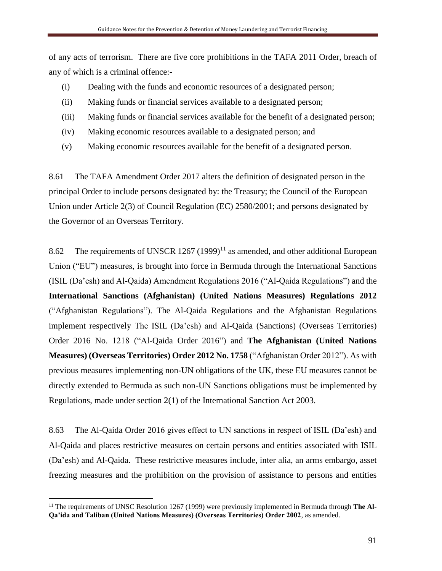of any acts of terrorism. There are five core prohibitions in the TAFA 2011 Order, breach of any of which is a criminal offence:-

- (i) Dealing with the funds and economic resources of a designated person;
- (ii) Making funds or financial services available to a designated person;
- (iii) Making funds or financial services available for the benefit of a designated person;
- (iv) Making economic resources available to a designated person; and
- (v) Making economic resources available for the benefit of a designated person.

8.61 The TAFA Amendment Order 2017 alters the definition of designated person in the principal Order to include persons designated by: the Treasury; the Council of the European Union under Article 2(3) of Council Regulation (EC) 2580/2001; and persons designated by the Governor of an Overseas Territory.

8.62 The requirements of UNSCR  $1267 (1999)^{11}$  as amended, and other additional European Union ("EU") measures, is brought into force in Bermuda through the International Sanctions (ISIL (Da'esh) and Al-Qaida) Amendment Regulations 2016 ("Al-Qaida Regulations") and the **International Sanctions (Afghanistan) (United Nations Measures) Regulations 2012**  ("Afghanistan Regulations"). The Al-Qaida Regulations and the Afghanistan Regulations implement respectively The ISIL (Da'esh) and Al-Qaida (Sanctions) (Overseas Territories) Order 2016 No. 1218 ("Al-Qaida Order 2016") and **The Afghanistan (United Nations Measures) (Overseas Territories) Order 2012 No. 1758** ("Afghanistan Order 2012"). As with previous measures implementing non-UN obligations of the UK, these EU measures cannot be directly extended to Bermuda as such non-UN Sanctions obligations must be implemented by Regulations, made under section 2(1) of the International Sanction Act 2003.

8.63 The Al-Qaida Order 2016 gives effect to UN sanctions in respect of ISIL (Da'esh) and Al-Qaida and places restrictive measures on certain persons and entities associated with ISIL (Da'esh) and Al-Qaida. These restrictive measures include, inter alia, an arms embargo, asset freezing measures and the prohibition on the provision of assistance to persons and entities

 $\overline{a}$ 

<sup>&</sup>lt;sup>11</sup> The requirements of UNSC Resolution 1267 (1999) were previously implemented in Bermuda through The Al-**Qa'ida and Taliban (United Nations Measures) (Overseas Territories) Order 2002**, as amended.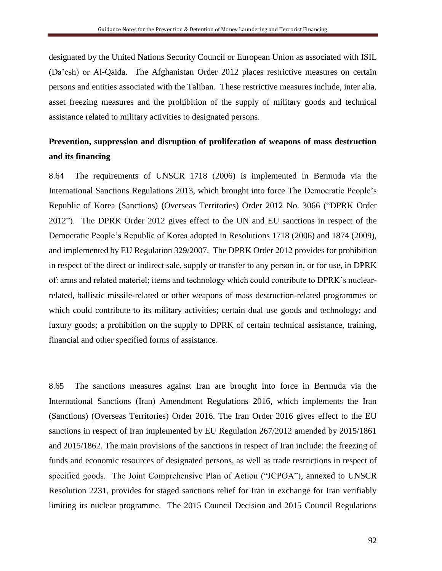designated by the United Nations Security Council or European Union as associated with ISIL (Da'esh) or Al-Qaida. The Afghanistan Order 2012 places restrictive measures on certain persons and entities associated with the Taliban. These restrictive measures include, inter alia, asset freezing measures and the prohibition of the supply of military goods and technical assistance related to military activities to designated persons.

# **Prevention, suppression and disruption of proliferation of weapons of mass destruction and its financing**

8.64 The requirements of UNSCR 1718 (2006) is implemented in Bermuda via the International Sanctions Regulations 2013, which brought into force The Democratic People's Republic of Korea (Sanctions) (Overseas Territories) Order 2012 No. 3066 ("DPRK Order 2012"). The DPRK Order 2012 gives effect to the UN and EU sanctions in respect of the Democratic People's Republic of Korea adopted in Resolutions 1718 (2006) and 1874 (2009), and implemented by EU Regulation 329/2007. The DPRK Order 2012 provides for prohibition in respect of the direct or indirect sale, supply or transfer to any person in, or for use, in DPRK of: arms and related materiel; items and technology which could contribute to DPRK's nuclearrelated, ballistic missile-related or other weapons of mass destruction-related programmes or which could contribute to its military activities; certain dual use goods and technology; and luxury goods; a prohibition on the supply to DPRK of certain technical assistance, training, financial and other specified forms of assistance.

8.65 The sanctions measures against Iran are brought into force in Bermuda via the International Sanctions (Iran) Amendment Regulations 2016, which implements the Iran (Sanctions) (Overseas Territories) Order 2016. The Iran Order 2016 gives effect to the EU sanctions in respect of Iran implemented by EU Regulation 267/2012 amended by 2015/1861 and 2015/1862. The main provisions of the sanctions in respect of Iran include: the freezing of funds and economic resources of designated persons, as well as trade restrictions in respect of specified goods. The Joint Comprehensive Plan of Action ("JCPOA"), annexed to UNSCR Resolution 2231, provides for staged sanctions relief for Iran in exchange for Iran verifiably limiting its nuclear programme. The 2015 Council Decision and 2015 Council Regulations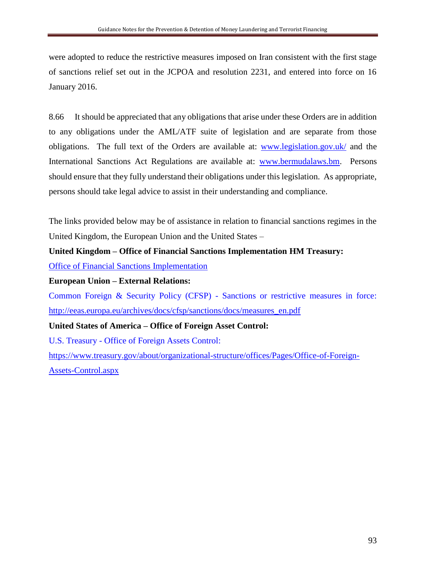were adopted to reduce the restrictive measures imposed on Iran consistent with the first stage of sanctions relief set out in the JCPOA and resolution 2231, and entered into force on 16 January 2016.

8.66 It should be appreciated that any obligations that arise under these Orders are in addition to any obligations under the AML/ATF suite of legislation and are separate from those obligations. The full text of the Orders are available at: [www.legislation.gov.uk/](http://www.legislation.gov.uk/) and the International Sanctions Act Regulations are available at: [www.bermudalaws.bm.](http://www.bermudalaws.bm/) Persons should ensure that they fully understand their obligations under this legislation. As appropriate, persons should take legal advice to assist in their understanding and compliance.

The links provided below may be of assistance in relation to financial sanctions regimes in the United Kingdom, the European Union and the United States –

## **United Kingdom – Office of Financial Sanctions Implementation HM Treasury:**

[Office of Financial Sanctions](https://www.gov.uk/government/organisations/office-of-financial-sanctions-implementation) Implementation

## **European Union – External Relations:**

Common Foreign & Security Policy (CFSP) - Sanctions or restrictive measures in force: [http://eeas.europa.eu/archives/docs/cfsp/sanctions/docs/measures\\_en.pdf](http://eeas.europa.eu/archives/docs/cfsp/sanctions/docs/measures_en.pdf)

## **United States of America – Office of Foreign Asset Control:**

U.S. Treasury - Office of Foreign Assets Control:

[https://www.treasury.gov/about/organizational-structure/offices/Pages/Office-of-Foreign-](https://www.treasury.gov/about/organizational-structure/offices/Pages/Office-of-Foreign-Assets-Control.aspx)[Assets-Control.aspx](https://www.treasury.gov/about/organizational-structure/offices/Pages/Office-of-Foreign-Assets-Control.aspx)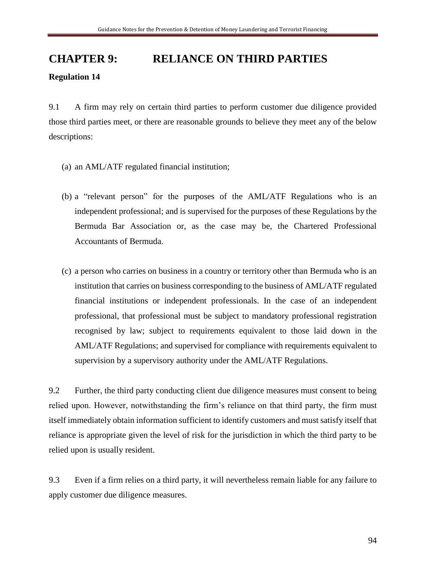# **CHAPTER 9: RELIANCE ON THIRD PARTIES Regulation 14**

9.1 A firm may rely on certain third parties to perform customer due diligence provided those third parties meet, or there are reasonable grounds to believe they meet any of the below descriptions:

- (a) an AML/ATF regulated financial institution;
- (b) a "relevant person" for the purposes of the AML/ATF Regulations who is an independent professional; and is supervised for the purposes of these Regulations by the Bermuda Bar Association or, as the case may be, the Chartered Professional Accountants of Bermuda.
- (c) a person who carries on business in a country or territory other than Bermuda who is an institution that carries on business corresponding to the business of AML/ATF regulated financial institutions or independent professionals. In the case of an independent professional, that professional must be subject to mandatory professional registration recognised by law; subject to requirements equivalent to those laid down in the AML/ATF Regulations; and supervised for compliance with requirements equivalent to supervision by a supervisory authority under the AML/ATF Regulations.

9.2 Further, the third party conducting client due diligence measures must consent to being relied upon. However, notwithstanding the firm's reliance on that third party, the firm must itself immediately obtain information sufficient to identify customers and must satisfy itself that reliance is appropriate given the level of risk for the jurisdiction in which the third party to be relied upon is usually resident.

9.3 Even if a firm relies on a third party, it will nevertheless remain liable for any failure to apply customer due diligence measures.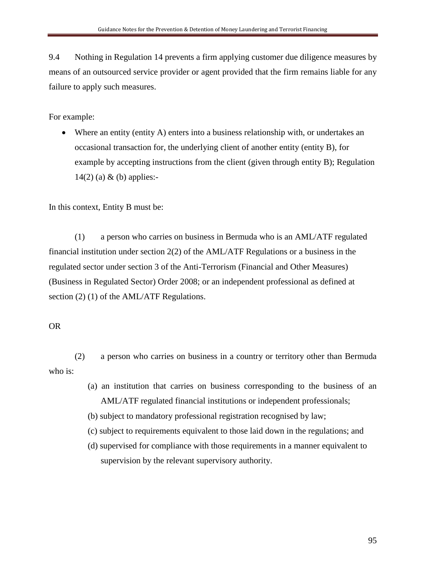9.4 Nothing in Regulation 14 prevents a firm applying customer due diligence measures by means of an outsourced service provider or agent provided that the firm remains liable for any failure to apply such measures.

For example:

• Where an entity (entity A) enters into a business relationship with, or undertakes an occasional transaction for, the underlying client of another entity (entity B), for example by accepting instructions from the client (given through entity B); Regulation 14(2) (a) & (b) applies:-

In this context, Entity B must be:

(1) a person who carries on business in Bermuda who is an AML/ATF regulated financial institution under section 2(2) of the AML/ATF Regulations or a business in the regulated sector under section 3 of the Anti-Terrorism (Financial and Other Measures) (Business in Regulated Sector) Order 2008; or an independent professional as defined at section (2) (1) of the AML/ATF Regulations.

## OR

(2) a person who carries on business in a country or territory other than Bermuda who is:

> (a) an institution that carries on business corresponding to the business of an AML/ATF regulated financial institutions or independent professionals;

(b) subject to mandatory professional registration recognised by law;

- (c) subject to requirements equivalent to those laid down in the regulations; and
- (d) supervised for compliance with those requirements in a manner equivalent to supervision by the relevant supervisory authority.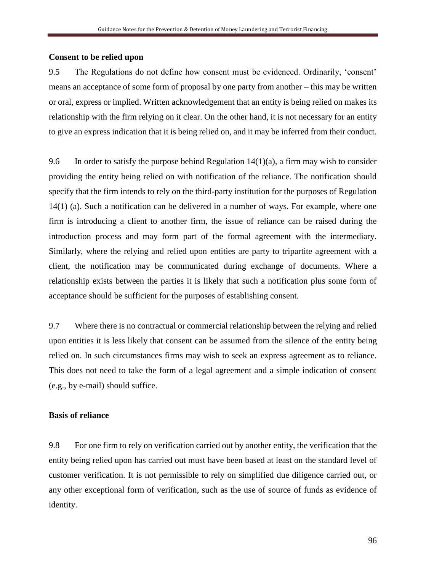#### **Consent to be relied upon**

9.5 The Regulations do not define how consent must be evidenced. Ordinarily, 'consent' means an acceptance of some form of proposal by one party from another – this may be written or oral, express or implied. Written acknowledgement that an entity is being relied on makes its relationship with the firm relying on it clear. On the other hand, it is not necessary for an entity to give an express indication that it is being relied on, and it may be inferred from their conduct.

9.6 In order to satisfy the purpose behind Regulation  $14(1)(a)$ , a firm may wish to consider providing the entity being relied on with notification of the reliance. The notification should specify that the firm intends to rely on the third-party institution for the purposes of Regulation 14(1) (a). Such a notification can be delivered in a number of ways. For example, where one firm is introducing a client to another firm, the issue of reliance can be raised during the introduction process and may form part of the formal agreement with the intermediary. Similarly, where the relying and relied upon entities are party to tripartite agreement with a client, the notification may be communicated during exchange of documents. Where a relationship exists between the parties it is likely that such a notification plus some form of acceptance should be sufficient for the purposes of establishing consent.

9.7 Where there is no contractual or commercial relationship between the relying and relied upon entities it is less likely that consent can be assumed from the silence of the entity being relied on. In such circumstances firms may wish to seek an express agreement as to reliance. This does not need to take the form of a legal agreement and a simple indication of consent (e.g., by e-mail) should suffice.

#### **Basis of reliance**

9.8 For one firm to rely on verification carried out by another entity, the verification that the entity being relied upon has carried out must have been based at least on the standard level of customer verification. It is not permissible to rely on simplified due diligence carried out, or any other exceptional form of verification, such as the use of source of funds as evidence of identity.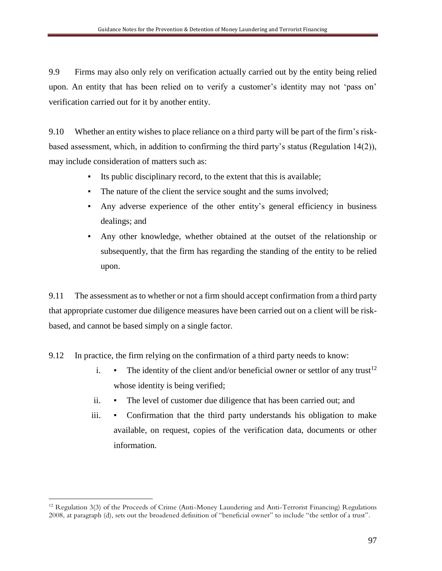9.9 Firms may also only rely on verification actually carried out by the entity being relied upon. An entity that has been relied on to verify a customer's identity may not 'pass on' verification carried out for it by another entity.

9.10 Whether an entity wishes to place reliance on a third party will be part of the firm's riskbased assessment, which, in addition to confirming the third party's status (Regulation 14(2)), may include consideration of matters such as:

- Its public disciplinary record, to the extent that this is available;
- The nature of the client the service sought and the sums involved;
- Any adverse experience of the other entity's general efficiency in business dealings; and
- Any other knowledge, whether obtained at the outset of the relationship or subsequently, that the firm has regarding the standing of the entity to be relied upon.

9.11 The assessment as to whether or not a firm should accept confirmation from a third party that appropriate customer due diligence measures have been carried out on a client will be riskbased, and cannot be based simply on a single factor.

- 9.12 In practice, the firm relying on the confirmation of a third party needs to know:
	- i.  $\bullet$  The identity of the client and/or beneficial owner or settlor of any trust<sup>12</sup> whose identity is being verified;
	- ii. The level of customer due diligence that has been carried out; and
	- iii. Confirmation that the third party understands his obligation to make available, on request, copies of the verification data, documents or other information.

 $\overline{a}$ 

<sup>&</sup>lt;sup>12</sup> Regulation 3(3) of the Proceeds of Crime (Anti-Money Laundering and Anti-Terrorist Financing) Regulations 2008, at paragraph (d), sets out the broadened definition of "beneficial owner" to include "the settlor of a trust".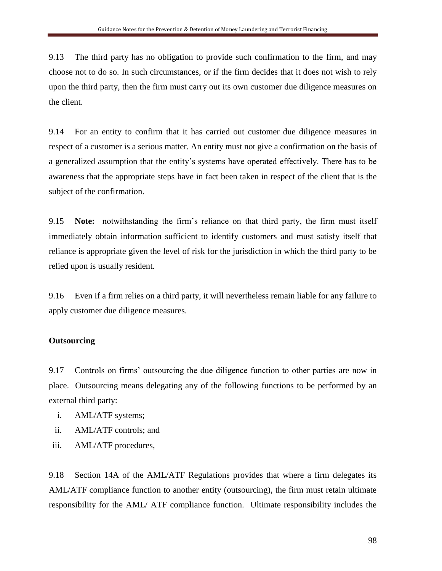9.13 The third party has no obligation to provide such confirmation to the firm, and may choose not to do so. In such circumstances, or if the firm decides that it does not wish to rely upon the third party, then the firm must carry out its own customer due diligence measures on the client.

9.14 For an entity to confirm that it has carried out customer due diligence measures in respect of a customer is a serious matter. An entity must not give a confirmation on the basis of a generalized assumption that the entity's systems have operated effectively. There has to be awareness that the appropriate steps have in fact been taken in respect of the client that is the subject of the confirmation.

9.15 **Note:** notwithstanding the firm's reliance on that third party, the firm must itself immediately obtain information sufficient to identify customers and must satisfy itself that reliance is appropriate given the level of risk for the jurisdiction in which the third party to be relied upon is usually resident.

9.16 Even if a firm relies on a third party, it will nevertheless remain liable for any failure to apply customer due diligence measures.

## **Outsourcing**

9.17 Controls on firms' outsourcing the due diligence function to other parties are now in place. Outsourcing means delegating any of the following functions to be performed by an external third party:

- i. AML/ATF systems;
- ii. AML/ATF controls; and
- iii. AML/ATF procedures,

9.18 Section 14A of the AML/ATF Regulations provides that where a firm delegates its AML/ATF compliance function to another entity (outsourcing), the firm must retain ultimate responsibility for the AML/ ATF compliance function. Ultimate responsibility includes the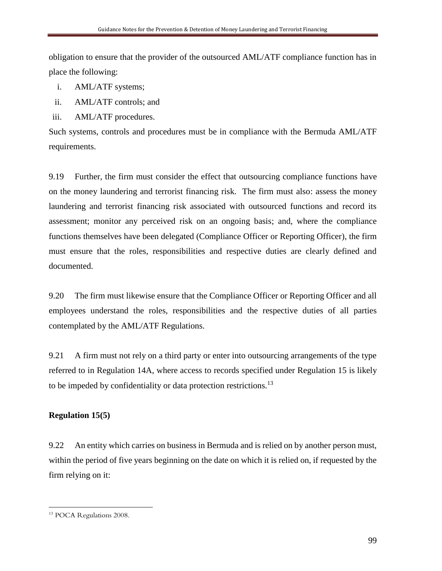obligation to ensure that the provider of the outsourced AML/ATF compliance function has in place the following:

- i. AML/ATF systems;
- ii. AML/ATF controls; and
- iii. AML/ATF procedures.

Such systems, controls and procedures must be in compliance with the Bermuda AML/ATF requirements.

9.19 Further, the firm must consider the effect that outsourcing compliance functions have on the money laundering and terrorist financing risk. The firm must also: assess the money laundering and terrorist financing risk associated with outsourced functions and record its assessment; monitor any perceived risk on an ongoing basis; and, where the compliance functions themselves have been delegated (Compliance Officer or Reporting Officer), the firm must ensure that the roles, responsibilities and respective duties are clearly defined and documented.

9.20 The firm must likewise ensure that the Compliance Officer or Reporting Officer and all employees understand the roles, responsibilities and the respective duties of all parties contemplated by the AML/ATF Regulations.

9.21 A firm must not rely on a third party or enter into outsourcing arrangements of the type referred to in Regulation 14A, where access to records specified under Regulation 15 is likely to be impeded by confidentiality or data protection restrictions.<sup>13</sup>

## **Regulation 15(5)**

9.22 An entity which carries on business in Bermuda and is relied on by another person must, within the period of five years beginning on the date on which it is relied on, if requested by the firm relying on it:

 $\overline{a}$ <sup>13</sup> POCA Regulations 2008.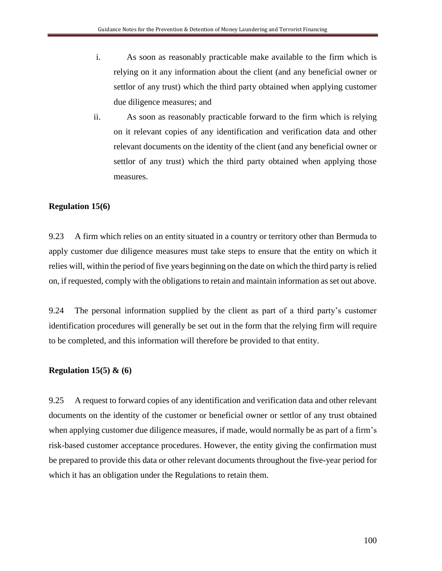- i. As soon as reasonably practicable make available to the firm which is relying on it any information about the client (and any beneficial owner or settlor of any trust) which the third party obtained when applying customer due diligence measures; and
- ii. As soon as reasonably practicable forward to the firm which is relying on it relevant copies of any identification and verification data and other relevant documents on the identity of the client (and any beneficial owner or settlor of any trust) which the third party obtained when applying those measures.

## **Regulation 15(6)**

9.23 A firm which relies on an entity situated in a country or territory other than Bermuda to apply customer due diligence measures must take steps to ensure that the entity on which it relies will, within the period of five years beginning on the date on which the third party is relied on, if requested, comply with the obligations to retain and maintain information as set out above.

9.24 The personal information supplied by the client as part of a third party's customer identification procedures will generally be set out in the form that the relying firm will require to be completed, and this information will therefore be provided to that entity.

## **Regulation 15(5) & (6)**

9.25 A request to forward copies of any identification and verification data and other relevant documents on the identity of the customer or beneficial owner or settlor of any trust obtained when applying customer due diligence measures, if made, would normally be as part of a firm's risk-based customer acceptance procedures. However, the entity giving the confirmation must be prepared to provide this data or other relevant documents throughout the five-year period for which it has an obligation under the Regulations to retain them.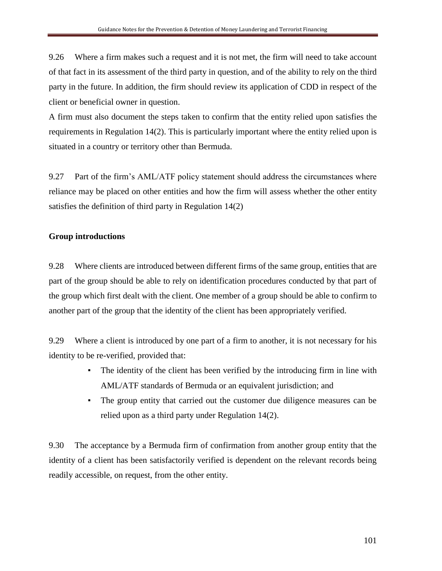9.26 Where a firm makes such a request and it is not met, the firm will need to take account of that fact in its assessment of the third party in question, and of the ability to rely on the third party in the future. In addition, the firm should review its application of CDD in respect of the client or beneficial owner in question.

A firm must also document the steps taken to confirm that the entity relied upon satisfies the requirements in Regulation 14(2). This is particularly important where the entity relied upon is situated in a country or territory other than Bermuda.

9.27 Part of the firm's AML/ATF policy statement should address the circumstances where reliance may be placed on other entities and how the firm will assess whether the other entity satisfies the definition of third party in Regulation 14(2)

## **Group introductions**

9.28 Where clients are introduced between different firms of the same group, entities that are part of the group should be able to rely on identification procedures conducted by that part of the group which first dealt with the client. One member of a group should be able to confirm to another part of the group that the identity of the client has been appropriately verified.

9.29 Where a client is introduced by one part of a firm to another, it is not necessary for his identity to be re-verified, provided that:

- The identity of the client has been verified by the introducing firm in line with AML/ATF standards of Bermuda or an equivalent jurisdiction; and
- The group entity that carried out the customer due diligence measures can be relied upon as a third party under Regulation 14(2).

9.30 The acceptance by a Bermuda firm of confirmation from another group entity that the identity of a client has been satisfactorily verified is dependent on the relevant records being readily accessible, on request, from the other entity.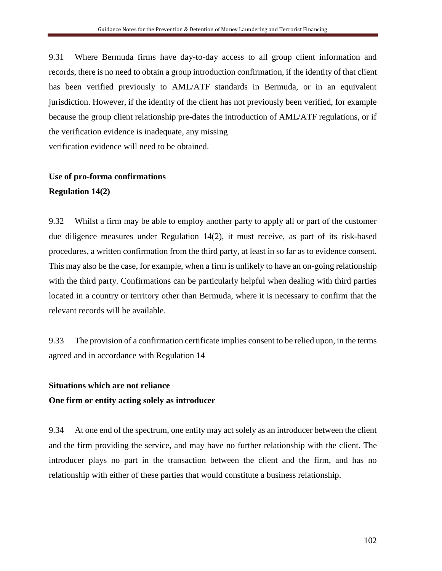9.31 Where Bermuda firms have day-to-day access to all group client information and records, there is no need to obtain a group introduction confirmation, if the identity of that client has been verified previously to AML/ATF standards in Bermuda, or in an equivalent jurisdiction. However, if the identity of the client has not previously been verified, for example because the group client relationship pre-dates the introduction of AML/ATF regulations, or if the verification evidence is inadequate, any missing verification evidence will need to be obtained.

# **Use of pro-forma confirmations Regulation 14(2)**

9.32 Whilst a firm may be able to employ another party to apply all or part of the customer due diligence measures under Regulation 14(2), it must receive, as part of its risk-based procedures, a written confirmation from the third party, at least in so far as to evidence consent. This may also be the case, for example, when a firm is unlikely to have an on-going relationship with the third party. Confirmations can be particularly helpful when dealing with third parties located in a country or territory other than Bermuda, where it is necessary to confirm that the relevant records will be available.

9.33 The provision of a confirmation certificate implies consent to be relied upon, in the terms agreed and in accordance with Regulation 14

## **Situations which are not reliance**

#### **One firm or entity acting solely as introducer**

9.34 At one end of the spectrum, one entity may act solely as an introducer between the client and the firm providing the service, and may have no further relationship with the client. The introducer plays no part in the transaction between the client and the firm, and has no relationship with either of these parties that would constitute a business relationship.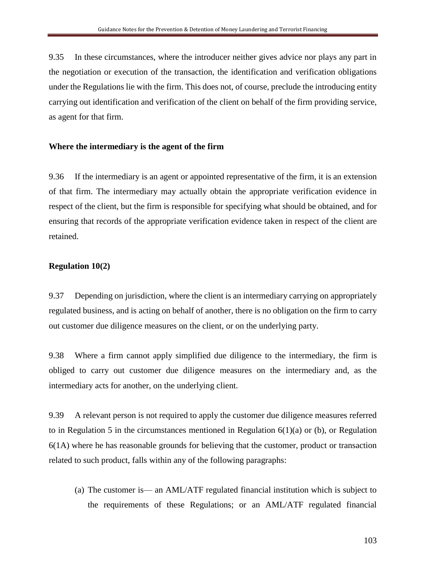9.35 In these circumstances, where the introducer neither gives advice nor plays any part in the negotiation or execution of the transaction, the identification and verification obligations under the Regulations lie with the firm. This does not, of course, preclude the introducing entity carrying out identification and verification of the client on behalf of the firm providing service, as agent for that firm.

#### **Where the intermediary is the agent of the firm**

9.36 If the intermediary is an agent or appointed representative of the firm, it is an extension of that firm. The intermediary may actually obtain the appropriate verification evidence in respect of the client, but the firm is responsible for specifying what should be obtained, and for ensuring that records of the appropriate verification evidence taken in respect of the client are retained.

#### **Regulation 10(2)**

9.37 Depending on jurisdiction, where the client is an intermediary carrying on appropriately regulated business, and is acting on behalf of another, there is no obligation on the firm to carry out customer due diligence measures on the client, or on the underlying party.

9.38 Where a firm cannot apply simplified due diligence to the intermediary, the firm is obliged to carry out customer due diligence measures on the intermediary and, as the intermediary acts for another, on the underlying client.

9.39 A relevant person is not required to apply the customer due diligence measures referred to in Regulation 5 in the circumstances mentioned in Regulation  $6(1)(a)$  or (b), or Regulation 6(1A) where he has reasonable grounds for believing that the customer, product or transaction related to such product, falls within any of the following paragraphs:

(a) The customer is— an AML/ATF regulated financial institution which is subject to the requirements of these Regulations; or an AML/ATF regulated financial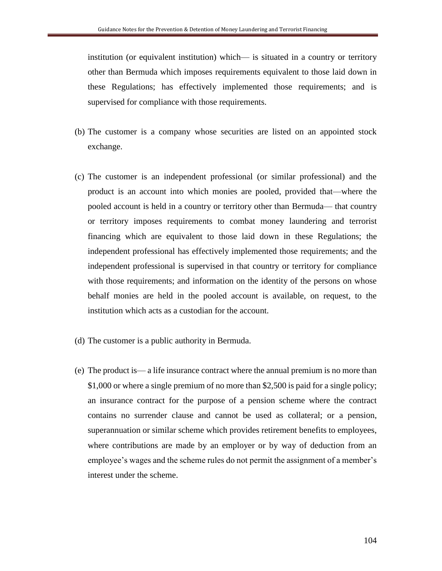institution (or equivalent institution) which— is situated in a country or territory other than Bermuda which imposes requirements equivalent to those laid down in these Regulations; has effectively implemented those requirements; and is supervised for compliance with those requirements.

- (b) The customer is a company whose securities are listed on an appointed stock exchange.
- (c) The customer is an independent professional (or similar professional) and the product is an account into which monies are pooled, provided that—where the pooled account is held in a country or territory other than Bermuda— that country or territory imposes requirements to combat money laundering and terrorist financing which are equivalent to those laid down in these Regulations; the independent professional has effectively implemented those requirements; and the independent professional is supervised in that country or territory for compliance with those requirements; and information on the identity of the persons on whose behalf monies are held in the pooled account is available, on request, to the institution which acts as a custodian for the account.
- (d) The customer is a public authority in Bermuda.
- (e) The product is— a life insurance contract where the annual premium is no more than \$1,000 or where a single premium of no more than \$2,500 is paid for a single policy; an insurance contract for the purpose of a pension scheme where the contract contains no surrender clause and cannot be used as collateral; or a pension, superannuation or similar scheme which provides retirement benefits to employees, where contributions are made by an employer or by way of deduction from an employee's wages and the scheme rules do not permit the assignment of a member's interest under the scheme.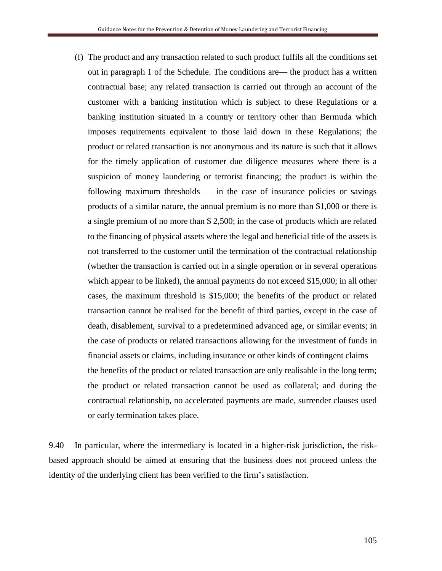(f) The product and any transaction related to such product fulfils all the conditions set out in paragraph 1 of the Schedule. The conditions are— the product has a written contractual base; any related transaction is carried out through an account of the customer with a banking institution which is subject to these Regulations or a banking institution situated in a country or territory other than Bermuda which imposes requirements equivalent to those laid down in these Regulations; the product or related transaction is not anonymous and its nature is such that it allows for the timely application of customer due diligence measures where there is a suspicion of money laundering or terrorist financing; the product is within the following maximum thresholds  $-$  in the case of insurance policies or savings products of a similar nature, the annual premium is no more than \$1,000 or there is a single premium of no more than \$ 2,500; in the case of products which are related to the financing of physical assets where the legal and beneficial title of the assets is not transferred to the customer until the termination of the contractual relationship (whether the transaction is carried out in a single operation or in several operations which appear to be linked), the annual payments do not exceed \$15,000; in all other cases, the maximum threshold is \$15,000; the benefits of the product or related transaction cannot be realised for the benefit of third parties, except in the case of death, disablement, survival to a predetermined advanced age, or similar events; in the case of products or related transactions allowing for the investment of funds in financial assets or claims, including insurance or other kinds of contingent claims the benefits of the product or related transaction are only realisable in the long term; the product or related transaction cannot be used as collateral; and during the contractual relationship, no accelerated payments are made, surrender clauses used or early termination takes place.

9.40 In particular, where the intermediary is located in a higher-risk jurisdiction, the riskbased approach should be aimed at ensuring that the business does not proceed unless the identity of the underlying client has been verified to the firm's satisfaction.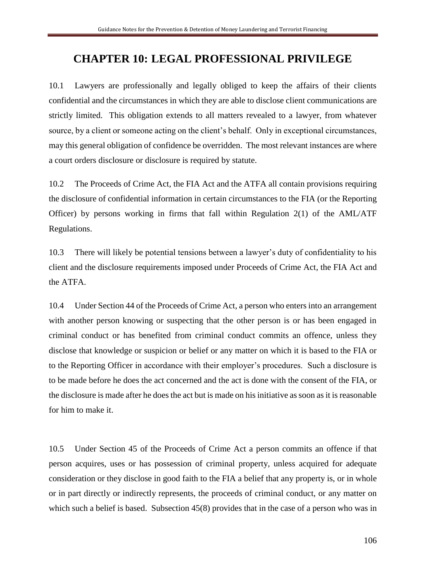# **CHAPTER 10: LEGAL PROFESSIONAL PRIVILEGE**

10.1 Lawyers are professionally and legally obliged to keep the affairs of their clients confidential and the circumstances in which they are able to disclose client communications are strictly limited. This obligation extends to all matters revealed to a lawyer, from whatever source, by a client or someone acting on the client's behalf. Only in exceptional circumstances, may this general obligation of confidence be overridden. The most relevant instances are where a court orders disclosure or disclosure is required by statute.

10.2 The Proceeds of Crime Act*,* the FIA Act and the ATFA all contain provisions requiring the disclosure of confidential information in certain circumstances to the FIA (or the Reporting Officer) by persons working in firms that fall within Regulation 2(1) of the AML/ATF Regulations.

10.3 There will likely be potential tensions between a lawyer's duty of confidentiality to his client and the disclosure requirements imposed under Proceeds of Crime Act, the FIA Act and the ATFA.

10.4 Under Section 44 of the Proceeds of Crime Act, a person who enters into an arrangement with another person knowing or suspecting that the other person is or has been engaged in criminal conduct or has benefited from criminal conduct commits an offence, unless they disclose that knowledge or suspicion or belief or any matter on which it is based to the FIA or to the Reporting Officer in accordance with their employer's procedures. Such a disclosure is to be made before he does the act concerned and the act is done with the consent of the FIA, or the disclosure is made after he does the act but is made on his initiative as soon as it is reasonable for him to make it.

10.5 Under Section 45 of the Proceeds of Crime Act a person commits an offence if that person acquires, uses or has possession of criminal property, unless acquired for adequate consideration or they disclose in good faith to the FIA a belief that any property is, or in whole or in part directly or indirectly represents, the proceeds of criminal conduct, or any matter on which such a belief is based. Subsection 45(8) provides that in the case of a person who was in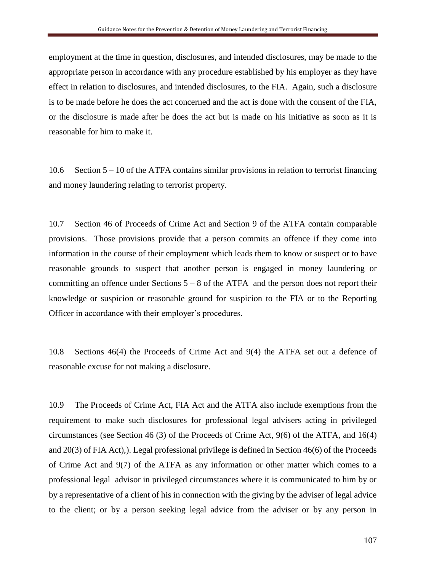employment at the time in question, disclosures, and intended disclosures, may be made to the appropriate person in accordance with any procedure established by his employer as they have effect in relation to disclosures, and intended disclosures, to the FIA. Again, such a disclosure is to be made before he does the act concerned and the act is done with the consent of the FIA, or the disclosure is made after he does the act but is made on his initiative as soon as it is reasonable for him to make it.

10.6 Section 5 – 10 of the ATFA contains similar provisions in relation to terrorist financing and money laundering relating to terrorist property.

10.7 Section 46 of Proceeds of Crime Act and Section 9 of the ATFA contain comparable provisions. Those provisions provide that a person commits an offence if they come into information in the course of their employment which leads them to know or suspect or to have reasonable grounds to suspect that another person is engaged in money laundering or committing an offence under Sections  $5 - 8$  of the ATFA and the person does not report their knowledge or suspicion or reasonable ground for suspicion to the FIA or to the Reporting Officer in accordance with their employer's procedures.

10.8 Sections 46(4) the Proceeds of Crime Act and 9(4) the ATFA set out a defence of reasonable excuse for not making a disclosure.

10.9 The Proceeds of Crime Act, FIA Act and the ATFA also include exemptions from the requirement to make such disclosures for professional legal advisers acting in privileged circumstances (see Section 46 (3) of the Proceeds of Crime Act, 9(6) of the ATFA, and 16(4) and 20(3) of FIA Act),). Legal professional privilege is defined in Section 46(6) of the Proceeds of Crime Act and 9(7) of the ATFA as any information or other matter which comes to a professional legal advisor in privileged circumstances where it is communicated to him by or by a representative of a client of his in connection with the giving by the adviser of legal advice to the client; or by a person seeking legal advice from the adviser or by any person in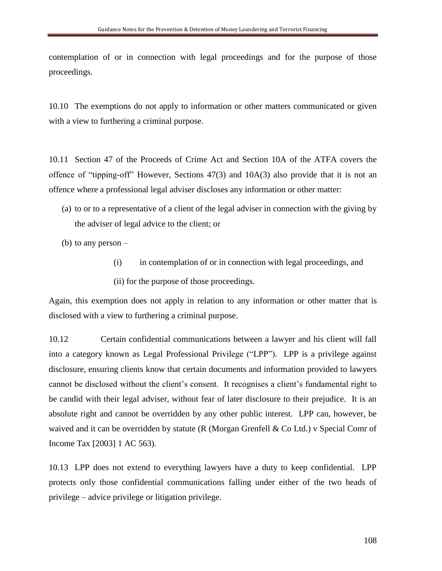contemplation of or in connection with legal proceedings and for the purpose of those proceedings.

10.10 The exemptions do not apply to information or other matters communicated or given with a view to furthering a criminal purpose.

10.11 Section 47 of the Proceeds of Crime Act and Section 10A of the ATFA covers the offence of "tipping-off" However, Sections 47(3) and 10A(3) also provide that it is not an offence where a professional legal adviser discloses any information or other matter:

- (a) to or to a representative of a client of the legal adviser in connection with the giving by the adviser of legal advice to the client; or
- (b) to any person
	- (i) in contemplation of or in connection with legal proceedings, and
	- (ii) for the purpose of those proceedings.

Again, this exemption does not apply in relation to any information or other matter that is disclosed with a view to furthering a criminal purpose.

10.12 Certain confidential communications between a lawyer and his client will fall into a category known as Legal Professional Privilege ("LPP"). LPP is a privilege against disclosure, ensuring clients know that certain documents and information provided to lawyers cannot be disclosed without the client's consent. It recognises a client's fundamental right to be candid with their legal adviser, without fear of later disclosure to their prejudice. It is an absolute right and cannot be overridden by any other public interest. LPP can, however, be waived and it can be overridden by statute (R (Morgan Grenfell & Co Ltd.) v Special Comr of Income Tax [2003] 1 AC 563).

10.13 LPP does not extend to everything lawyers have a duty to keep confidential. LPP protects only those confidential communications falling under either of the two heads of privilege – advice privilege or litigation privilege.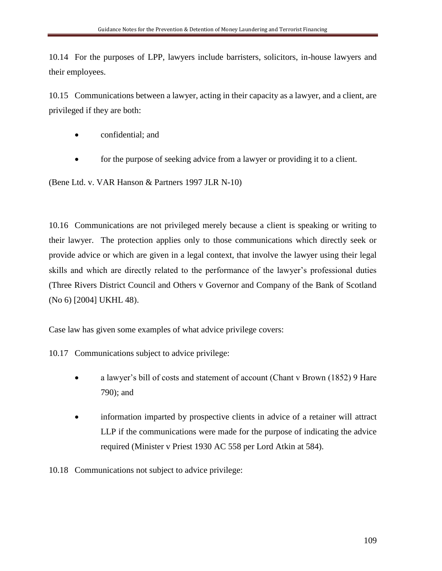10.14 For the purposes of LPP, lawyers include barristers, solicitors, in-house lawyers and their employees.

10.15 Communications between a lawyer, acting in their capacity as a lawyer, and a client, are privileged if they are both:

- confidential; and
- for the purpose of seeking advice from a lawyer or providing it to a client.

(Bene Ltd. v. VAR Hanson & Partners 1997 JLR N-10)

10.16 Communications are not privileged merely because a client is speaking or writing to their lawyer. The protection applies only to those communications which directly seek or provide advice or which are given in a legal context, that involve the lawyer using their legal skills and which are directly related to the performance of the lawyer's professional duties (Three Rivers District Council and Others v Governor and Company of the Bank of Scotland (No 6) [2004] UKHL 48).

Case law has given some examples of what advice privilege covers:

10.17 Communications subject to advice privilege:

- a lawyer's bill of costs and statement of account (Chant v Brown (1852) 9 Hare 790); and
- information imparted by prospective clients in advice of a retainer will attract LLP if the communications were made for the purpose of indicating the advice required (Minister v Priest 1930 AC 558 per Lord Atkin at 584).

10.18 Communications not subject to advice privilege: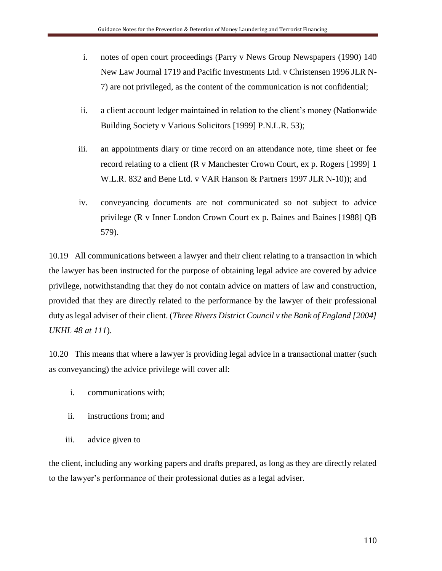- i. notes of open court proceedings (Parry v News Group Newspapers (1990) 140 New Law Journal 1719 and Pacific Investments Ltd. v Christensen 1996 JLR N-7) are not privileged, as the content of the communication is not confidential;
- ii. a client account ledger maintained in relation to the client's money (Nationwide Building Society v Various Solicitors [1999] P.N.L.R. 53);
- iii. an appointments diary or time record on an attendance note, time sheet or fee record relating to a client (R v Manchester Crown Court, ex p. Rogers [1999] 1 W.L.R. 832 and Bene Ltd. v VAR Hanson & Partners 1997 JLR N-10)); and
- iv. conveyancing documents are not communicated so not subject to advice privilege (R v Inner London Crown Court ex p. Baines and Baines [1988] QB 579).

10.19 All communications between a lawyer and their client relating to a transaction in which the lawyer has been instructed for the purpose of obtaining legal advice are covered by advice privilege, notwithstanding that they do not contain advice on matters of law and construction, provided that they are directly related to the performance by the lawyer of their professional duty as legal adviser of their client. (*Three Rivers District Council v the Bank of England [2004] UKHL 48 at 111*).

10.20 This means that where a lawyer is providing legal advice in a transactional matter (such as conveyancing) the advice privilege will cover all:

- i. communications with;
- ii. instructions from; and
- iii. advice given to

the client, including any working papers and drafts prepared, as long as they are directly related to the lawyer's performance of their professional duties as a legal adviser.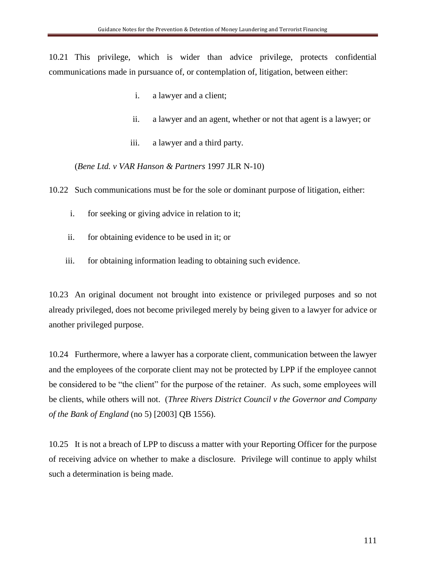10.21 This privilege, which is wider than advice privilege, protects confidential communications made in pursuance of, or contemplation of, litigation, between either:

- i. a lawyer and a client;
- ii. a lawyer and an agent, whether or not that agent is a lawyer; or
- iii. a lawyer and a third party.

(*Bene Ltd. v VAR Hanson & Partners* 1997 JLR N-10)

10.22 Such communications must be for the sole or dominant purpose of litigation, either:

- i. for seeking or giving advice in relation to it;
- ii. for obtaining evidence to be used in it; or
- iii. for obtaining information leading to obtaining such evidence.

10.23 An original document not brought into existence or privileged purposes and so not already privileged, does not become privileged merely by being given to a lawyer for advice or another privileged purpose.

10.24 Furthermore, where a lawyer has a corporate client, communication between the lawyer and the employees of the corporate client may not be protected by LPP if the employee cannot be considered to be "the client" for the purpose of the retainer. As such, some employees will be clients, while others will not. (*Three Rivers District Council v the Governor and Company of the Bank of England* (no 5) [2003] QB 1556).

10.25 It is not a breach of LPP to discuss a matter with your Reporting Officer for the purpose of receiving advice on whether to make a disclosure. Privilege will continue to apply whilst such a determination is being made.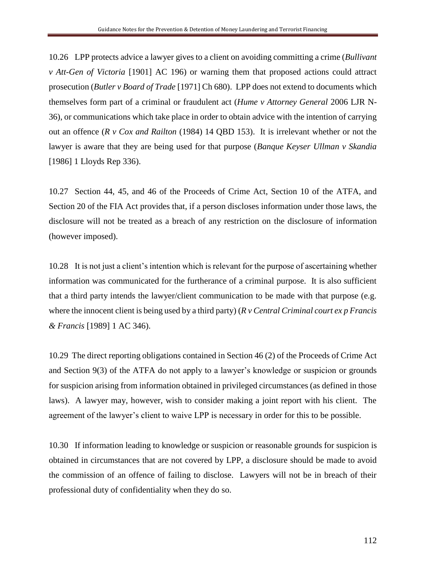10.26 LPP protects advice a lawyer gives to a client on avoiding committing a crime (*Bullivant v Att-Gen of Victoria* [1901] AC 196) or warning them that proposed actions could attract prosecution (*Butler v Board of Trade* [1971] Ch 680). LPP does not extend to documents which themselves form part of a criminal or fraudulent act (*Hume v Attorney General* 2006 LJR N-36), or communications which take place in order to obtain advice with the intention of carrying out an offence (*R v Cox and Railton* (1984) 14 QBD 153). It is irrelevant whether or not the lawyer is aware that they are being used for that purpose (*Banque Keyser Ullman v Skandia* [1986] 1 Lloyds Rep 336).

10.27 Section 44, 45, and 46 of the Proceeds of Crime Act, Section 10 of the ATFA, and Section 20 of the FIA Act provides that, if a person discloses information under those laws, the disclosure will not be treated as a breach of any restriction on the disclosure of information (however imposed).

10.28 It is not just a client's intention which is relevant for the purpose of ascertaining whether information was communicated for the furtherance of a criminal purpose. It is also sufficient that a third party intends the lawyer/client communication to be made with that purpose (e.g. where the innocent client is being used by a third party) (*R v Central Criminal court ex p Francis & Francis* [1989] 1 AC 346).

10.29 The direct reporting obligations contained in Section 46 (2) of the Proceeds of Crime Act and Section 9(3) of the ATFA do not apply to a lawyer's knowledge or suspicion or grounds for suspicion arising from information obtained in privileged circumstances (as defined in those laws). A lawyer may, however, wish to consider making a joint report with his client. The agreement of the lawyer's client to waive LPP is necessary in order for this to be possible.

10.30 If information leading to knowledge or suspicion or reasonable grounds for suspicion is obtained in circumstances that are not covered by LPP, a disclosure should be made to avoid the commission of an offence of failing to disclose. Lawyers will not be in breach of their professional duty of confidentiality when they do so.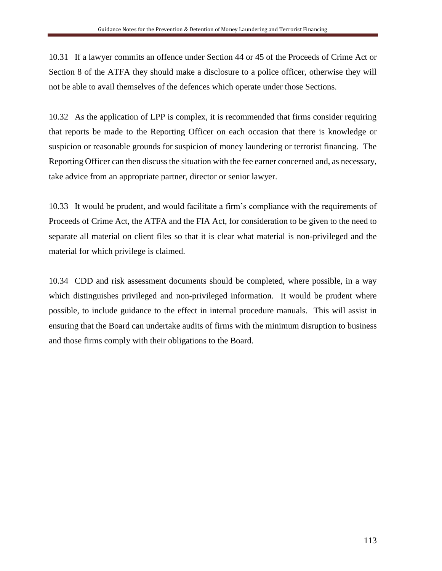10.31 If a lawyer commits an offence under Section 44 or 45 of the Proceeds of Crime Act or Section 8 of the ATFA they should make a disclosure to a police officer, otherwise they will not be able to avail themselves of the defences which operate under those Sections.

10.32 As the application of LPP is complex, it is recommended that firms consider requiring that reports be made to the Reporting Officer on each occasion that there is knowledge or suspicion or reasonable grounds for suspicion of money laundering or terrorist financing. The Reporting Officer can then discuss the situation with the fee earner concerned and, as necessary, take advice from an appropriate partner, director or senior lawyer.

10.33 It would be prudent, and would facilitate a firm's compliance with the requirements of Proceeds of Crime Act, the ATFA and the FIA Act, for consideration to be given to the need to separate all material on client files so that it is clear what material is non-privileged and the material for which privilege is claimed.

10.34 CDD and risk assessment documents should be completed, where possible, in a way which distinguishes privileged and non-privileged information. It would be prudent where possible, to include guidance to the effect in internal procedure manuals. This will assist in ensuring that the Board can undertake audits of firms with the minimum disruption to business and those firms comply with their obligations to the Board.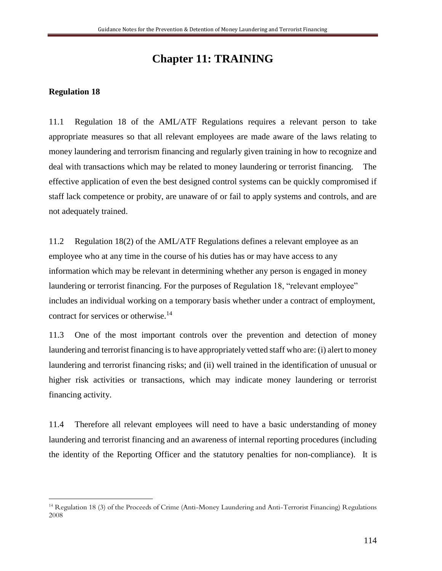## **Chapter 11: TRAINING**

#### **Regulation 18**

 $\overline{a}$ 

11.1 Regulation 18 of the AML/ATF Regulations requires a relevant person to take appropriate measures so that all relevant employees are made aware of the laws relating to money laundering and terrorism financing and regularly given training in how to recognize and deal with transactions which may be related to money laundering or terrorist financing. The effective application of even the best designed control systems can be quickly compromised if staff lack competence or probity, are unaware of or fail to apply systems and controls, and are not adequately trained.

11.2 Regulation 18(2) of the AML/ATF Regulations defines a relevant employee as an employee who at any time in the course of his duties has or may have access to any information which may be relevant in determining whether any person is engaged in money laundering or terrorist financing. For the purposes of Regulation 18, "relevant employee" includes an individual working on a temporary basis whether under a contract of employment, contract for services or otherwise.<sup>14</sup>

11.3 One of the most important controls over the prevention and detection of money laundering and terrorist financing is to have appropriately vetted staff who are: (i) alert to money laundering and terrorist financing risks; and (ii) well trained in the identification of unusual or higher risk activities or transactions, which may indicate money laundering or terrorist financing activity.

11.4 Therefore all relevant employees will need to have a basic understanding of money laundering and terrorist financing and an awareness of internal reporting procedures (including the identity of the Reporting Officer and the statutory penalties for non-compliance). It is

<sup>14</sup> Regulation 18 (3) of the Proceeds of Crime (Anti-Money Laundering and Anti-Terrorist Financing) Regulations 2008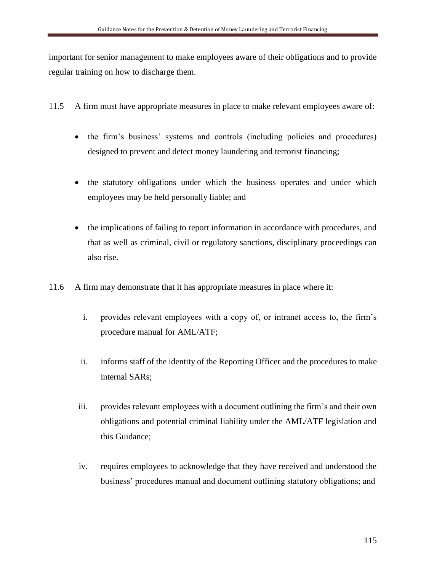important for senior management to make employees aware of their obligations and to provide regular training on how to discharge them.

- 11.5 A firm must have appropriate measures in place to make relevant employees aware of:
	- the firm's business' systems and controls (including policies and procedures) designed to prevent and detect money laundering and terrorist financing;
	- the statutory obligations under which the business operates and under which employees may be held personally liable; and
	- the implications of failing to report information in accordance with procedures, and that as well as criminal, civil or regulatory sanctions, disciplinary proceedings can also rise.
- 11.6 A firm may demonstrate that it has appropriate measures in place where it:
	- i. provides relevant employees with a copy of, or intranet access to, the firm's procedure manual for AML/ATF;
	- ii. informs staff of the identity of the Reporting Officer and the procedures to make internal SARs;
	- iii. provides relevant employees with a document outlining the firm's and their own obligations and potential criminal liability under the AML/ATF legislation and this Guidance;
	- iv. requires employees to acknowledge that they have received and understood the business' procedures manual and document outlining statutory obligations; and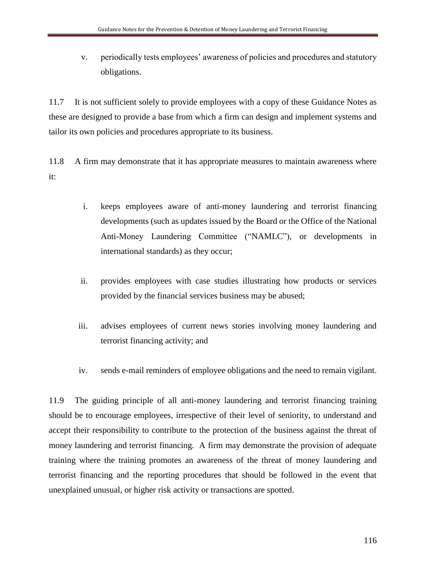v. periodically tests employees' awareness of policies and procedures and statutory obligations.

11.7 It is not sufficient solely to provide employees with a copy of these Guidance Notes as these are designed to provide a base from which a firm can design and implement systems and tailor its own policies and procedures appropriate to its business.

11.8 A firm may demonstrate that it has appropriate measures to maintain awareness where it:

- i. keeps employees aware of anti-money laundering and terrorist financing developments (such as updates issued by the Board or the Office of the National Anti-Money Laundering Committee ("NAMLC"), or developments in international standards) as they occur;
- ii. provides employees with case studies illustrating how products or services provided by the financial services business may be abused;
- iii. advises employees of current news stories involving money laundering and terrorist financing activity; and
- iv. sends e-mail reminders of employee obligations and the need to remain vigilant.

11.9 The guiding principle of all anti-money laundering and terrorist financing training should be to encourage employees, irrespective of their level of seniority, to understand and accept their responsibility to contribute to the protection of the business against the threat of money laundering and terrorist financing. A firm may demonstrate the provision of adequate training where the training promotes an awareness of the threat of money laundering and terrorist financing and the reporting procedures that should be followed in the event that unexplained unusual, or higher risk activity or transactions are spotted.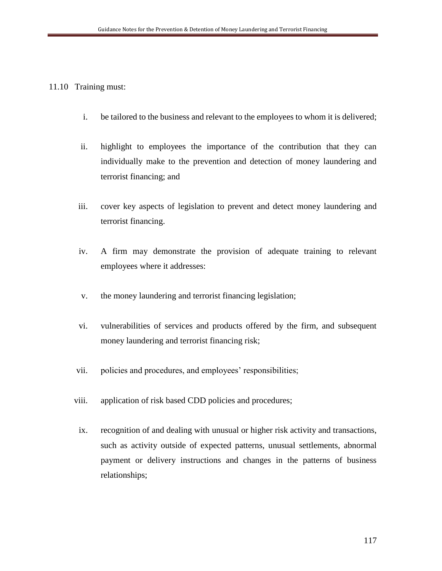### 11.10 Training must:

- i. be tailored to the business and relevant to the employees to whom it is delivered;
- ii. highlight to employees the importance of the contribution that they can individually make to the prevention and detection of money laundering and terrorist financing; and
- iii. cover key aspects of legislation to prevent and detect money laundering and terrorist financing.
- iv. A firm may demonstrate the provision of adequate training to relevant employees where it addresses:
- v. the money laundering and terrorist financing legislation;
- vi. vulnerabilities of services and products offered by the firm, and subsequent money laundering and terrorist financing risk;
- vii. policies and procedures, and employees' responsibilities;
- viii. application of risk based CDD policies and procedures;
- ix. recognition of and dealing with unusual or higher risk activity and transactions, such as activity outside of expected patterns, unusual settlements, abnormal payment or delivery instructions and changes in the patterns of business relationships;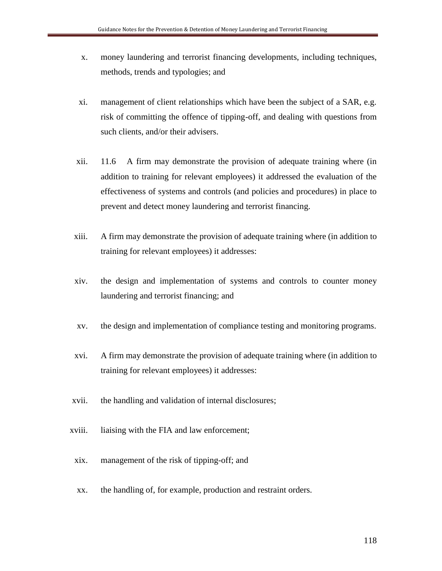- x. money laundering and terrorist financing developments, including techniques, methods, trends and typologies; and
- xi. management of client relationships which have been the subject of a SAR, e.g. risk of committing the offence of tipping-off, and dealing with questions from such clients, and/or their advisers.
- xii. 11.6 A firm may demonstrate the provision of adequate training where (in addition to training for relevant employees) it addressed the evaluation of the effectiveness of systems and controls (and policies and procedures) in place to prevent and detect money laundering and terrorist financing.
- xiii. A firm may demonstrate the provision of adequate training where (in addition to training for relevant employees) it addresses:
- xiv. the design and implementation of systems and controls to counter money laundering and terrorist financing; and
- xv. the design and implementation of compliance testing and monitoring programs.
- xvi. A firm may demonstrate the provision of adequate training where (in addition to training for relevant employees) it addresses:
- xvii. the handling and validation of internal disclosures;
- xviii. liaising with the FIA and law enforcement;
- xix. management of the risk of tipping-off; and
- xx. the handling of, for example, production and restraint orders.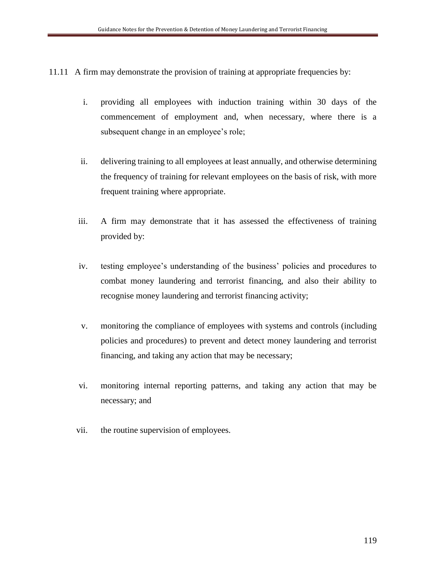11.11 A firm may demonstrate the provision of training at appropriate frequencies by:

- i. providing all employees with induction training within 30 days of the commencement of employment and, when necessary, where there is a subsequent change in an employee's role;
- ii. delivering training to all employees at least annually, and otherwise determining the frequency of training for relevant employees on the basis of risk, with more frequent training where appropriate.
- iii. A firm may demonstrate that it has assessed the effectiveness of training provided by:
- iv. testing employee's understanding of the business' policies and procedures to combat money laundering and terrorist financing, and also their ability to recognise money laundering and terrorist financing activity;
- v. monitoring the compliance of employees with systems and controls (including policies and procedures) to prevent and detect money laundering and terrorist financing, and taking any action that may be necessary;
- vi. monitoring internal reporting patterns, and taking any action that may be necessary; and
- vii. the routine supervision of employees.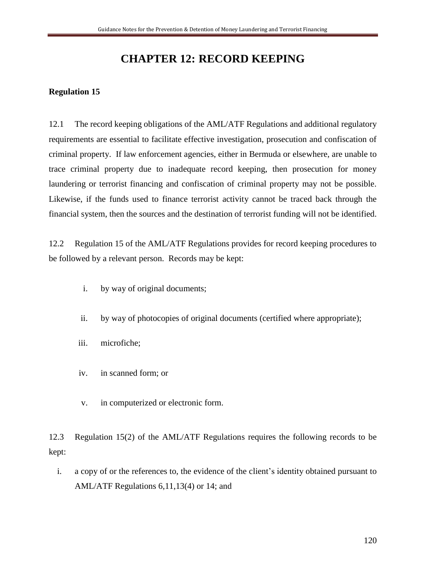# **CHAPTER 12: RECORD KEEPING**

### **Regulation 15**

12.1 The record keeping obligations of the AML/ATF Regulations and additional regulatory requirements are essential to facilitate effective investigation, prosecution and confiscation of criminal property. If law enforcement agencies, either in Bermuda or elsewhere, are unable to trace criminal property due to inadequate record keeping, then prosecution for money laundering or terrorist financing and confiscation of criminal property may not be possible. Likewise, if the funds used to finance terrorist activity cannot be traced back through the financial system, then the sources and the destination of terrorist funding will not be identified.

12.2 Regulation 15 of the AML/ATF Regulations provides for record keeping procedures to be followed by a relevant person. Records may be kept:

- i. by way of original documents;
- ii. by way of photocopies of original documents (certified where appropriate);
- iii. microfiche;
- iv. in scanned form; or
- v. in computerized or electronic form.

12.3 Regulation 15(2) of the AML/ATF Regulations requires the following records to be kept:

i. a copy of or the references to, the evidence of the client's identity obtained pursuant to AML/ATF Regulations 6,11,13(4) or 14; and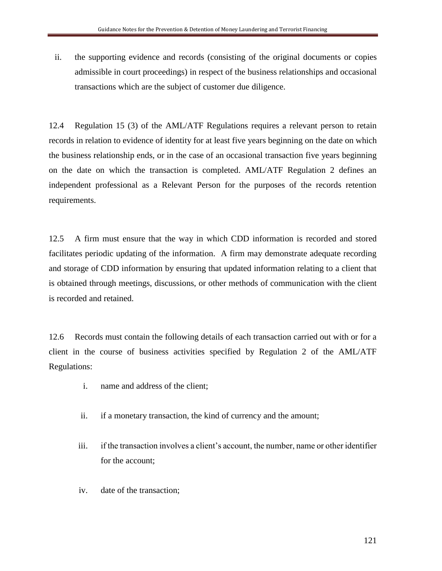ii. the supporting evidence and records (consisting of the original documents or copies admissible in court proceedings) in respect of the business relationships and occasional transactions which are the subject of customer due diligence.

12.4 Regulation 15 (3) of the AML/ATF Regulations requires a relevant person to retain records in relation to evidence of identity for at least five years beginning on the date on which the business relationship ends, or in the case of an occasional transaction five years beginning on the date on which the transaction is completed. AML/ATF Regulation 2 defines an independent professional as a Relevant Person for the purposes of the records retention requirements.

12.5 A firm must ensure that the way in which CDD information is recorded and stored facilitates periodic updating of the information. A firm may demonstrate adequate recording and storage of CDD information by ensuring that updated information relating to a client that is obtained through meetings, discussions, or other methods of communication with the client is recorded and retained.

12.6 Records must contain the following details of each transaction carried out with or for a client in the course of business activities specified by Regulation 2 of the AML/ATF Regulations:

- i. name and address of the client;
- ii. if a monetary transaction, the kind of currency and the amount;
- iii. if the transaction involves a client's account, the number, name or other identifier for the account;
- iv. date of the transaction;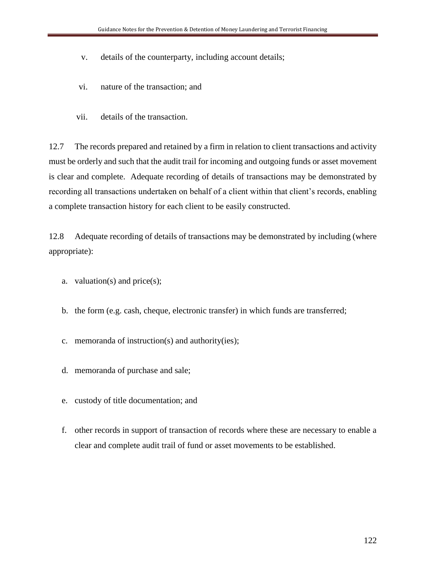- v. details of the counterparty, including account details;
- vi. nature of the transaction; and
- vii. details of the transaction.

12.7 The records prepared and retained by a firm in relation to client transactions and activity must be orderly and such that the audit trail for incoming and outgoing funds or asset movement is clear and complete. Adequate recording of details of transactions may be demonstrated by recording all transactions undertaken on behalf of a client within that client's records, enabling a complete transaction history for each client to be easily constructed.

12.8 Adequate recording of details of transactions may be demonstrated by including (where appropriate):

- a. valuation(s) and price(s);
- b. the form (e.g. cash, cheque, electronic transfer) in which funds are transferred;
- c. memoranda of instruction(s) and authority(ies);
- d. memoranda of purchase and sale;
- e. custody of title documentation; and
- f. other records in support of transaction of records where these are necessary to enable a clear and complete audit trail of fund or asset movements to be established.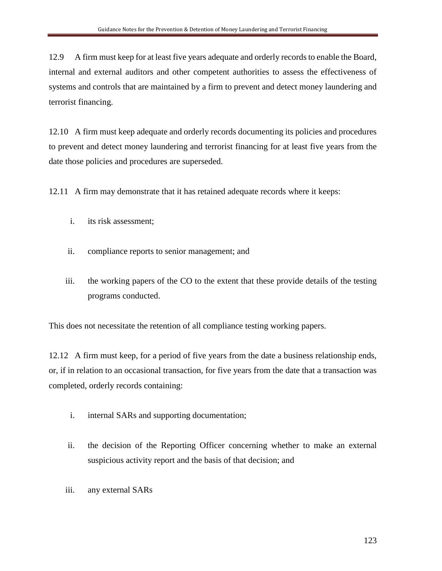12.9 A firm must keep for at least five years adequate and orderly records to enable the Board, internal and external auditors and other competent authorities to assess the effectiveness of systems and controls that are maintained by a firm to prevent and detect money laundering and terrorist financing.

12.10 A firm must keep adequate and orderly records documenting its policies and procedures to prevent and detect money laundering and terrorist financing for at least five years from the date those policies and procedures are superseded.

12.11 A firm may demonstrate that it has retained adequate records where it keeps:

- i. its risk assessment;
- ii. compliance reports to senior management; and
- iii. the working papers of the CO to the extent that these provide details of the testing programs conducted.

This does not necessitate the retention of all compliance testing working papers.

12.12 A firm must keep, for a period of five years from the date a business relationship ends, or, if in relation to an occasional transaction, for five years from the date that a transaction was completed, orderly records containing:

- i. internal SARs and supporting documentation;
- ii. the decision of the Reporting Officer concerning whether to make an external suspicious activity report and the basis of that decision; and
- iii. any external SARs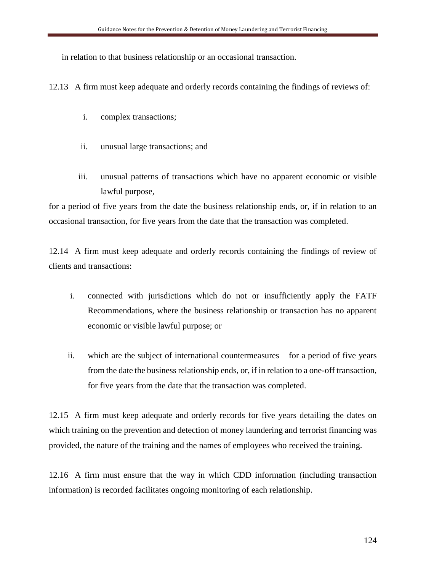in relation to that business relationship or an occasional transaction.

12.13 A firm must keep adequate and orderly records containing the findings of reviews of:

- i. complex transactions;
- ii. unusual large transactions; and
- iii. unusual patterns of transactions which have no apparent economic or visible lawful purpose,

for a period of five years from the date the business relationship ends, or, if in relation to an occasional transaction, for five years from the date that the transaction was completed.

12.14 A firm must keep adequate and orderly records containing the findings of review of clients and transactions:

- i. connected with jurisdictions which do not or insufficiently apply the FATF Recommendations, where the business relationship or transaction has no apparent economic or visible lawful purpose; or
- ii. which are the subject of international countermeasures for a period of five years from the date the business relationship ends, or, if in relation to a one-off transaction, for five years from the date that the transaction was completed.

12.15 A firm must keep adequate and orderly records for five years detailing the dates on which training on the prevention and detection of money laundering and terrorist financing was provided, the nature of the training and the names of employees who received the training.

12.16 A firm must ensure that the way in which CDD information (including transaction information) is recorded facilitates ongoing monitoring of each relationship.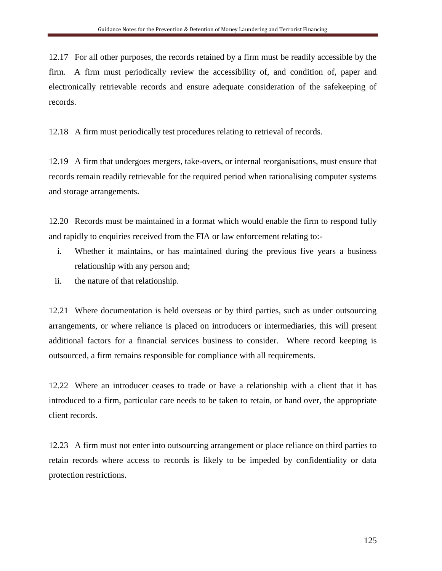12.17 For all other purposes, the records retained by a firm must be readily accessible by the firm. A firm must periodically review the accessibility of, and condition of, paper and electronically retrievable records and ensure adequate consideration of the safekeeping of records.

12.18 A firm must periodically test procedures relating to retrieval of records.

12.19 A firm that undergoes mergers, take-overs, or internal reorganisations, must ensure that records remain readily retrievable for the required period when rationalising computer systems and storage arrangements.

12.20 Records must be maintained in a format which would enable the firm to respond fully and rapidly to enquiries received from the FIA or law enforcement relating to:-

- i. Whether it maintains, or has maintained during the previous five years a business relationship with any person and;
- ii. the nature of that relationship.

12.21 Where documentation is held overseas or by third parties, such as under outsourcing arrangements, or where reliance is placed on introducers or intermediaries, this will present additional factors for a financial services business to consider. Where record keeping is outsourced, a firm remains responsible for compliance with all requirements.

12.22 Where an introducer ceases to trade or have a relationship with a client that it has introduced to a firm, particular care needs to be taken to retain, or hand over, the appropriate client records.

12.23 A firm must not enter into outsourcing arrangement or place reliance on third parties to retain records where access to records is likely to be impeded by confidentiality or data protection restrictions.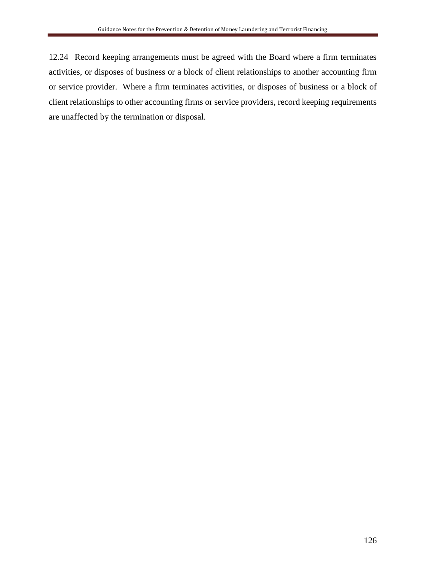12.24 Record keeping arrangements must be agreed with the Board where a firm terminates activities, or disposes of business or a block of client relationships to another accounting firm or service provider. Where a firm terminates activities, or disposes of business or a block of client relationships to other accounting firms or service providers, record keeping requirements are unaffected by the termination or disposal.